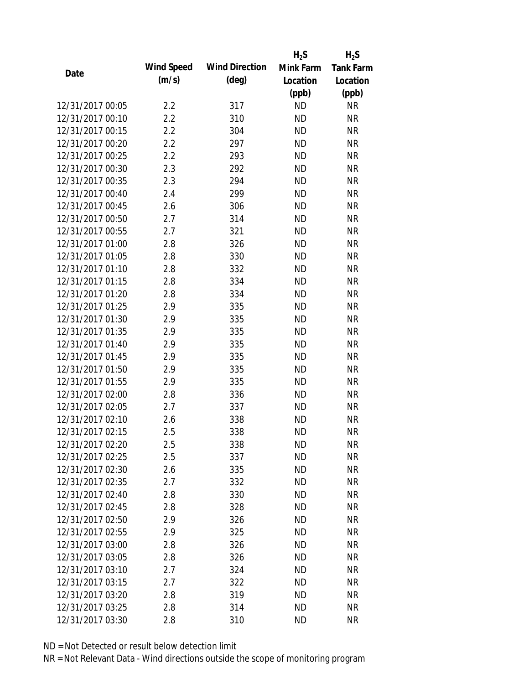|                  |            |                       | $H_2S$    | $H_2S$           |
|------------------|------------|-----------------------|-----------|------------------|
|                  | Wind Speed | <b>Wind Direction</b> | Mink Farm | <b>Tank Farm</b> |
| Date             | (m/s)      | $(\text{deg})$        | Location  | Location         |
|                  |            |                       | (ppb)     | (ppb)            |
| 12/31/2017 00:05 | 2.2        | 317                   | <b>ND</b> | <b>NR</b>        |
| 12/31/2017 00:10 | 2.2        | 310                   | <b>ND</b> | <b>NR</b>        |
| 12/31/2017 00:15 | 2.2        | 304                   | <b>ND</b> | <b>NR</b>        |
| 12/31/2017 00:20 | 2.2        | 297                   | <b>ND</b> | <b>NR</b>        |
| 12/31/2017 00:25 | 2.2        | 293                   | <b>ND</b> | <b>NR</b>        |
| 12/31/2017 00:30 | 2.3        | 292                   | <b>ND</b> | <b>NR</b>        |
| 12/31/2017 00:35 | 2.3        | 294                   | <b>ND</b> | <b>NR</b>        |
| 12/31/2017 00:40 | 2.4        | 299                   | <b>ND</b> | <b>NR</b>        |
| 12/31/2017 00:45 | 2.6        | 306                   | <b>ND</b> | <b>NR</b>        |
| 12/31/2017 00:50 | 2.7        | 314                   | <b>ND</b> | <b>NR</b>        |
| 12/31/2017 00:55 | 2.7        | 321                   | <b>ND</b> | <b>NR</b>        |
| 12/31/2017 01:00 | 2.8        | 326                   | <b>ND</b> | <b>NR</b>        |
| 12/31/2017 01:05 | 2.8        | 330                   | <b>ND</b> | <b>NR</b>        |
| 12/31/2017 01:10 | 2.8        | 332                   | <b>ND</b> | <b>NR</b>        |
| 12/31/2017 01:15 | 2.8        | 334                   | <b>ND</b> | <b>NR</b>        |
| 12/31/2017 01:20 | 2.8        | 334                   | <b>ND</b> | <b>NR</b>        |
| 12/31/2017 01:25 | 2.9        | 335                   | <b>ND</b> | <b>NR</b>        |
| 12/31/2017 01:30 | 2.9        | 335                   | <b>ND</b> | <b>NR</b>        |
| 12/31/2017 01:35 | 2.9        | 335                   | <b>ND</b> | <b>NR</b>        |
| 12/31/2017 01:40 | 2.9        | 335                   | <b>ND</b> | <b>NR</b>        |
| 12/31/2017 01:45 | 2.9        | 335                   | <b>ND</b> | <b>NR</b>        |
| 12/31/2017 01:50 | 2.9        | 335                   | <b>ND</b> | <b>NR</b>        |
| 12/31/2017 01:55 | 2.9        | 335                   | <b>ND</b> | <b>NR</b>        |
| 12/31/2017 02:00 | 2.8        | 336                   | <b>ND</b> | <b>NR</b>        |
| 12/31/2017 02:05 | 2.7        | 337                   | <b>ND</b> | <b>NR</b>        |
| 12/31/2017 02:10 | 2.6        | 338                   | <b>ND</b> | <b>NR</b>        |
| 12/31/2017 02:15 | 2.5        | 338                   | <b>ND</b> | <b>NR</b>        |
| 12/31/2017 02:20 | 2.5        | 338                   | <b>ND</b> | <b>NR</b>        |
| 12/31/2017 02:25 | 2.5        | 337                   | <b>ND</b> | <b>NR</b>        |
| 12/31/2017 02:30 | 2.6        | 335                   | <b>ND</b> | <b>NR</b>        |
| 12/31/2017 02:35 | 2.7        | 332                   | <b>ND</b> | <b>NR</b>        |
| 12/31/2017 02:40 | 2.8        | 330                   | <b>ND</b> | <b>NR</b>        |
| 12/31/2017 02:45 | 2.8        | 328                   | <b>ND</b> | <b>NR</b>        |
| 12/31/2017 02:50 | 2.9        | 326                   | <b>ND</b> | <b>NR</b>        |
| 12/31/2017 02:55 | 2.9        | 325                   | <b>ND</b> | <b>NR</b>        |
| 12/31/2017 03:00 | 2.8        | 326                   | <b>ND</b> | <b>NR</b>        |
| 12/31/2017 03:05 | 2.8        | 326                   | <b>ND</b> | <b>NR</b>        |
| 12/31/2017 03:10 | 2.7        | 324                   | <b>ND</b> | <b>NR</b>        |
| 12/31/2017 03:15 | 2.7        | 322                   | <b>ND</b> | <b>NR</b>        |
| 12/31/2017 03:20 | 2.8        | 319                   | <b>ND</b> | NR               |
| 12/31/2017 03:25 | 2.8        | 314                   | <b>ND</b> | <b>NR</b>        |
| 12/31/2017 03:30 | 2.8        | 310                   | <b>ND</b> | <b>NR</b>        |
|                  |            |                       |           |                  |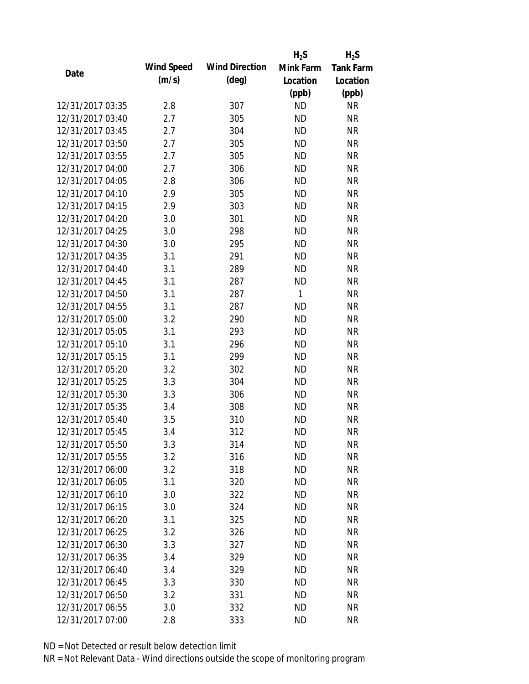|                  |            |                       | $H_2S$    | $H_2S$           |
|------------------|------------|-----------------------|-----------|------------------|
| Date             | Wind Speed | <b>Wind Direction</b> | Mink Farm | <b>Tank Farm</b> |
|                  | (m/s)      | $(\text{deg})$        | Location  | Location         |
|                  |            |                       | (ppb)     | (ppb)            |
| 12/31/2017 03:35 | 2.8        | 307                   | <b>ND</b> | <b>NR</b>        |
| 12/31/2017 03:40 | 2.7        | 305                   | <b>ND</b> | <b>NR</b>        |
| 12/31/2017 03:45 | 2.7        | 304                   | <b>ND</b> | <b>NR</b>        |
| 12/31/2017 03:50 | 2.7        | 305                   | <b>ND</b> | <b>NR</b>        |
| 12/31/2017 03:55 | 2.7        | 305                   | <b>ND</b> | <b>NR</b>        |
| 12/31/2017 04:00 | 2.7        | 306                   | <b>ND</b> | <b>NR</b>        |
| 12/31/2017 04:05 | 2.8        | 306                   | <b>ND</b> | <b>NR</b>        |
| 12/31/2017 04:10 | 2.9        | 305                   | <b>ND</b> | <b>NR</b>        |
| 12/31/2017 04:15 | 2.9        | 303                   | <b>ND</b> | <b>NR</b>        |
| 12/31/2017 04:20 | 3.0        | 301                   | <b>ND</b> | <b>NR</b>        |
| 12/31/2017 04:25 | 3.0        | 298                   | <b>ND</b> | <b>NR</b>        |
| 12/31/2017 04:30 | 3.0        | 295                   | <b>ND</b> | <b>NR</b>        |
| 12/31/2017 04:35 | 3.1        | 291                   | <b>ND</b> | <b>NR</b>        |
| 12/31/2017 04:40 | 3.1        | 289                   | <b>ND</b> | <b>NR</b>        |
| 12/31/2017 04:45 | 3.1        | 287                   | <b>ND</b> | <b>NR</b>        |
| 12/31/2017 04:50 | 3.1        | 287                   | 1         | <b>NR</b>        |
| 12/31/2017 04:55 | 3.1        | 287                   | <b>ND</b> | <b>NR</b>        |
| 12/31/2017 05:00 | 3.2        | 290                   | <b>ND</b> | <b>NR</b>        |
| 12/31/2017 05:05 | 3.1        | 293                   | <b>ND</b> | <b>NR</b>        |
| 12/31/2017 05:10 | 3.1        | 296                   | <b>ND</b> | <b>NR</b>        |
| 12/31/2017 05:15 | 3.1        | 299                   | <b>ND</b> | <b>NR</b>        |
| 12/31/2017 05:20 | 3.2        | 302                   | <b>ND</b> | <b>NR</b>        |
| 12/31/2017 05:25 | 3.3        | 304                   | <b>ND</b> | <b>NR</b>        |
| 12/31/2017 05:30 | 3.3        | 306                   | <b>ND</b> | <b>NR</b>        |
| 12/31/2017 05:35 | 3.4        | 308                   | <b>ND</b> | <b>NR</b>        |
| 12/31/2017 05:40 | 3.5        | 310                   | <b>ND</b> | <b>NR</b>        |
| 12/31/2017 05:45 | 3.4        | 312                   | <b>ND</b> | <b>NR</b>        |
| 12/31/2017 05:50 | 3.3        | 314                   | <b>ND</b> | <b>NR</b>        |
| 12/31/2017 05:55 | 3.2        | 316                   | <b>ND</b> | <b>NR</b>        |
| 12/31/2017 06:00 | 3.2        | 318                   | ND        | <b>NR</b>        |
| 12/31/2017 06:05 | 3.1        | 320                   | <b>ND</b> | <b>NR</b>        |
| 12/31/2017 06:10 | 3.0        | 322                   | <b>ND</b> | <b>NR</b>        |
| 12/31/2017 06:15 | 3.0        | 324                   | <b>ND</b> | <b>NR</b>        |
| 12/31/2017 06:20 | 3.1        | 325                   | <b>ND</b> | <b>NR</b>        |
| 12/31/2017 06:25 | 3.2        | 326                   | <b>ND</b> | <b>NR</b>        |
| 12/31/2017 06:30 | 3.3        | 327                   | <b>ND</b> | <b>NR</b>        |
| 12/31/2017 06:35 | 3.4        | 329                   | ND.       | <b>NR</b>        |
| 12/31/2017 06:40 | 3.4        | 329                   | <b>ND</b> | <b>NR</b>        |
| 12/31/2017 06:45 | 3.3        | 330                   | <b>ND</b> | <b>NR</b>        |
| 12/31/2017 06:50 | 3.2        | 331                   | <b>ND</b> | <b>NR</b>        |
| 12/31/2017 06:55 | 3.0        | 332                   | <b>ND</b> | <b>NR</b>        |
| 12/31/2017 07:00 | 2.8        | 333                   | <b>ND</b> | <b>NR</b>        |
|                  |            |                       |           |                  |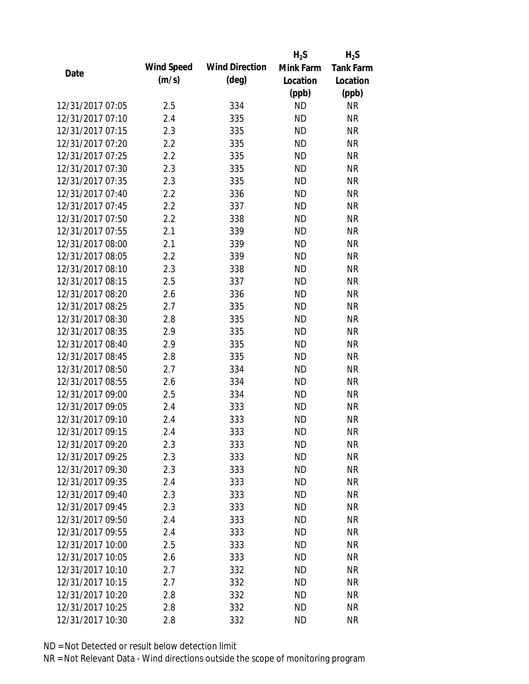|                  |            |                       | $H_2S$    | $H_2S$           |
|------------------|------------|-----------------------|-----------|------------------|
|                  | Wind Speed | <b>Wind Direction</b> | Mink Farm | <b>Tank Farm</b> |
| Date             | (m/s)      | $(\text{deg})$        | Location  | Location         |
|                  |            |                       | (ppb)     | (ppb)            |
| 12/31/2017 07:05 | 2.5        | 334                   | <b>ND</b> | <b>NR</b>        |
| 12/31/2017 07:10 | 2.4        | 335                   | <b>ND</b> | <b>NR</b>        |
| 12/31/2017 07:15 | 2.3        | 335                   | <b>ND</b> | <b>NR</b>        |
| 12/31/2017 07:20 | 2.2        | 335                   | <b>ND</b> | <b>NR</b>        |
| 12/31/2017 07:25 | 2.2        | 335                   | <b>ND</b> | <b>NR</b>        |
| 12/31/2017 07:30 | 2.3        | 335                   | <b>ND</b> | <b>NR</b>        |
| 12/31/2017 07:35 | 2.3        | 335                   | <b>ND</b> | <b>NR</b>        |
| 12/31/2017 07:40 | 2.2        | 336                   | <b>ND</b> | <b>NR</b>        |
| 12/31/2017 07:45 | 2.2        | 337                   | <b>ND</b> | <b>NR</b>        |
| 12/31/2017 07:50 | 2.2        | 338                   | <b>ND</b> | <b>NR</b>        |
| 12/31/2017 07:55 | 2.1        | 339                   | <b>ND</b> | <b>NR</b>        |
| 12/31/2017 08:00 | 2.1        | 339                   | <b>ND</b> | <b>NR</b>        |
| 12/31/2017 08:05 | 2.2        | 339                   | <b>ND</b> | <b>NR</b>        |
| 12/31/2017 08:10 | 2.3        | 338                   | <b>ND</b> | <b>NR</b>        |
| 12/31/2017 08:15 | 2.5        | 337                   | <b>ND</b> | <b>NR</b>        |
| 12/31/2017 08:20 | 2.6        | 336                   | <b>ND</b> | <b>NR</b>        |
| 12/31/2017 08:25 | 2.7        | 335                   | <b>ND</b> | <b>NR</b>        |
| 12/31/2017 08:30 | 2.8        | 335                   | <b>ND</b> | <b>NR</b>        |
| 12/31/2017 08:35 | 2.9        | 335                   | <b>ND</b> | <b>NR</b>        |
| 12/31/2017 08:40 | 2.9        | 335                   | <b>ND</b> | <b>NR</b>        |
| 12/31/2017 08:45 | 2.8        | 335                   | <b>ND</b> | <b>NR</b>        |
| 12/31/2017 08:50 | 2.7        | 334                   | <b>ND</b> | <b>NR</b>        |
| 12/31/2017 08:55 | 2.6        | 334                   | <b>ND</b> | <b>NR</b>        |
| 12/31/2017 09:00 | 2.5        | 334                   | <b>ND</b> | <b>NR</b>        |
| 12/31/2017 09:05 | 2.4        | 333                   | <b>ND</b> | <b>NR</b>        |
| 12/31/2017 09:10 | 2.4        | 333                   | <b>ND</b> | <b>NR</b>        |
| 12/31/2017 09:15 | 2.4        | 333                   | <b>ND</b> | <b>NR</b>        |
| 12/31/2017 09:20 | 2.3        | 333                   | <b>ND</b> | <b>NR</b>        |
| 12/31/2017 09:25 | 2.3        | 333                   | <b>ND</b> | <b>NR</b>        |
| 12/31/2017 09:30 | 2.3        | 333                   | <b>ND</b> | <b>NR</b>        |
| 12/31/2017 09:35 | 2.4        | 333                   | <b>ND</b> | <b>NR</b>        |
| 12/31/2017 09:40 | 2.3        | 333                   | <b>ND</b> | <b>NR</b>        |
| 12/31/2017 09:45 | 2.3        | 333                   | <b>ND</b> | <b>NR</b>        |
| 12/31/2017 09:50 | 2.4        | 333                   | <b>ND</b> | <b>NR</b>        |
| 12/31/2017 09:55 | 2.4        | 333                   | <b>ND</b> | <b>NR</b>        |
| 12/31/2017 10:00 | 2.5        | 333                   | <b>ND</b> | <b>NR</b>        |
| 12/31/2017 10:05 | 2.6        | 333                   | <b>ND</b> | <b>NR</b>        |
| 12/31/2017 10:10 | 2.7        | 332                   | <b>ND</b> | <b>NR</b>        |
| 12/31/2017 10:15 | 2.7        | 332                   | <b>ND</b> | <b>NR</b>        |
| 12/31/2017 10:20 | 2.8        | 332                   | <b>ND</b> | NR               |
| 12/31/2017 10:25 | 2.8        | 332                   | <b>ND</b> | <b>NR</b>        |
| 12/31/2017 10:30 | 2.8        | 332                   | <b>ND</b> | <b>NR</b>        |
|                  |            |                       |           |                  |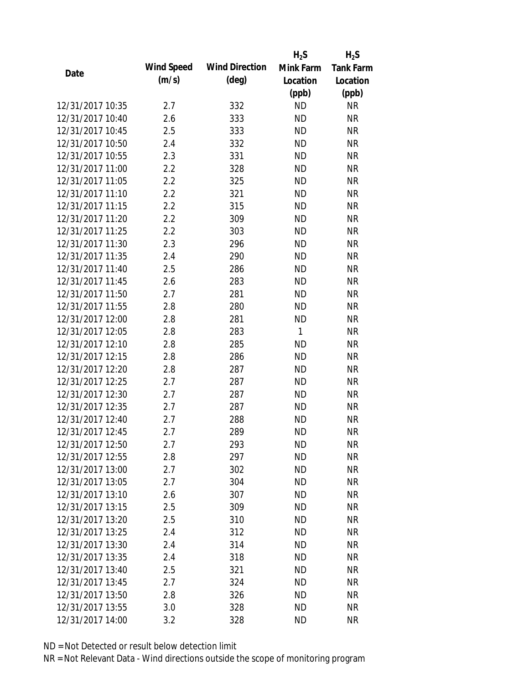|                  |            |                       | $H_2S$    | $H_2S$           |
|------------------|------------|-----------------------|-----------|------------------|
|                  | Wind Speed | <b>Wind Direction</b> | Mink Farm | <b>Tank Farm</b> |
| Date             | (m/s)      | $(\text{deg})$        | Location  | Location         |
|                  |            |                       | (ppb)     | (ppb)            |
| 12/31/2017 10:35 | 2.7        | 332                   | <b>ND</b> | <b>NR</b>        |
| 12/31/2017 10:40 | 2.6        | 333                   | <b>ND</b> | <b>NR</b>        |
| 12/31/2017 10:45 | 2.5        | 333                   | <b>ND</b> | <b>NR</b>        |
| 12/31/2017 10:50 | 2.4        | 332                   | <b>ND</b> | <b>NR</b>        |
| 12/31/2017 10:55 | 2.3        | 331                   | <b>ND</b> | <b>NR</b>        |
| 12/31/2017 11:00 | 2.2        | 328                   | <b>ND</b> | <b>NR</b>        |
| 12/31/2017 11:05 | 2.2        | 325                   | <b>ND</b> | <b>NR</b>        |
| 12/31/2017 11:10 | 2.2        | 321                   | <b>ND</b> | <b>NR</b>        |
| 12/31/2017 11:15 | 2.2        | 315                   | <b>ND</b> | <b>NR</b>        |
| 12/31/2017 11:20 | 2.2        | 309                   | <b>ND</b> | <b>NR</b>        |
| 12/31/2017 11:25 | 2.2        | 303                   | <b>ND</b> | <b>NR</b>        |
| 12/31/2017 11:30 | 2.3        | 296                   | <b>ND</b> | <b>NR</b>        |
| 12/31/2017 11:35 | 2.4        | 290                   | <b>ND</b> | <b>NR</b>        |
| 12/31/2017 11:40 | 2.5        | 286                   | <b>ND</b> | <b>NR</b>        |
| 12/31/2017 11:45 | 2.6        | 283                   | <b>ND</b> | <b>NR</b>        |
| 12/31/2017 11:50 | 2.7        | 281                   | <b>ND</b> | <b>NR</b>        |
| 12/31/2017 11:55 | 2.8        | 280                   | <b>ND</b> | <b>NR</b>        |
| 12/31/2017 12:00 | 2.8        | 281                   | <b>ND</b> | <b>NR</b>        |
| 12/31/2017 12:05 | 2.8        | 283                   | 1         | <b>NR</b>        |
| 12/31/2017 12:10 | 2.8        | 285                   | <b>ND</b> | <b>NR</b>        |
| 12/31/2017 12:15 | 2.8        | 286                   | <b>ND</b> | <b>NR</b>        |
| 12/31/2017 12:20 | 2.8        | 287                   | <b>ND</b> | <b>NR</b>        |
| 12/31/2017 12:25 | 2.7        | 287                   | <b>ND</b> | <b>NR</b>        |
| 12/31/2017 12:30 | 2.7        | 287                   | <b>ND</b> | <b>NR</b>        |
| 12/31/2017 12:35 | 2.7        | 287                   | <b>ND</b> | <b>NR</b>        |
| 12/31/2017 12:40 | 2.7        | 288                   | <b>ND</b> | <b>NR</b>        |
| 12/31/2017 12:45 | 2.7        | 289                   | <b>ND</b> | <b>NR</b>        |
| 12/31/2017 12:50 | 2.7        | 293                   | <b>ND</b> | <b>NR</b>        |
| 12/31/2017 12:55 | 2.8        | 297                   | <b>ND</b> | <b>NR</b>        |
| 12/31/2017 13:00 | 2.7        | 302                   | <b>ND</b> | <b>NR</b>        |
| 12/31/2017 13:05 | 2.7        | 304                   | <b>ND</b> | <b>NR</b>        |
| 12/31/2017 13:10 | 2.6        | 307                   | <b>ND</b> | <b>NR</b>        |
| 12/31/2017 13:15 | 2.5        | 309                   | <b>ND</b> | <b>NR</b>        |
| 12/31/2017 13:20 | 2.5        | 310                   | <b>ND</b> | <b>NR</b>        |
| 12/31/2017 13:25 | 2.4        | 312                   | <b>ND</b> | <b>NR</b>        |
| 12/31/2017 13:30 | 2.4        | 314                   | <b>ND</b> | <b>NR</b>        |
| 12/31/2017 13:35 | 2.4        | 318                   | <b>ND</b> | <b>NR</b>        |
| 12/31/2017 13:40 | 2.5        | 321                   | <b>ND</b> | <b>NR</b>        |
| 12/31/2017 13:45 | 2.7        | 324                   | <b>ND</b> | <b>NR</b>        |
| 12/31/2017 13:50 | 2.8        | 326                   | <b>ND</b> | <b>NR</b>        |
| 12/31/2017 13:55 | 3.0        | 328                   | <b>ND</b> | <b>NR</b>        |
| 12/31/2017 14:00 | 3.2        | 328                   | <b>ND</b> | <b>NR</b>        |
|                  |            |                       |           |                  |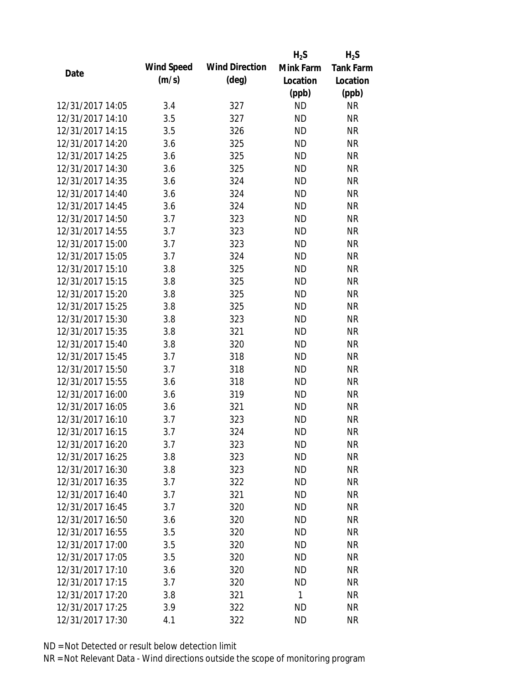|                  |            |                       | $H_2S$    | $H_2S$           |
|------------------|------------|-----------------------|-----------|------------------|
| Date             | Wind Speed | <b>Wind Direction</b> | Mink Farm | <b>Tank Farm</b> |
|                  | (m/s)      | $(\text{deg})$        | Location  | Location         |
|                  |            |                       | (ppb)     | (ppb)            |
| 12/31/2017 14:05 | 3.4        | 327                   | <b>ND</b> | <b>NR</b>        |
| 12/31/2017 14:10 | 3.5        | 327                   | <b>ND</b> | <b>NR</b>        |
| 12/31/2017 14:15 | 3.5        | 326                   | <b>ND</b> | <b>NR</b>        |
| 12/31/2017 14:20 | 3.6        | 325                   | <b>ND</b> | <b>NR</b>        |
| 12/31/2017 14:25 | 3.6        | 325                   | <b>ND</b> | <b>NR</b>        |
| 12/31/2017 14:30 | 3.6        | 325                   | <b>ND</b> | <b>NR</b>        |
| 12/31/2017 14:35 | 3.6        | 324                   | <b>ND</b> | <b>NR</b>        |
| 12/31/2017 14:40 | 3.6        | 324                   | <b>ND</b> | <b>NR</b>        |
| 12/31/2017 14:45 | 3.6        | 324                   | <b>ND</b> | <b>NR</b>        |
| 12/31/2017 14:50 | 3.7        | 323                   | <b>ND</b> | <b>NR</b>        |
| 12/31/2017 14:55 | 3.7        | 323                   | <b>ND</b> | <b>NR</b>        |
| 12/31/2017 15:00 | 3.7        | 323                   | <b>ND</b> | <b>NR</b>        |
| 12/31/2017 15:05 | 3.7        | 324                   | <b>ND</b> | <b>NR</b>        |
| 12/31/2017 15:10 | 3.8        | 325                   | <b>ND</b> | <b>NR</b>        |
| 12/31/2017 15:15 | 3.8        | 325                   | <b>ND</b> | <b>NR</b>        |
| 12/31/2017 15:20 | 3.8        | 325                   | <b>ND</b> | <b>NR</b>        |
| 12/31/2017 15:25 | 3.8        | 325                   | <b>ND</b> | <b>NR</b>        |
| 12/31/2017 15:30 | 3.8        | 323                   | <b>ND</b> | <b>NR</b>        |
| 12/31/2017 15:35 | 3.8        | 321                   | <b>ND</b> | <b>NR</b>        |
| 12/31/2017 15:40 | 3.8        | 320                   | <b>ND</b> | <b>NR</b>        |
| 12/31/2017 15:45 | 3.7        | 318                   | <b>ND</b> | <b>NR</b>        |
| 12/31/2017 15:50 | 3.7        | 318                   | <b>ND</b> | <b>NR</b>        |
| 12/31/2017 15:55 | 3.6        | 318                   | <b>ND</b> | <b>NR</b>        |
| 12/31/2017 16:00 | 3.6        | 319                   | <b>ND</b> | <b>NR</b>        |
| 12/31/2017 16:05 | 3.6        | 321                   | <b>ND</b> | <b>NR</b>        |
| 12/31/2017 16:10 | 3.7        | 323                   | <b>ND</b> | <b>NR</b>        |
| 12/31/2017 16:15 | 3.7        | 324                   | <b>ND</b> | <b>NR</b>        |
| 12/31/2017 16:20 | 3.7        | 323                   | <b>ND</b> | <b>NR</b>        |
| 12/31/2017 16:25 | 3.8        | 323                   | <b>ND</b> | <b>NR</b>        |
| 12/31/2017 16:30 | 3.8        | 323                   | ND        | <b>NR</b>        |
| 12/31/2017 16:35 | 3.7        | 322                   | <b>ND</b> | <b>NR</b>        |
| 12/31/2017 16:40 | 3.7        | 321                   | <b>ND</b> | <b>NR</b>        |
| 12/31/2017 16:45 | 3.7        | 320                   | <b>ND</b> | <b>NR</b>        |
| 12/31/2017 16:50 | 3.6        | 320                   | <b>ND</b> | <b>NR</b>        |
| 12/31/2017 16:55 | 3.5        | 320                   | <b>ND</b> | <b>NR</b>        |
| 12/31/2017 17:00 | 3.5        | 320                   | <b>ND</b> | <b>NR</b>        |
| 12/31/2017 17:05 | 3.5        | 320                   | <b>ND</b> | <b>NR</b>        |
| 12/31/2017 17:10 | 3.6        | 320                   | <b>ND</b> | <b>NR</b>        |
| 12/31/2017 17:15 | 3.7        | 320                   | <b>ND</b> | <b>NR</b>        |
| 12/31/2017 17:20 | 3.8        | 321                   | 1         | <b>NR</b>        |
| 12/31/2017 17:25 | 3.9        | 322                   | <b>ND</b> | <b>NR</b>        |
| 12/31/2017 17:30 | 4.1        | 322                   | <b>ND</b> | <b>NR</b>        |
|                  |            |                       |           |                  |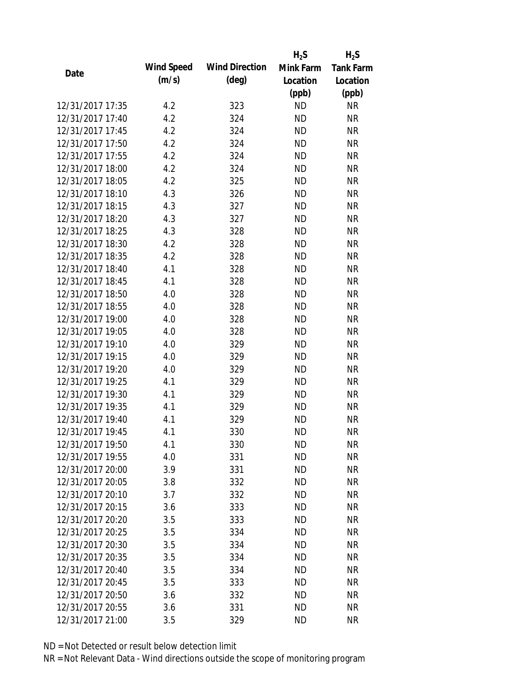|                  |            |                       | $H_2S$    | $H_2S$           |
|------------------|------------|-----------------------|-----------|------------------|
| Date             | Wind Speed | <b>Wind Direction</b> | Mink Farm | <b>Tank Farm</b> |
|                  | (m/s)      | $(\text{deg})$        | Location  | Location         |
|                  |            |                       | (ppb)     | (ppb)            |
| 12/31/2017 17:35 | 4.2        | 323                   | <b>ND</b> | <b>NR</b>        |
| 12/31/2017 17:40 | 4.2        | 324                   | <b>ND</b> | <b>NR</b>        |
| 12/31/2017 17:45 | 4.2        | 324                   | <b>ND</b> | <b>NR</b>        |
| 12/31/2017 17:50 | 4.2        | 324                   | <b>ND</b> | <b>NR</b>        |
| 12/31/2017 17:55 | 4.2        | 324                   | <b>ND</b> | <b>NR</b>        |
| 12/31/2017 18:00 | 4.2        | 324                   | <b>ND</b> | <b>NR</b>        |
| 12/31/2017 18:05 | 4.2        | 325                   | <b>ND</b> | <b>NR</b>        |
| 12/31/2017 18:10 | 4.3        | 326                   | <b>ND</b> | <b>NR</b>        |
| 12/31/2017 18:15 | 4.3        | 327                   | <b>ND</b> | <b>NR</b>        |
| 12/31/2017 18:20 | 4.3        | 327                   | <b>ND</b> | <b>NR</b>        |
| 12/31/2017 18:25 | 4.3        | 328                   | <b>ND</b> | <b>NR</b>        |
| 12/31/2017 18:30 | 4.2        | 328                   | <b>ND</b> | <b>NR</b>        |
| 12/31/2017 18:35 | 4.2        | 328                   | <b>ND</b> | <b>NR</b>        |
| 12/31/2017 18:40 | 4.1        | 328                   | <b>ND</b> | <b>NR</b>        |
| 12/31/2017 18:45 | 4.1        | 328                   | <b>ND</b> | <b>NR</b>        |
| 12/31/2017 18:50 | 4.0        | 328                   | <b>ND</b> | <b>NR</b>        |
| 12/31/2017 18:55 | 4.0        | 328                   | <b>ND</b> | <b>NR</b>        |
| 12/31/2017 19:00 | 4.0        | 328                   | <b>ND</b> | <b>NR</b>        |
| 12/31/2017 19:05 | 4.0        | 328                   | <b>ND</b> | <b>NR</b>        |
| 12/31/2017 19:10 | 4.0        | 329                   | <b>ND</b> | <b>NR</b>        |
| 12/31/2017 19:15 | 4.0        | 329                   | <b>ND</b> | <b>NR</b>        |
| 12/31/2017 19:20 | 4.0        | 329                   | <b>ND</b> | <b>NR</b>        |
| 12/31/2017 19:25 | 4.1        | 329                   | <b>ND</b> | <b>NR</b>        |
| 12/31/2017 19:30 | 4.1        | 329                   | <b>ND</b> | <b>NR</b>        |
| 12/31/2017 19:35 | 4.1        | 329                   | <b>ND</b> | <b>NR</b>        |
| 12/31/2017 19:40 | 4.1        | 329                   | <b>ND</b> | <b>NR</b>        |
| 12/31/2017 19:45 | 4.1        | 330                   | <b>ND</b> | <b>NR</b>        |
| 12/31/2017 19:50 | 4.1        | 330                   | <b>ND</b> | <b>NR</b>        |
| 12/31/2017 19:55 | 4.0        | 331                   | <b>ND</b> | <b>NR</b>        |
| 12/31/2017 20:00 | 3.9        | 331                   | <b>ND</b> | <b>NR</b>        |
| 12/31/2017 20:05 | 3.8        | 332                   | <b>ND</b> | <b>NR</b>        |
| 12/31/2017 20:10 | 3.7        | 332                   | <b>ND</b> | <b>NR</b>        |
| 12/31/2017 20:15 | 3.6        | 333                   | <b>ND</b> | <b>NR</b>        |
| 12/31/2017 20:20 | 3.5        | 333                   | <b>ND</b> | <b>NR</b>        |
| 12/31/2017 20:25 | 3.5        | 334                   | <b>ND</b> | <b>NR</b>        |
| 12/31/2017 20:30 | 3.5        | 334                   | <b>ND</b> | <b>NR</b>        |
| 12/31/2017 20:35 | 3.5        | 334                   | <b>ND</b> | <b>NR</b>        |
| 12/31/2017 20:40 | 3.5        | 334                   | <b>ND</b> | <b>NR</b>        |
| 12/31/2017 20:45 | 3.5        | 333                   | <b>ND</b> | <b>NR</b>        |
| 12/31/2017 20:50 | 3.6        | 332                   | <b>ND</b> | <b>NR</b>        |
| 12/31/2017 20:55 | 3.6        | 331                   | <b>ND</b> | <b>NR</b>        |
| 12/31/2017 21:00 | 3.5        | 329                   | <b>ND</b> | <b>NR</b>        |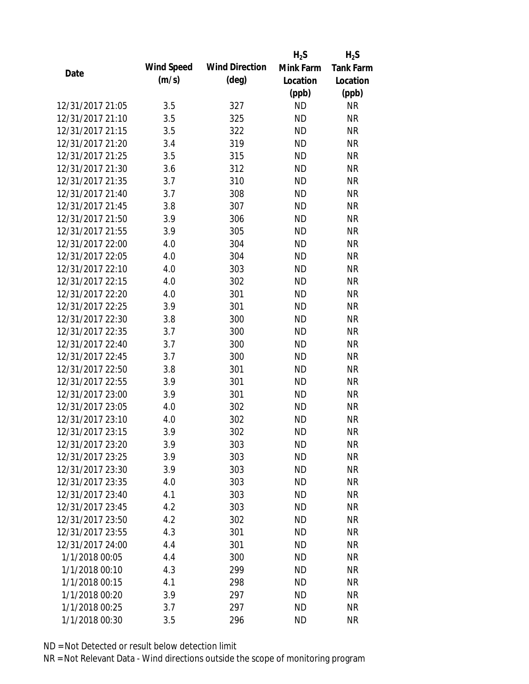|                  |            |                       | $H_2S$    | $H_2S$           |
|------------------|------------|-----------------------|-----------|------------------|
| Date             | Wind Speed | <b>Wind Direction</b> | Mink Farm | <b>Tank Farm</b> |
|                  | (m/s)      | $(\text{deg})$        | Location  | Location         |
|                  |            |                       | (ppb)     | (ppb)            |
| 12/31/2017 21:05 | 3.5        | 327                   | <b>ND</b> | <b>NR</b>        |
| 12/31/2017 21:10 | 3.5        | 325                   | <b>ND</b> | <b>NR</b>        |
| 12/31/2017 21:15 | 3.5        | 322                   | <b>ND</b> | <b>NR</b>        |
| 12/31/2017 21:20 | 3.4        | 319                   | <b>ND</b> | <b>NR</b>        |
| 12/31/2017 21:25 | 3.5        | 315                   | <b>ND</b> | <b>NR</b>        |
| 12/31/2017 21:30 | 3.6        | 312                   | <b>ND</b> | <b>NR</b>        |
| 12/31/2017 21:35 | 3.7        | 310                   | <b>ND</b> | <b>NR</b>        |
| 12/31/2017 21:40 | 3.7        | 308                   | <b>ND</b> | <b>NR</b>        |
| 12/31/2017 21:45 | 3.8        | 307                   | <b>ND</b> | <b>NR</b>        |
| 12/31/2017 21:50 | 3.9        | 306                   | <b>ND</b> | <b>NR</b>        |
| 12/31/2017 21:55 | 3.9        | 305                   | <b>ND</b> | <b>NR</b>        |
| 12/31/2017 22:00 | 4.0        | 304                   | <b>ND</b> | <b>NR</b>        |
| 12/31/2017 22:05 | 4.0        | 304                   | <b>ND</b> | <b>NR</b>        |
| 12/31/2017 22:10 | 4.0        | 303                   | <b>ND</b> | <b>NR</b>        |
| 12/31/2017 22:15 | 4.0        | 302                   | <b>ND</b> | <b>NR</b>        |
| 12/31/2017 22:20 | 4.0        | 301                   | <b>ND</b> | <b>NR</b>        |
| 12/31/2017 22:25 | 3.9        | 301                   | <b>ND</b> | <b>NR</b>        |
| 12/31/2017 22:30 | 3.8        | 300                   | <b>ND</b> | <b>NR</b>        |
| 12/31/2017 22:35 | 3.7        | 300                   | <b>ND</b> | <b>NR</b>        |
| 12/31/2017 22:40 | 3.7        | 300                   | <b>ND</b> | <b>NR</b>        |
| 12/31/2017 22:45 | 3.7        | 300                   | <b>ND</b> | <b>NR</b>        |
| 12/31/2017 22:50 | 3.8        | 301                   | <b>ND</b> | <b>NR</b>        |
| 12/31/2017 22:55 | 3.9        | 301                   | <b>ND</b> | <b>NR</b>        |
| 12/31/2017 23:00 | 3.9        | 301                   | <b>ND</b> | <b>NR</b>        |
| 12/31/2017 23:05 | 4.0        | 302                   | <b>ND</b> | <b>NR</b>        |
| 12/31/2017 23:10 | 4.0        | 302                   | <b>ND</b> | <b>NR</b>        |
| 12/31/2017 23:15 | 3.9        | 302                   | <b>ND</b> | <b>NR</b>        |
| 12/31/2017 23:20 | 3.9        | 303                   | <b>ND</b> | <b>NR</b>        |
| 12/31/2017 23:25 | 3.9        | 303                   | <b>ND</b> | <b>NR</b>        |
| 12/31/2017 23:30 | 3.9        | 303                   | <b>ND</b> | <b>NR</b>        |
| 12/31/2017 23:35 | 4.0        | 303                   | <b>ND</b> | <b>NR</b>        |
| 12/31/2017 23:40 | 4.1        | 303                   | <b>ND</b> | <b>NR</b>        |
| 12/31/2017 23:45 | 4.2        | 303                   | <b>ND</b> | <b>NR</b>        |
| 12/31/2017 23:50 | 4.2        | 302                   | <b>ND</b> | <b>NR</b>        |
| 12/31/2017 23:55 | 4.3        | 301                   | <b>ND</b> | <b>NR</b>        |
| 12/31/2017 24:00 | 4.4        | 301                   | <b>ND</b> | <b>NR</b>        |
| 1/1/2018 00:05   | 4.4        | 300                   | <b>ND</b> | <b>NR</b>        |
| 1/1/2018 00:10   | 4.3        | 299                   | <b>ND</b> | <b>NR</b>        |
| 1/1/2018 00:15   | 4.1        | 298                   | <b>ND</b> | <b>NR</b>        |
| 1/1/2018 00:20   | 3.9        | 297                   | <b>ND</b> | <b>NR</b>        |
| 1/1/2018 00:25   | 3.7        | 297                   | <b>ND</b> | <b>NR</b>        |
| 1/1/2018 00:30   | 3.5        | 296                   | <b>ND</b> | <b>NR</b>        |
|                  |            |                       |           |                  |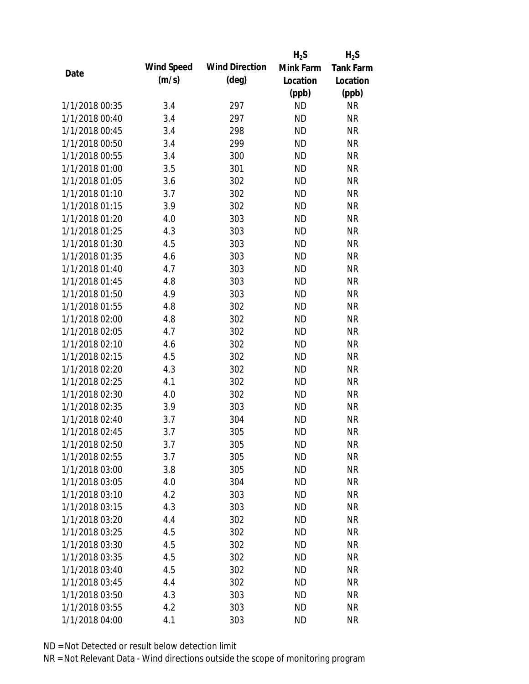|                |            |                       | $H_2S$    | $H_2S$           |
|----------------|------------|-----------------------|-----------|------------------|
|                | Wind Speed | <b>Wind Direction</b> | Mink Farm | <b>Tank Farm</b> |
| Date           | (m/s)      | $(\text{deg})$        | Location  | Location         |
|                |            |                       | (ppb)     | (ppb)            |
| 1/1/2018 00:35 | 3.4        | 297                   | <b>ND</b> | <b>NR</b>        |
| 1/1/2018 00:40 | 3.4        | 297                   | <b>ND</b> | <b>NR</b>        |
| 1/1/2018 00:45 | 3.4        | 298                   | <b>ND</b> | <b>NR</b>        |
| 1/1/2018 00:50 | 3.4        | 299                   | <b>ND</b> | <b>NR</b>        |
| 1/1/2018 00:55 | 3.4        | 300                   | <b>ND</b> | <b>NR</b>        |
| 1/1/2018 01:00 | 3.5        | 301                   | <b>ND</b> | <b>NR</b>        |
| 1/1/2018 01:05 | 3.6        | 302                   | <b>ND</b> | <b>NR</b>        |
| 1/1/2018 01:10 | 3.7        | 302                   | <b>ND</b> | <b>NR</b>        |
| 1/1/2018 01:15 | 3.9        | 302                   | <b>ND</b> | <b>NR</b>        |
| 1/1/2018 01:20 | 4.0        | 303                   | <b>ND</b> | <b>NR</b>        |
| 1/1/2018 01:25 | 4.3        | 303                   | <b>ND</b> | <b>NR</b>        |
| 1/1/2018 01:30 | 4.5        | 303                   | <b>ND</b> | <b>NR</b>        |
| 1/1/2018 01:35 | 4.6        | 303                   | <b>ND</b> | <b>NR</b>        |
| 1/1/2018 01:40 | 4.7        | 303                   | <b>ND</b> | <b>NR</b>        |
| 1/1/2018 01:45 | 4.8        | 303                   | <b>ND</b> | <b>NR</b>        |
| 1/1/2018 01:50 | 4.9        | 303                   | <b>ND</b> | <b>NR</b>        |
| 1/1/2018 01:55 | 4.8        | 302                   | <b>ND</b> | <b>NR</b>        |
| 1/1/2018 02:00 | 4.8        | 302                   | <b>ND</b> | <b>NR</b>        |
| 1/1/2018 02:05 | 4.7        | 302                   | <b>ND</b> | <b>NR</b>        |
| 1/1/2018 02:10 | 4.6        | 302                   | <b>ND</b> | <b>NR</b>        |
| 1/1/2018 02:15 | 4.5        | 302                   | <b>ND</b> | <b>NR</b>        |
| 1/1/2018 02:20 | 4.3        | 302                   | <b>ND</b> | <b>NR</b>        |
| 1/1/2018 02:25 | 4.1        | 302                   | <b>ND</b> | <b>NR</b>        |
| 1/1/2018 02:30 | 4.0        | 302                   | <b>ND</b> | <b>NR</b>        |
| 1/1/2018 02:35 | 3.9        | 303                   | <b>ND</b> | <b>NR</b>        |
| 1/1/2018 02:40 | 3.7        | 304                   | <b>ND</b> | <b>NR</b>        |
| 1/1/2018 02:45 | 3.7        | 305                   | <b>ND</b> | <b>NR</b>        |
| 1/1/2018 02:50 | 3.7        | 305                   | <b>ND</b> | <b>NR</b>        |
| 1/1/2018 02:55 | 3.7        | 305                   | <b>ND</b> | <b>NR</b>        |
| 1/1/2018 03:00 | 3.8        | 305                   | <b>ND</b> | <b>NR</b>        |
| 1/1/2018 03:05 | 4.0        | 304                   | <b>ND</b> | <b>NR</b>        |
| 1/1/2018 03:10 | 4.2        | 303                   | <b>ND</b> | <b>NR</b>        |
| 1/1/2018 03:15 | 4.3        | 303                   | <b>ND</b> | <b>NR</b>        |
| 1/1/2018 03:20 | 4.4        | 302                   | <b>ND</b> | <b>NR</b>        |
| 1/1/2018 03:25 | 4.5        | 302                   | <b>ND</b> | <b>NR</b>        |
| 1/1/2018 03:30 | 4.5        | 302                   | <b>ND</b> | <b>NR</b>        |
| 1/1/2018 03:35 | 4.5        | 302                   | <b>ND</b> | <b>NR</b>        |
| 1/1/2018 03:40 | 4.5        | 302                   | <b>ND</b> | <b>NR</b>        |
| 1/1/2018 03:45 | 4.4        | 302                   | <b>ND</b> | <b>NR</b>        |
| 1/1/2018 03:50 | 4.3        | 303                   | <b>ND</b> | NR               |
| 1/1/2018 03:55 | 4.2        | 303                   | <b>ND</b> | <b>NR</b>        |
| 1/1/2018 04:00 | 4.1        | 303                   | <b>ND</b> | <b>NR</b>        |
|                |            |                       |           |                  |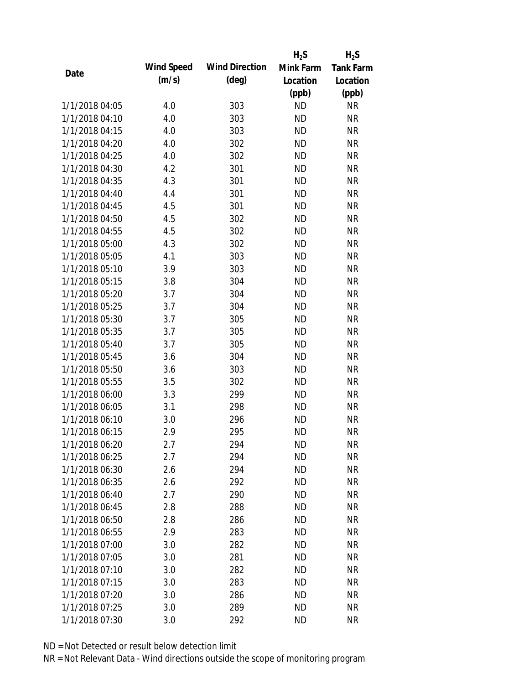|                |            |                       | $H_2S$    | $H_2S$           |
|----------------|------------|-----------------------|-----------|------------------|
|                | Wind Speed | <b>Wind Direction</b> | Mink Farm | <b>Tank Farm</b> |
| Date           | (m/s)      | $(\text{deg})$        | Location  | Location         |
|                |            |                       | (ppb)     | (ppb)            |
| 1/1/2018 04:05 | 4.0        | 303                   | <b>ND</b> | <b>NR</b>        |
| 1/1/2018 04:10 | 4.0        | 303                   | <b>ND</b> | <b>NR</b>        |
| 1/1/2018 04:15 | 4.0        | 303                   | <b>ND</b> | <b>NR</b>        |
| 1/1/2018 04:20 | 4.0        | 302                   | <b>ND</b> | <b>NR</b>        |
| 1/1/2018 04:25 | 4.0        | 302                   | <b>ND</b> | <b>NR</b>        |
| 1/1/2018 04:30 | 4.2        | 301                   | <b>ND</b> | <b>NR</b>        |
| 1/1/2018 04:35 | 4.3        | 301                   | <b>ND</b> | <b>NR</b>        |
| 1/1/2018 04:40 | 4.4        | 301                   | <b>ND</b> | <b>NR</b>        |
| 1/1/2018 04:45 | 4.5        | 301                   | <b>ND</b> | <b>NR</b>        |
| 1/1/2018 04:50 | 4.5        | 302                   | <b>ND</b> | <b>NR</b>        |
| 1/1/2018 04:55 | 4.5        | 302                   | <b>ND</b> | <b>NR</b>        |
| 1/1/2018 05:00 | 4.3        | 302                   | <b>ND</b> | <b>NR</b>        |
| 1/1/2018 05:05 | 4.1        | 303                   | <b>ND</b> | <b>NR</b>        |
| 1/1/2018 05:10 | 3.9        | 303                   | <b>ND</b> | <b>NR</b>        |
| 1/1/2018 05:15 | 3.8        | 304                   | <b>ND</b> | <b>NR</b>        |
| 1/1/2018 05:20 | 3.7        | 304                   | <b>ND</b> | <b>NR</b>        |
| 1/1/2018 05:25 | 3.7        | 304                   | <b>ND</b> | <b>NR</b>        |
| 1/1/2018 05:30 | 3.7        | 305                   | <b>ND</b> | <b>NR</b>        |
| 1/1/2018 05:35 | 3.7        | 305                   | <b>ND</b> | <b>NR</b>        |
| 1/1/2018 05:40 | 3.7        | 305                   | <b>ND</b> | <b>NR</b>        |
| 1/1/2018 05:45 | 3.6        | 304                   | <b>ND</b> | <b>NR</b>        |
| 1/1/2018 05:50 | 3.6        | 303                   | <b>ND</b> | <b>NR</b>        |
| 1/1/2018 05:55 | 3.5        | 302                   | <b>ND</b> | <b>NR</b>        |
| 1/1/2018 06:00 | 3.3        | 299                   | <b>ND</b> | <b>NR</b>        |
| 1/1/2018 06:05 | 3.1        | 298                   | <b>ND</b> | <b>NR</b>        |
| 1/1/2018 06:10 | 3.0        | 296                   | <b>ND</b> | <b>NR</b>        |
| 1/1/2018 06:15 | 2.9        | 295                   | <b>ND</b> | <b>NR</b>        |
| 1/1/2018 06:20 | 2.7        | 294                   | <b>ND</b> | <b>NR</b>        |
| 1/1/2018 06:25 | 2.7        | 294                   | <b>ND</b> | <b>NR</b>        |
| 1/1/2018 06:30 | 2.6        | 294                   | <b>ND</b> | <b>NR</b>        |
| 1/1/2018 06:35 | 2.6        | 292                   | <b>ND</b> | <b>NR</b>        |
| 1/1/2018 06:40 | 2.7        | 290                   | <b>ND</b> | <b>NR</b>        |
| 1/1/2018 06:45 | 2.8        | 288                   | <b>ND</b> | <b>NR</b>        |
| 1/1/2018 06:50 | 2.8        | 286                   | <b>ND</b> | <b>NR</b>        |
| 1/1/2018 06:55 | 2.9        | 283                   | <b>ND</b> | <b>NR</b>        |
| 1/1/2018 07:00 | 3.0        | 282                   | <b>ND</b> | <b>NR</b>        |
| 1/1/2018 07:05 | 3.0        | 281                   | <b>ND</b> | <b>NR</b>        |
| 1/1/2018 07:10 | 3.0        | 282                   | <b>ND</b> | <b>NR</b>        |
| 1/1/2018 07:15 | 3.0        | 283                   | <b>ND</b> | <b>NR</b>        |
| 1/1/2018 07:20 | 3.0        | 286                   | ND        | NR               |
| 1/1/2018 07:25 | 3.0        | 289                   | <b>ND</b> | <b>NR</b>        |
| 1/1/2018 07:30 | 3.0        | 292                   | <b>ND</b> | <b>NR</b>        |
|                |            |                       |           |                  |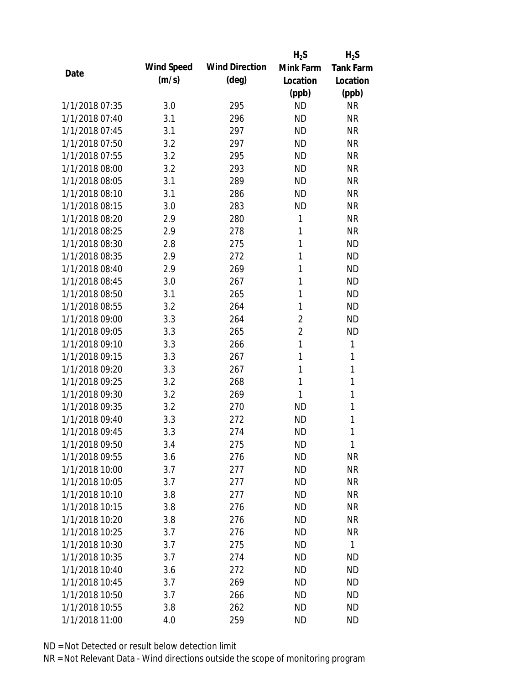|                |            |                       | $H_2S$         | $H_2S$           |
|----------------|------------|-----------------------|----------------|------------------|
| Date           | Wind Speed | <b>Wind Direction</b> | Mink Farm      | <b>Tank Farm</b> |
|                | (m/s)      | $(\text{deg})$        | Location       | Location         |
|                |            |                       | (ppb)          | (ppb)            |
| 1/1/2018 07:35 | 3.0        | 295                   | <b>ND</b>      | <b>NR</b>        |
| 1/1/2018 07:40 | 3.1        | 296                   | <b>ND</b>      | <b>NR</b>        |
| 1/1/2018 07:45 | 3.1        | 297                   | <b>ND</b>      | <b>NR</b>        |
| 1/1/2018 07:50 | 3.2        | 297                   | <b>ND</b>      | <b>NR</b>        |
| 1/1/2018 07:55 | 3.2        | 295                   | <b>ND</b>      | <b>NR</b>        |
| 1/1/2018 08:00 | 3.2        | 293                   | <b>ND</b>      | <b>NR</b>        |
| 1/1/2018 08:05 | 3.1        | 289                   | <b>ND</b>      | <b>NR</b>        |
| 1/1/2018 08:10 | 3.1        | 286                   | <b>ND</b>      | <b>NR</b>        |
| 1/1/2018 08:15 | 3.0        | 283                   | <b>ND</b>      | <b>NR</b>        |
| 1/1/2018 08:20 | 2.9        | 280                   | 1              | <b>NR</b>        |
| 1/1/2018 08:25 | 2.9        | 278                   | 1              | <b>NR</b>        |
| 1/1/2018 08:30 | 2.8        | 275                   | $\mathbf{1}$   | <b>ND</b>        |
| 1/1/2018 08:35 | 2.9        | 272                   | 1              | <b>ND</b>        |
| 1/1/2018 08:40 | 2.9        | 269                   | 1              | <b>ND</b>        |
| 1/1/2018 08:45 | 3.0        | 267                   | 1              | <b>ND</b>        |
| 1/1/2018 08:50 | 3.1        | 265                   | 1              | <b>ND</b>        |
| 1/1/2018 08:55 | 3.2        | 264                   | 1              | <b>ND</b>        |
| 1/1/2018 09:00 | 3.3        | 264                   | $\overline{2}$ | <b>ND</b>        |
| 1/1/2018 09:05 | 3.3        | 265                   | $\overline{2}$ | <b>ND</b>        |
| 1/1/2018 09:10 | 3.3        | 266                   | 1              | 1                |
| 1/1/2018 09:15 | 3.3        | 267                   | 1              | 1                |
| 1/1/2018 09:20 | 3.3        | 267                   | 1              | $\mathbf{1}$     |
| 1/1/2018 09:25 | 3.2        | 268                   | 1              | 1                |
| 1/1/2018 09:30 | 3.2        | 269                   | 1              | 1                |
| 1/1/2018 09:35 | 3.2        | 270                   | <b>ND</b>      | 1                |
| 1/1/2018 09:40 | 3.3        | 272                   | <b>ND</b>      | 1                |
| 1/1/2018 09:45 | 3.3        | 274                   | <b>ND</b>      | 1                |
| 1/1/2018 09:50 | 3.4        | 275                   | <b>ND</b>      | 1                |
| 1/1/2018 09:55 | 3.6        | 276                   | <b>ND</b>      | <b>NR</b>        |
| 1/1/2018 10:00 | 3.7        | 277                   | <b>ND</b>      | <b>NR</b>        |
| 1/1/2018 10:05 | 3.7        | 277                   | <b>ND</b>      | <b>NR</b>        |
| 1/1/2018 10:10 | 3.8        | 277                   | <b>ND</b>      | <b>NR</b>        |
| 1/1/2018 10:15 | 3.8        | 276                   | <b>ND</b>      | <b>NR</b>        |
| 1/1/2018 10:20 | 3.8        | 276                   | <b>ND</b>      | <b>NR</b>        |
| 1/1/2018 10:25 | 3.7        | 276                   | <b>ND</b>      | <b>NR</b>        |
| 1/1/2018 10:30 | 3.7        | 275                   | <b>ND</b>      | 1                |
| 1/1/2018 10:35 | 3.7        | 274                   | <b>ND</b>      | <b>ND</b>        |
| 1/1/2018 10:40 | 3.6        | 272                   | <b>ND</b>      | <b>ND</b>        |
| 1/1/2018 10:45 | 3.7        | 269                   | <b>ND</b>      | <b>ND</b>        |
| 1/1/2018 10:50 | 3.7        | 266                   | ND             | <b>ND</b>        |
| 1/1/2018 10:55 | 3.8        | 262                   | <b>ND</b>      | <b>ND</b>        |
| 1/1/2018 11:00 | 4.0        | 259                   | <b>ND</b>      | <b>ND</b>        |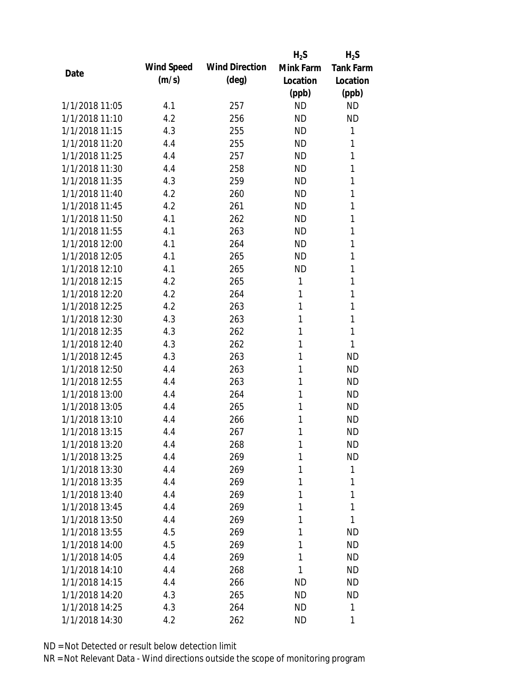|      |                |            |                       | $H_2S$    | $H_2S$           |
|------|----------------|------------|-----------------------|-----------|------------------|
| Date |                | Wind Speed | <b>Wind Direction</b> | Mink Farm | <b>Tank Farm</b> |
|      |                | (m/s)      | $(\text{deg})$        | Location  | Location         |
|      |                |            |                       | (ppb)     | (ppb)            |
|      | 1/1/2018 11:05 | 4.1        | 257                   | <b>ND</b> | <b>ND</b>        |
|      | 1/1/2018 11:10 | 4.2        | 256                   | <b>ND</b> | <b>ND</b>        |
|      | 1/1/2018 11:15 | 4.3        | 255                   | <b>ND</b> | 1                |
|      | 1/1/2018 11:20 | 4.4        | 255                   | <b>ND</b> | 1                |
|      | 1/1/2018 11:25 | 4.4        | 257                   | <b>ND</b> | 1                |
|      | 1/1/2018 11:30 | 4.4        | 258                   | <b>ND</b> | 1                |
|      | 1/1/2018 11:35 | 4.3        | 259                   | <b>ND</b> | 1                |
|      | 1/1/2018 11:40 | 4.2        | 260                   | <b>ND</b> | 1                |
|      | 1/1/2018 11:45 | 4.2        | 261                   | <b>ND</b> | 1                |
|      | 1/1/2018 11:50 | 4.1        | 262                   | <b>ND</b> | 1                |
|      | 1/1/2018 11:55 | 4.1        | 263                   | <b>ND</b> | 1                |
|      | 1/1/2018 12:00 | 4.1        | 264                   | <b>ND</b> | 1                |
|      | 1/1/2018 12:05 | 4.1        | 265                   | <b>ND</b> | 1                |
|      | 1/1/2018 12:10 | 4.1        | 265                   | <b>ND</b> | 1                |
|      | 1/1/2018 12:15 | 4.2        | 265                   | 1         | 1                |
|      | 1/1/2018 12:20 | 4.2        | 264                   | 1         | 1                |
|      | 1/1/2018 12:25 | 4.2        | 263                   | 1         | 1                |
|      | 1/1/2018 12:30 | 4.3        | 263                   | 1         | 1                |
|      | 1/1/2018 12:35 | 4.3        | 262                   | 1         | 1                |
|      | 1/1/2018 12:40 | 4.3        | 262                   | 1         | 1                |
|      | 1/1/2018 12:45 | 4.3        | 263                   | 1         | <b>ND</b>        |
|      | 1/1/2018 12:50 | 4.4        | 263                   | 1         | <b>ND</b>        |
|      | 1/1/2018 12:55 | 4.4        | 263                   | 1         | <b>ND</b>        |
|      | 1/1/2018 13:00 | 4.4        | 264                   | 1         | <b>ND</b>        |
|      | 1/1/2018 13:05 | 4.4        | 265                   | 1         | <b>ND</b>        |
|      | 1/1/2018 13:10 | 4.4        | 266                   | 1         | <b>ND</b>        |
|      | 1/1/2018 13:15 | 4.4        | 267                   | 1         | <b>ND</b>        |
|      | 1/1/2018 13:20 | 4.4        | 268                   | 1         | <b>ND</b>        |
|      | 1/1/2018 13:25 | 4.4        | 269                   | 1         | <b>ND</b>        |
|      | 1/1/2018 13:30 | 4.4        | 269                   | 1         | 1                |
|      | 1/1/2018 13:35 | 4.4        | 269                   | 1         | 1                |
|      | 1/1/2018 13:40 | 4.4        | 269                   | 1         | 1                |
|      | 1/1/2018 13:45 | 4.4        | 269                   | 1         | 1                |
|      | 1/1/2018 13:50 | 4.4        | 269                   | 1         | 1                |
|      | 1/1/2018 13:55 | 4.5        | 269                   | 1         | <b>ND</b>        |
|      | 1/1/2018 14:00 | 4.5        | 269                   | 1         | <b>ND</b>        |
|      | 1/1/2018 14:05 | 4.4        | 269                   | 1         | <b>ND</b>        |
|      | 1/1/2018 14:10 | 4.4        | 268                   | 1         | <b>ND</b>        |
|      | 1/1/2018 14:15 | 4.4        | 266                   | <b>ND</b> | <b>ND</b>        |
|      | 1/1/2018 14:20 | 4.3        | 265                   | ND        | <b>ND</b>        |
|      | 1/1/2018 14:25 | 4.3        | 264                   | <b>ND</b> | 1                |
|      | 1/1/2018 14:30 | 4.2        | 262                   | <b>ND</b> | 1                |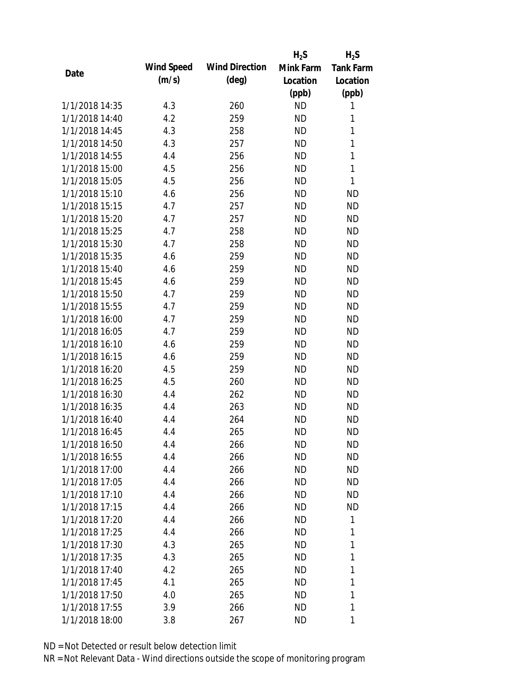|                |            |                       | $H_2S$    | $H_2S$           |
|----------------|------------|-----------------------|-----------|------------------|
| Date           | Wind Speed | <b>Wind Direction</b> | Mink Farm | <b>Tank Farm</b> |
|                | (m/s)      | $(\text{deg})$        | Location  | Location         |
|                |            |                       | (ppb)     | (ppb)            |
| 1/1/2018 14:35 | 4.3        | 260                   | <b>ND</b> | 1                |
| 1/1/2018 14:40 | 4.2        | 259                   | <b>ND</b> | 1                |
| 1/1/2018 14:45 | 4.3        | 258                   | <b>ND</b> | 1                |
| 1/1/2018 14:50 | 4.3        | 257                   | <b>ND</b> | 1                |
| 1/1/2018 14:55 | 4.4        | 256                   | <b>ND</b> | $\mathbf{1}$     |
| 1/1/2018 15:00 | 4.5        | 256                   | <b>ND</b> | 1                |
| 1/1/2018 15:05 | 4.5        | 256                   | <b>ND</b> | 1                |
| 1/1/2018 15:10 | 4.6        | 256                   | <b>ND</b> | <b>ND</b>        |
| 1/1/2018 15:15 | 4.7        | 257                   | <b>ND</b> | <b>ND</b>        |
| 1/1/2018 15:20 | 4.7        | 257                   | <b>ND</b> | <b>ND</b>        |
| 1/1/2018 15:25 | 4.7        | 258                   | <b>ND</b> | <b>ND</b>        |
| 1/1/2018 15:30 | 4.7        | 258                   | <b>ND</b> | <b>ND</b>        |
| 1/1/2018 15:35 | 4.6        | 259                   | <b>ND</b> | <b>ND</b>        |
| 1/1/2018 15:40 | 4.6        | 259                   | <b>ND</b> | <b>ND</b>        |
| 1/1/2018 15:45 | 4.6        | 259                   | <b>ND</b> | <b>ND</b>        |
| 1/1/2018 15:50 | 4.7        | 259                   | <b>ND</b> | <b>ND</b>        |
| 1/1/2018 15:55 | 4.7        | 259                   | <b>ND</b> | <b>ND</b>        |
| 1/1/2018 16:00 | 4.7        | 259                   | <b>ND</b> | <b>ND</b>        |
| 1/1/2018 16:05 | 4.7        | 259                   | <b>ND</b> | <b>ND</b>        |
| 1/1/2018 16:10 | 4.6        | 259                   | <b>ND</b> | <b>ND</b>        |
| 1/1/2018 16:15 | 4.6        | 259                   | <b>ND</b> | <b>ND</b>        |
| 1/1/2018 16:20 | 4.5        | 259                   | <b>ND</b> | <b>ND</b>        |
| 1/1/2018 16:25 | 4.5        | 260                   | <b>ND</b> | <b>ND</b>        |
| 1/1/2018 16:30 | 4.4        | 262                   | <b>ND</b> | <b>ND</b>        |
| 1/1/2018 16:35 | 4.4        | 263                   | <b>ND</b> | <b>ND</b>        |
| 1/1/2018 16:40 | 4.4        | 264                   | <b>ND</b> | <b>ND</b>        |
| 1/1/2018 16:45 | 4.4        | 265                   | <b>ND</b> | <b>ND</b>        |
| 1/1/2018 16:50 | 4.4        | 266                   | <b>ND</b> | <b>ND</b>        |
| 1/1/2018 16:55 | 4.4        | 266                   | <b>ND</b> | <b>ND</b>        |
| 1/1/2018 17:00 | 4.4        | 266                   | ND        | ND               |
| 1/1/2018 17:05 | 4.4        | 266                   | ND        | <b>ND</b>        |
| 1/1/2018 17:10 | 4.4        | 266                   | ND        | <b>ND</b>        |
| 1/1/2018 17:15 | 4.4        | 266                   | ND        | <b>ND</b>        |
| 1/1/2018 17:20 | 4.4        | 266                   | <b>ND</b> | 1                |
| 1/1/2018 17:25 | 4.4        | 266                   | ND        | 1                |
| 1/1/2018 17:30 | 4.3        | 265                   | ND        | 1                |
| 1/1/2018 17:35 | 4.3        | 265                   | ND        | 1                |
| 1/1/2018 17:40 | 4.2        | 265                   | ND        | 1                |
| 1/1/2018 17:45 | 4.1        | 265                   | <b>ND</b> | 1                |
| 1/1/2018 17:50 | 4.0        | 265                   | <b>ND</b> | 1                |
| 1/1/2018 17:55 | 3.9        | 266                   | <b>ND</b> | 1                |
| 1/1/2018 18:00 | 3.8        | 267                   | ND        | 1                |
|                |            |                       |           |                  |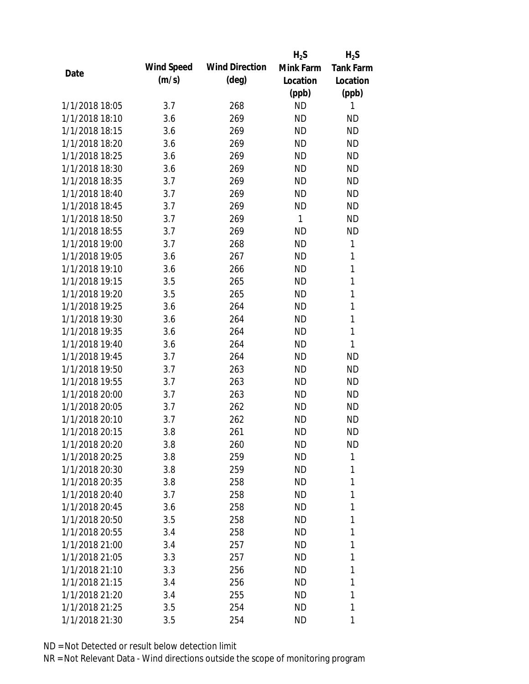|                |            |                       | $H_2S$       | $H_2S$           |
|----------------|------------|-----------------------|--------------|------------------|
|                | Wind Speed | <b>Wind Direction</b> | Mink Farm    | <b>Tank Farm</b> |
| Date           | (m/s)      | $(\text{deg})$        | Location     | Location         |
|                |            |                       | (ppb)        | (ppb)            |
| 1/1/2018 18:05 | 3.7        | 268                   | <b>ND</b>    | 1                |
| 1/1/2018 18:10 | 3.6        | 269                   | <b>ND</b>    | <b>ND</b>        |
| 1/1/2018 18:15 | 3.6        | 269                   | <b>ND</b>    | <b>ND</b>        |
| 1/1/2018 18:20 | 3.6        | 269                   | <b>ND</b>    | <b>ND</b>        |
| 1/1/2018 18:25 | 3.6        | 269                   | <b>ND</b>    | <b>ND</b>        |
| 1/1/2018 18:30 | 3.6        | 269                   | <b>ND</b>    | <b>ND</b>        |
| 1/1/2018 18:35 | 3.7        | 269                   | <b>ND</b>    | <b>ND</b>        |
| 1/1/2018 18:40 | 3.7        | 269                   | <b>ND</b>    | <b>ND</b>        |
| 1/1/2018 18:45 | 3.7        | 269                   | <b>ND</b>    | <b>ND</b>        |
| 1/1/2018 18:50 | 3.7        | 269                   | $\mathbf{1}$ | <b>ND</b>        |
| 1/1/2018 18:55 | 3.7        | 269                   | <b>ND</b>    | <b>ND</b>        |
| 1/1/2018 19:00 | 3.7        | 268                   | <b>ND</b>    | 1                |
| 1/1/2018 19:05 | 3.6        | 267                   | <b>ND</b>    | 1                |
| 1/1/2018 19:10 | 3.6        | 266                   | <b>ND</b>    | $\mathbf{1}$     |
| 1/1/2018 19:15 | 3.5        | 265                   | <b>ND</b>    | $\mathbf{1}$     |
| 1/1/2018 19:20 | 3.5        | 265                   | <b>ND</b>    | 1                |
| 1/1/2018 19:25 | 3.6        | 264                   | <b>ND</b>    | $\mathbf{1}$     |
| 1/1/2018 19:30 | 3.6        | 264                   | <b>ND</b>    | $\mathbf{1}$     |
| 1/1/2018 19:35 | 3.6        | 264                   | <b>ND</b>    | 1                |
| 1/1/2018 19:40 | 3.6        | 264                   | <b>ND</b>    | 1                |
| 1/1/2018 19:45 | 3.7        | 264                   | <b>ND</b>    | <b>ND</b>        |
| 1/1/2018 19:50 | 3.7        | 263                   | <b>ND</b>    | <b>ND</b>        |
| 1/1/2018 19:55 | 3.7        | 263                   | <b>ND</b>    | <b>ND</b>        |
| 1/1/2018 20:00 | 3.7        | 263                   | <b>ND</b>    | <b>ND</b>        |
| 1/1/2018 20:05 | 3.7        | 262                   | <b>ND</b>    | <b>ND</b>        |
| 1/1/2018 20:10 | 3.7        | 262                   | <b>ND</b>    | <b>ND</b>        |
| 1/1/2018 20:15 | 3.8        | 261                   | <b>ND</b>    | <b>ND</b>        |
| 1/1/2018 20:20 | 3.8        | 260                   | <b>ND</b>    | <b>ND</b>        |
| 1/1/2018 20:25 | 3.8        | 259                   | <b>ND</b>    | 1                |
| 1/1/2018 20:30 | 3.8        | 259                   | ND           | 1                |
| 1/1/2018 20:35 | 3.8        | 258                   | ND           | 1                |
| 1/1/2018 20:40 | 3.7        | 258                   | <b>ND</b>    | 1                |
| 1/1/2018 20:45 | 3.6        | 258                   | <b>ND</b>    | 1                |
| 1/1/2018 20:50 | 3.5        | 258                   | <b>ND</b>    | 1                |
| 1/1/2018 20:55 | 3.4        | 258                   | <b>ND</b>    | 1                |
| 1/1/2018 21:00 | 3.4        | 257                   | ND           | 1                |
| 1/1/2018 21:05 | 3.3        | 257                   | ND           | 1                |
| 1/1/2018 21:10 | 3.3        | 256                   | ND           | 1                |
| 1/1/2018 21:15 | 3.4        | 256                   | <b>ND</b>    | 1                |
| 1/1/2018 21:20 | 3.4        | 255                   | ND           | 1                |
| 1/1/2018 21:25 | 3.5        | 254                   | ND           | 1                |
| 1/1/2018 21:30 | 3.5        | 254                   | ND           | 1                |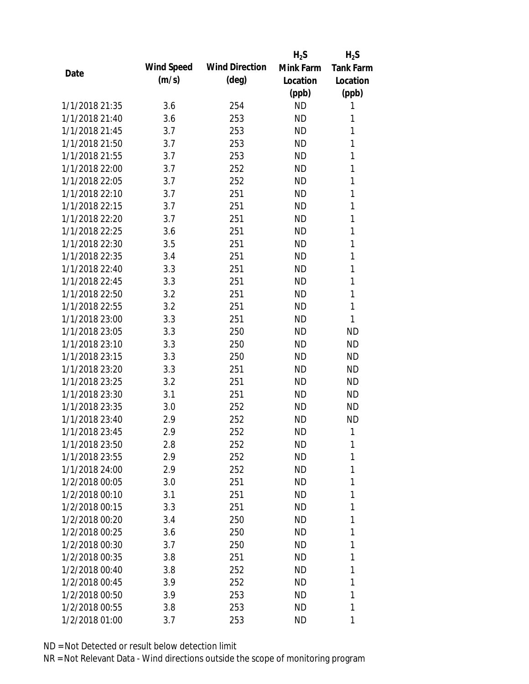|                |            |                       | $H_2S$    | $H_2S$           |
|----------------|------------|-----------------------|-----------|------------------|
| Date           | Wind Speed | <b>Wind Direction</b> | Mink Farm | <b>Tank Farm</b> |
|                | (m/s)      | $(\text{deg})$        | Location  | Location         |
|                |            |                       | (ppb)     | (ppb)            |
| 1/1/2018 21:35 | 3.6        | 254                   | <b>ND</b> | 1                |
| 1/1/2018 21:40 | 3.6        | 253                   | <b>ND</b> | 1                |
| 1/1/2018 21:45 | 3.7        | 253                   | <b>ND</b> | 1                |
| 1/1/2018 21:50 | 3.7        | 253                   | <b>ND</b> | 1                |
| 1/1/2018 21:55 | 3.7        | 253                   | <b>ND</b> | 1                |
| 1/1/2018 22:00 | 3.7        | 252                   | <b>ND</b> | 1                |
| 1/1/2018 22:05 | 3.7        | 252                   | <b>ND</b> | 1                |
| 1/1/2018 22:10 | 3.7        | 251                   | <b>ND</b> | 1                |
| 1/1/2018 22:15 | 3.7        | 251                   | <b>ND</b> | $\mathbf{1}$     |
| 1/1/2018 22:20 | 3.7        | 251                   | <b>ND</b> | 1                |
| 1/1/2018 22:25 | 3.6        | 251                   | <b>ND</b> | 1                |
| 1/1/2018 22:30 | 3.5        | 251                   | <b>ND</b> | 1                |
| 1/1/2018 22:35 | 3.4        | 251                   | <b>ND</b> | 1                |
| 1/1/2018 22:40 | 3.3        | 251                   | <b>ND</b> | 1                |
| 1/1/2018 22:45 | 3.3        | 251                   | <b>ND</b> | 1                |
| 1/1/2018 22:50 | 3.2        | 251                   | <b>ND</b> | 1                |
| 1/1/2018 22:55 | 3.2        | 251                   | <b>ND</b> | 1                |
| 1/1/2018 23:00 | 3.3        | 251                   | <b>ND</b> | $\mathbf{1}$     |
| 1/1/2018 23:05 | 3.3        | 250                   | <b>ND</b> | <b>ND</b>        |
| 1/1/2018 23:10 | 3.3        | 250                   | <b>ND</b> | <b>ND</b>        |
| 1/1/2018 23:15 | 3.3        | 250                   | <b>ND</b> | <b>ND</b>        |
| 1/1/2018 23:20 | 3.3        | 251                   | <b>ND</b> | <b>ND</b>        |
| 1/1/2018 23:25 | 3.2        | 251                   | <b>ND</b> | <b>ND</b>        |
| 1/1/2018 23:30 | 3.1        | 251                   | <b>ND</b> | <b>ND</b>        |
| 1/1/2018 23:35 | 3.0        | 252                   | <b>ND</b> | <b>ND</b>        |
| 1/1/2018 23:40 | 2.9        | 252                   | <b>ND</b> | <b>ND</b>        |
| 1/1/2018 23:45 | 2.9        | 252                   | <b>ND</b> | 1                |
| 1/1/2018 23:50 | 2.8        | 252                   | ND        | 1                |
| 1/1/2018 23:55 | 2.9        | 252                   | <b>ND</b> | 1                |
| 1/1/2018 24:00 | 2.9        | 252                   | ND        | 1                |
| 1/2/2018 00:05 | 3.0        | 251                   | <b>ND</b> | 1                |
| 1/2/2018 00:10 | 3.1        | 251                   | <b>ND</b> | 1                |
| 1/2/2018 00:15 | 3.3        | 251                   | ND        | 1                |
| 1/2/2018 00:20 | 3.4        | 250                   | <b>ND</b> | 1                |
| 1/2/2018 00:25 | 3.6        | 250                   | ND        | 1                |
| 1/2/2018 00:30 | 3.7        | 250                   | <b>ND</b> | 1                |
| 1/2/2018 00:35 | 3.8        | 251                   | ND.       | 1                |
| 1/2/2018 00:40 | 3.8        | 252                   | ND        | 1                |
| 1/2/2018 00:45 | 3.9        | 252                   | <b>ND</b> | 1                |
| 1/2/2018 00:50 | 3.9        | 253                   | <b>ND</b> | 1                |
| 1/2/2018 00:55 | 3.8        | 253                   | ND        | 1                |
| 1/2/2018 01:00 | 3.7        | 253                   | ND        | 1                |
|                |            |                       |           |                  |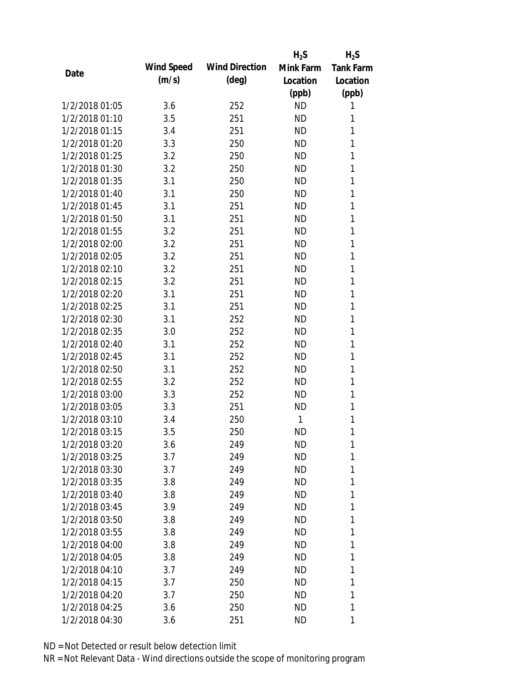|                |            |                       | $H_2S$    | $H_2S$           |
|----------------|------------|-----------------------|-----------|------------------|
| Date           | Wind Speed | <b>Wind Direction</b> | Mink Farm | <b>Tank Farm</b> |
|                | (m/s)      | $(\text{deg})$        | Location  | Location         |
|                |            |                       | (ppb)     | (ppb)            |
| 1/2/2018 01:05 | 3.6        | 252                   | <b>ND</b> | 1                |
| 1/2/2018 01:10 | 3.5        | 251                   | <b>ND</b> | 1                |
| 1/2/2018 01:15 | 3.4        | 251                   | <b>ND</b> | 1                |
| 1/2/2018 01:20 | 3.3        | 250                   | <b>ND</b> | 1                |
| 1/2/2018 01:25 | 3.2        | 250                   | <b>ND</b> | 1                |
| 1/2/2018 01:30 | 3.2        | 250                   | <b>ND</b> | 1                |
| 1/2/2018 01:35 | 3.1        | 250                   | <b>ND</b> | 1                |
| 1/2/2018 01:40 | 3.1        | 250                   | <b>ND</b> | 1                |
| 1/2/2018 01:45 | 3.1        | 251                   | <b>ND</b> | 1                |
| 1/2/2018 01:50 | 3.1        | 251                   | <b>ND</b> | 1                |
| 1/2/2018 01:55 | 3.2        | 251                   | <b>ND</b> | 1                |
| 1/2/2018 02:00 | 3.2        | 251                   | <b>ND</b> | 1                |
| 1/2/2018 02:05 | 3.2        | 251                   | <b>ND</b> | 1                |
| 1/2/2018 02:10 | 3.2        | 251                   | <b>ND</b> | 1                |
| 1/2/2018 02:15 | 3.2        | 251                   | <b>ND</b> | 1                |
| 1/2/2018 02:20 | 3.1        | 251                   | <b>ND</b> | 1                |
| 1/2/2018 02:25 | 3.1        | 251                   | <b>ND</b> | 1                |
| 1/2/2018 02:30 | 3.1        | 252                   | <b>ND</b> | 1                |
| 1/2/2018 02:35 | 3.0        | 252                   | <b>ND</b> | 1                |
| 1/2/2018 02:40 | 3.1        | 252                   | <b>ND</b> | 1                |
| 1/2/2018 02:45 | 3.1        | 252                   | <b>ND</b> | 1                |
| 1/2/2018 02:50 | 3.1        | 252                   | <b>ND</b> | 1                |
| 1/2/2018 02:55 | 3.2        | 252                   | <b>ND</b> | 1                |
| 1/2/2018 03:00 | 3.3        | 252                   | <b>ND</b> | 1                |
| 1/2/2018 03:05 | 3.3        | 251                   | <b>ND</b> | 1                |
| 1/2/2018 03:10 | 3.4        | 250                   | 1         | 1                |
| 1/2/2018 03:15 | 3.5        | 250                   | <b>ND</b> | 1                |
| 1/2/2018 03:20 | 3.6        | 249                   | <b>ND</b> | 1                |
| 1/2/2018 03:25 | 3.7        | 249                   | <b>ND</b> | 1                |
| 1/2/2018 03:30 | 3.7        | 249                   | <b>ND</b> | 1                |
| 1/2/2018 03:35 | 3.8        | 249                   | ΝD        | 1                |
| 1/2/2018 03:40 | 3.8        | 249                   | <b>ND</b> | 1                |
| 1/2/2018 03:45 | 3.9        | 249                   | ΝD        | 1                |
| 1/2/2018 03:50 | 3.8        | 249                   | <b>ND</b> | 1                |
| 1/2/2018 03:55 | 3.8        | 249                   | <b>ND</b> | 1                |
| 1/2/2018 04:00 | 3.8        | 249                   | ΝD        | 1                |
| 1/2/2018 04:05 | 3.8        | 249                   | <b>ND</b> | 1                |
| 1/2/2018 04:10 | 3.7        | 249                   | ΝD        | 1                |
| 1/2/2018 04:15 | 3.7        | 250                   | <b>ND</b> | 1                |
| 1/2/2018 04:20 | 3.7        | 250                   | ΝD        | 1                |
| 1/2/2018 04:25 |            |                       |           | 1                |
|                | 3.6        | 250                   | ΝD        |                  |
| 1/2/2018 04:30 | 3.6        | 251                   | ΝD        | 1                |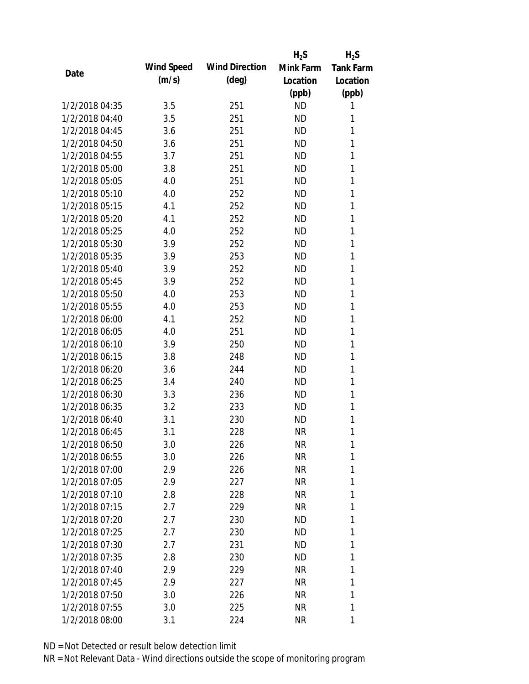|                |            |                       | $H_2S$    | $H_2S$           |
|----------------|------------|-----------------------|-----------|------------------|
|                | Wind Speed | <b>Wind Direction</b> | Mink Farm | <b>Tank Farm</b> |
| Date           | (m/s)      | $(\text{deg})$        | Location  | Location         |
|                |            |                       | (ppb)     | (ppb)            |
| 1/2/2018 04:35 | 3.5        | 251                   | <b>ND</b> | 1                |
| 1/2/2018 04:40 | 3.5        | 251                   | <b>ND</b> | 1                |
| 1/2/2018 04:45 | 3.6        | 251                   | <b>ND</b> | 1                |
| 1/2/2018 04:50 | 3.6        | 251                   | <b>ND</b> | 1                |
| 1/2/2018 04:55 | 3.7        | 251                   | <b>ND</b> | 1                |
| 1/2/2018 05:00 | 3.8        | 251                   | <b>ND</b> | 1                |
| 1/2/2018 05:05 | 4.0        | 251                   | <b>ND</b> | 1                |
| 1/2/2018 05:10 | 4.0        | 252                   | <b>ND</b> | 1                |
| 1/2/2018 05:15 | 4.1        | 252                   | <b>ND</b> | 1                |
| 1/2/2018 05:20 | 4.1        | 252                   | <b>ND</b> | 1                |
| 1/2/2018 05:25 | 4.0        | 252                   | <b>ND</b> | 1                |
| 1/2/2018 05:30 | 3.9        | 252                   | <b>ND</b> | 1                |
| 1/2/2018 05:35 | 3.9        | 253                   | <b>ND</b> | 1                |
| 1/2/2018 05:40 | 3.9        | 252                   | <b>ND</b> | 1                |
| 1/2/2018 05:45 | 3.9        | 252                   | <b>ND</b> | 1                |
| 1/2/2018 05:50 | 4.0        | 253                   | <b>ND</b> | 1                |
| 1/2/2018 05:55 | 4.0        | 253                   | <b>ND</b> | 1                |
| 1/2/2018 06:00 | 4.1        | 252                   | <b>ND</b> | 1                |
| 1/2/2018 06:05 | 4.0        | 251                   | <b>ND</b> | 1                |
| 1/2/2018 06:10 | 3.9        | 250                   | <b>ND</b> | 1                |
| 1/2/2018 06:15 | 3.8        | 248                   | <b>ND</b> | 1                |
| 1/2/2018 06:20 | 3.6        | 244                   | <b>ND</b> | 1                |
| 1/2/2018 06:25 | 3.4        | 240                   | <b>ND</b> | 1                |
| 1/2/2018 06:30 | 3.3        | 236                   | <b>ND</b> | 1                |
| 1/2/2018 06:35 | 3.2        | 233                   | <b>ND</b> | 1                |
| 1/2/2018 06:40 | 3.1        | 230                   | <b>ND</b> | 1                |
| 1/2/2018 06:45 | 3.1        | 228                   | <b>NR</b> | 1                |
| 1/2/2018 06:50 | 3.0        | 226                   | <b>NR</b> | 1                |
| 1/2/2018 06:55 | 3.0        | 226                   | <b>NR</b> | 1                |
| 1/2/2018 07:00 | 2.9        | 226                   | <b>NR</b> | 1                |
| 1/2/2018 07:05 | 2.9        | 227                   | <b>NR</b> | 1                |
| 1/2/2018 07:10 | 2.8        | 228                   | <b>NR</b> | 1                |
| 1/2/2018 07:15 | 2.7        | 229                   | <b>NR</b> | 1                |
| 1/2/2018 07:20 | 2.7        | 230                   | <b>ND</b> | 1                |
| 1/2/2018 07:25 | 2.7        | 230                   | ND        | 1                |
| 1/2/2018 07:30 | 2.7        | 231                   | ND.       | 1                |
| 1/2/2018 07:35 | 2.8        | 230                   | ND        | 1                |
| 1/2/2018 07:40 | 2.9        | 229                   | NR        | 1                |
| 1/2/2018 07:45 | 2.9        | 227                   | <b>NR</b> | 1                |
| 1/2/2018 07:50 | 3.0        | 226                   | <b>NR</b> | 1                |
| 1/2/2018 07:55 | 3.0        | 225                   | <b>NR</b> | 1                |
| 1/2/2018 08:00 | 3.1        | 224                   | <b>NR</b> | 1                |
|                |            |                       |           |                  |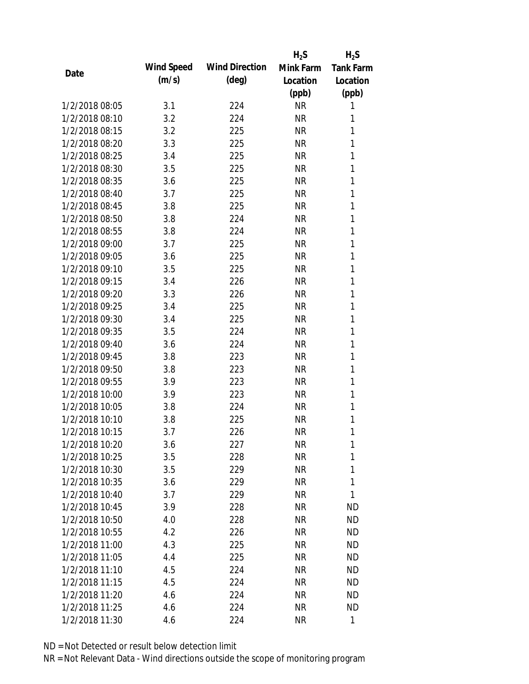|                |            |                       | $H_2S$    | $H_2S$           |
|----------------|------------|-----------------------|-----------|------------------|
| Date           | Wind Speed | <b>Wind Direction</b> | Mink Farm | <b>Tank Farm</b> |
|                | (m/s)      | $(\text{deg})$        | Location  | Location         |
|                |            |                       | (ppb)     | (ppb)            |
| 1/2/2018 08:05 | 3.1        | 224                   | <b>NR</b> | 1                |
| 1/2/2018 08:10 | 3.2        | 224                   | <b>NR</b> | 1                |
| 1/2/2018 08:15 | 3.2        | 225                   | <b>NR</b> | 1                |
| 1/2/2018 08:20 | 3.3        | 225                   | <b>NR</b> | 1                |
| 1/2/2018 08:25 | 3.4        | 225                   | <b>NR</b> | 1                |
| 1/2/2018 08:30 | 3.5        | 225                   | <b>NR</b> | 1                |
| 1/2/2018 08:35 | 3.6        | 225                   | <b>NR</b> | 1                |
| 1/2/2018 08:40 | 3.7        | 225                   | <b>NR</b> | 1                |
| 1/2/2018 08:45 | 3.8        | 225                   | <b>NR</b> | 1                |
| 1/2/2018 08:50 | 3.8        | 224                   | <b>NR</b> | 1                |
| 1/2/2018 08:55 | 3.8        | 224                   | <b>NR</b> | 1                |
| 1/2/2018 09:00 | 3.7        | 225                   | <b>NR</b> | 1                |
| 1/2/2018 09:05 | 3.6        | 225                   | <b>NR</b> | 1                |
| 1/2/2018 09:10 | 3.5        | 225                   | <b>NR</b> | 1                |
| 1/2/2018 09:15 | 3.4        | 226                   | <b>NR</b> | 1                |
| 1/2/2018 09:20 | 3.3        | 226                   | <b>NR</b> | 1                |
| 1/2/2018 09:25 | 3.4        | 225                   | <b>NR</b> | 1                |
| 1/2/2018 09:30 | 3.4        | 225                   | <b>NR</b> | 1                |
| 1/2/2018 09:35 | 3.5        | 224                   | <b>NR</b> | 1                |
| 1/2/2018 09:40 | 3.6        | 224                   | <b>NR</b> | 1                |
| 1/2/2018 09:45 | 3.8        | 223                   | <b>NR</b> | 1                |
| 1/2/2018 09:50 | 3.8        | 223                   | <b>NR</b> | 1                |
| 1/2/2018 09:55 | 3.9        | 223                   | <b>NR</b> | 1                |
| 1/2/2018 10:00 | 3.9        | 223                   | <b>NR</b> | 1                |
| 1/2/2018 10:05 | 3.8        | 224                   | <b>NR</b> | 1                |
| 1/2/2018 10:10 | 3.8        | 225                   | <b>NR</b> | 1                |
| 1/2/2018 10:15 | 3.7        | 226                   | <b>NR</b> | 1                |
| 1/2/2018 10:20 | 3.6        | 227                   | <b>NR</b> | 1                |
| 1/2/2018 10:25 | 3.5        | 228                   | <b>NR</b> | 1                |
| 1/2/2018 10:30 | 3.5        | 229                   | NR        | 1                |
| 1/2/2018 10:35 | 3.6        | 229                   | <b>NR</b> | 1                |
| 1/2/2018 10:40 | 3.7        | 229                   | <b>NR</b> | 1                |
| 1/2/2018 10:45 | 3.9        | 228                   | NR        | <b>ND</b>        |
| 1/2/2018 10:50 | 4.0        | 228                   | <b>NR</b> | <b>ND</b>        |
| 1/2/2018 10:55 | 4.2        | 226                   | NR        | <b>ND</b>        |
| 1/2/2018 11:00 | 4.3        | 225                   | NR        | <b>ND</b>        |
| 1/2/2018 11:05 | 4.4        | 225                   | <b>NR</b> | <b>ND</b>        |
| 1/2/2018 11:10 | 4.5        | 224                   | NR        | <b>ND</b>        |
| 1/2/2018 11:15 | 4.5        | 224                   | <b>NR</b> | <b>ND</b>        |
| 1/2/2018 11:20 | 4.6        | 224                   | <b>NR</b> | <b>ND</b>        |
| 1/2/2018 11:25 | 4.6        | 224                   | <b>NR</b> | <b>ND</b>        |
| 1/2/2018 11:30 | 4.6        | 224                   | <b>NR</b> | 1                |
|                |            |                       |           |                  |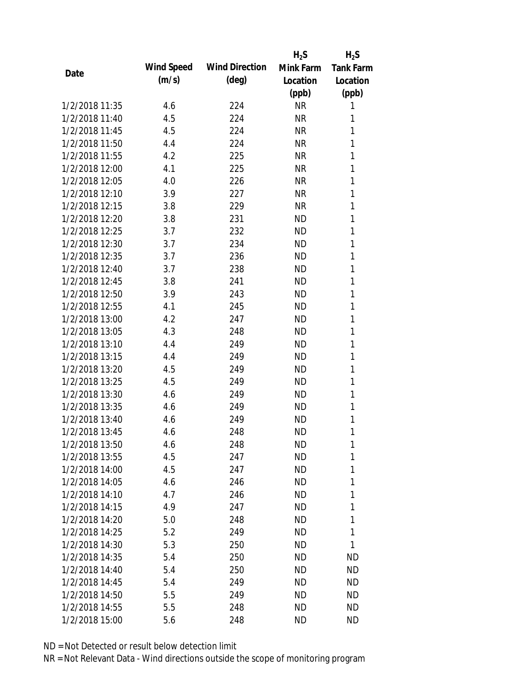|                |            |                       | $H_2S$    | $H_2S$           |
|----------------|------------|-----------------------|-----------|------------------|
| Date           | Wind Speed | <b>Wind Direction</b> | Mink Farm | <b>Tank Farm</b> |
|                | (m/s)      | $(\text{deg})$        | Location  | Location         |
|                |            |                       | (ppb)     | (ppb)            |
| 1/2/2018 11:35 | 4.6        | 224                   | <b>NR</b> | 1                |
| 1/2/2018 11:40 | 4.5        | 224                   | <b>NR</b> | 1                |
| 1/2/2018 11:45 | 4.5        | 224                   | <b>NR</b> | 1                |
| 1/2/2018 11:50 | 4.4        | 224                   | <b>NR</b> | 1                |
| 1/2/2018 11:55 | 4.2        | 225                   | <b>NR</b> | 1                |
| 1/2/2018 12:00 | 4.1        | 225                   | <b>NR</b> | 1                |
| 1/2/2018 12:05 | 4.0        | 226                   | <b>NR</b> | 1                |
| 1/2/2018 12:10 | 3.9        | 227                   | <b>NR</b> | 1                |
| 1/2/2018 12:15 | 3.8        | 229                   | <b>NR</b> | 1                |
| 1/2/2018 12:20 | 3.8        | 231                   | <b>ND</b> | 1                |
| 1/2/2018 12:25 | 3.7        | 232                   | <b>ND</b> | 1                |
| 1/2/2018 12:30 | 3.7        | 234                   | <b>ND</b> | 1                |
| 1/2/2018 12:35 | 3.7        | 236                   | <b>ND</b> | 1                |
| 1/2/2018 12:40 | 3.7        | 238                   | <b>ND</b> | 1                |
| 1/2/2018 12:45 | 3.8        | 241                   | <b>ND</b> | 1                |
| 1/2/2018 12:50 | 3.9        | 243                   | <b>ND</b> | 1                |
| 1/2/2018 12:55 | 4.1        | 245                   | <b>ND</b> | 1                |
| 1/2/2018 13:00 | 4.2        | 247                   | <b>ND</b> | 1                |
| 1/2/2018 13:05 | 4.3        | 248                   | <b>ND</b> | 1                |
| 1/2/2018 13:10 | 4.4        | 249                   | <b>ND</b> | 1                |
| 1/2/2018 13:15 | 4.4        | 249                   | <b>ND</b> | 1                |
| 1/2/2018 13:20 | 4.5        | 249                   | <b>ND</b> | 1                |
| 1/2/2018 13:25 | 4.5        | 249                   | <b>ND</b> | 1                |
| 1/2/2018 13:30 | 4.6        | 249                   | <b>ND</b> | 1                |
| 1/2/2018 13:35 | 4.6        | 249                   | <b>ND</b> | 1                |
| 1/2/2018 13:40 | 4.6        | 249                   | <b>ND</b> | 1                |
| 1/2/2018 13:45 | 4.6        | 248                   | <b>ND</b> | 1                |
| 1/2/2018 13:50 | 4.6        | 248                   | <b>ND</b> | 1                |
| 1/2/2018 13:55 | 4.5        | 247                   | <b>ND</b> | 1                |
| 1/2/2018 14:00 | 4.5        | 247                   | <b>ND</b> | 1                |
| 1/2/2018 14:05 | 4.6        | 246                   | <b>ND</b> | 1                |
| 1/2/2018 14:10 | 4.7        | 246                   | <b>ND</b> | 1                |
| 1/2/2018 14:15 | 4.9        | 247                   | ND        | 1                |
| 1/2/2018 14:20 | 5.0        | 248                   | <b>ND</b> | 1                |
| 1/2/2018 14:25 | 5.2        | 249                   | ND        | 1                |
| 1/2/2018 14:30 | 5.3        | 250                   | ND        | 1                |
| 1/2/2018 14:35 | 5.4        | 250                   | ND        | <b>ND</b>        |
| 1/2/2018 14:40 | 5.4        | 250                   | ND        | <b>ND</b>        |
| 1/2/2018 14:45 | 5.4        | 249                   | <b>ND</b> | <b>ND</b>        |
| 1/2/2018 14:50 | 5.5        | 249                   | ND        | <b>ND</b>        |
| 1/2/2018 14:55 | 5.5        | 248                   | <b>ND</b> | <b>ND</b>        |
| 1/2/2018 15:00 | 5.6        | 248                   | <b>ND</b> | <b>ND</b>        |
|                |            |                       |           |                  |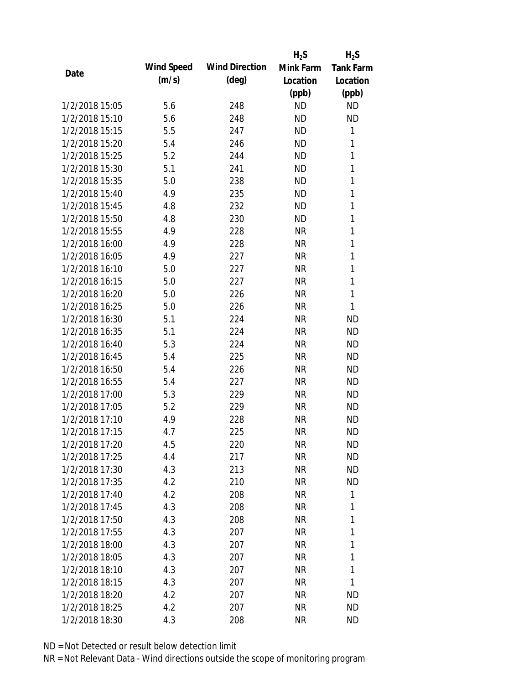|                |            |                       | $H_2S$    | $H_2S$           |
|----------------|------------|-----------------------|-----------|------------------|
|                | Wind Speed | <b>Wind Direction</b> | Mink Farm | <b>Tank Farm</b> |
| Date           | (m/s)      | $(\text{deg})$        | Location  | Location         |
|                |            |                       | (ppb)     | (ppb)            |
| 1/2/2018 15:05 | 5.6        | 248                   | <b>ND</b> | <b>ND</b>        |
| 1/2/2018 15:10 | 5.6        | 248                   | <b>ND</b> | <b>ND</b>        |
| 1/2/2018 15:15 | 5.5        | 247                   | <b>ND</b> | 1                |
| 1/2/2018 15:20 | 5.4        | 246                   | <b>ND</b> | 1                |
| 1/2/2018 15:25 | 5.2        | 244                   | <b>ND</b> | $\mathbf{1}$     |
| 1/2/2018 15:30 | 5.1        | 241                   | <b>ND</b> | 1                |
| 1/2/2018 15:35 | 5.0        | 238                   | <b>ND</b> | 1                |
| 1/2/2018 15:40 | 4.9        | 235                   | <b>ND</b> | $\mathbf{1}$     |
| 1/2/2018 15:45 | 4.8        | 232                   | <b>ND</b> | $\mathbf{1}$     |
| 1/2/2018 15:50 | 4.8        | 230                   | <b>ND</b> | 1                |
| 1/2/2018 15:55 | 4.9        | 228                   | <b>NR</b> | 1                |
| 1/2/2018 16:00 | 4.9        | 228                   | <b>NR</b> | 1                |
| 1/2/2018 16:05 | 4.9        | 227                   | <b>NR</b> | 1                |
| 1/2/2018 16:10 | 5.0        | 227                   | <b>NR</b> | $\mathbf{1}$     |
| 1/2/2018 16:15 | 5.0        | 227                   | <b>NR</b> | $\mathbf{1}$     |
| 1/2/2018 16:20 | 5.0        | 226                   | <b>NR</b> | 1                |
| 1/2/2018 16:25 | 5.0        | 226                   | <b>NR</b> | 1                |
| 1/2/2018 16:30 | 5.1        | 224                   | <b>NR</b> | <b>ND</b>        |
| 1/2/2018 16:35 | 5.1        | 224                   | <b>NR</b> | <b>ND</b>        |
| 1/2/2018 16:40 | 5.3        | 224                   | <b>NR</b> | <b>ND</b>        |
| 1/2/2018 16:45 | 5.4        | 225                   | <b>NR</b> | <b>ND</b>        |
| 1/2/2018 16:50 | 5.4        | 226                   | <b>NR</b> | <b>ND</b>        |
| 1/2/2018 16:55 | 5.4        | 227                   | <b>NR</b> | <b>ND</b>        |
| 1/2/2018 17:00 | 5.3        | 229                   | <b>NR</b> | <b>ND</b>        |
| 1/2/2018 17:05 | 5.2        | 229                   | <b>NR</b> | <b>ND</b>        |
| 1/2/2018 17:10 | 4.9        | 228                   | <b>NR</b> | <b>ND</b>        |
| 1/2/2018 17:15 | 4.7        | 225                   | <b>NR</b> | <b>ND</b>        |
| 1/2/2018 17:20 | 4.5        | 220                   | <b>NR</b> | <b>ND</b>        |
| 1/2/2018 17:25 | 4.4        | 217                   | <b>NR</b> | <b>ND</b>        |
| 1/2/2018 17:30 | 4.3        | 213                   | <b>NR</b> | ND               |
| 1/2/2018 17:35 | 4.2        | 210                   | <b>NR</b> | <b>ND</b>        |
| 1/2/2018 17:40 | 4.2        | 208                   | <b>NR</b> | 1                |
| 1/2/2018 17:45 | 4.3        | 208                   | <b>NR</b> | 1                |
| 1/2/2018 17:50 | 4.3        | 208                   | <b>NR</b> | 1                |
| 1/2/2018 17:55 | 4.3        | 207                   | <b>NR</b> | 1                |
| 1/2/2018 18:00 | 4.3        | 207                   | NR        | 1                |
| 1/2/2018 18:05 | 4.3        | 207                   | <b>NR</b> | 1                |
| 1/2/2018 18:10 | 4.3        | 207                   | <b>NR</b> | 1                |
| 1/2/2018 18:15 | 4.3        | 207                   | <b>NR</b> | 1                |
| 1/2/2018 18:20 | 4.2        | 207                   | NR        | ND               |
| 1/2/2018 18:25 | 4.2        | 207                   | <b>NR</b> | <b>ND</b>        |
| 1/2/2018 18:30 | 4.3        | 208                   | <b>NR</b> | <b>ND</b>        |
|                |            |                       |           |                  |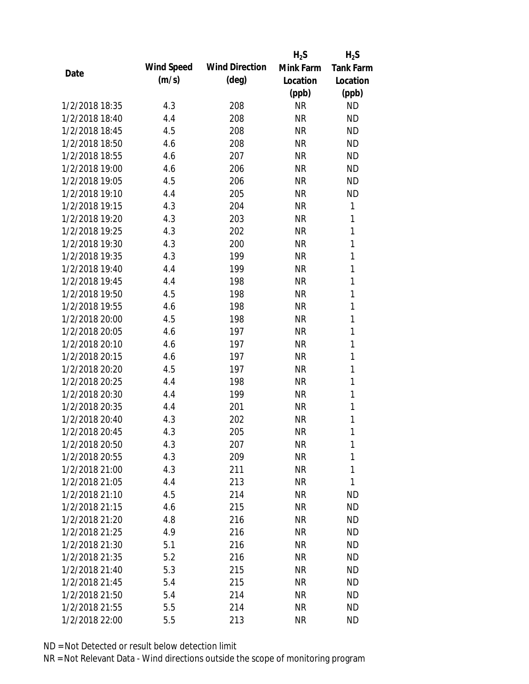|                |            |                       | $H_2S$    | $H_2S$           |
|----------------|------------|-----------------------|-----------|------------------|
| Date           | Wind Speed | <b>Wind Direction</b> | Mink Farm | <b>Tank Farm</b> |
|                | (m/s)      | $(\text{deg})$        | Location  | Location         |
|                |            |                       | (ppb)     | (ppb)            |
| 1/2/2018 18:35 | 4.3        | 208                   | <b>NR</b> | <b>ND</b>        |
| 1/2/2018 18:40 | 4.4        | 208                   | <b>NR</b> | <b>ND</b>        |
| 1/2/2018 18:45 | 4.5        | 208                   | <b>NR</b> | <b>ND</b>        |
| 1/2/2018 18:50 | 4.6        | 208                   | <b>NR</b> | <b>ND</b>        |
| 1/2/2018 18:55 | 4.6        | 207                   | <b>NR</b> | <b>ND</b>        |
| 1/2/2018 19:00 | 4.6        | 206                   | <b>NR</b> | <b>ND</b>        |
| 1/2/2018 19:05 | 4.5        | 206                   | <b>NR</b> | <b>ND</b>        |
| 1/2/2018 19:10 | 4.4        | 205                   | <b>NR</b> | <b>ND</b>        |
| 1/2/2018 19:15 | 4.3        | 204                   | <b>NR</b> | 1                |
| 1/2/2018 19:20 | 4.3        | 203                   | <b>NR</b> | 1                |
| 1/2/2018 19:25 | 4.3        | 202                   | <b>NR</b> | 1                |
| 1/2/2018 19:30 | 4.3        | 200                   | <b>NR</b> | 1                |
| 1/2/2018 19:35 | 4.3        | 199                   | <b>NR</b> | 1                |
| 1/2/2018 19:40 | 4.4        | 199                   | <b>NR</b> | 1                |
| 1/2/2018 19:45 | 4.4        | 198                   | <b>NR</b> | $\mathbf{1}$     |
| 1/2/2018 19:50 | 4.5        | 198                   | <b>NR</b> | 1                |
| 1/2/2018 19:55 | 4.6        | 198                   | <b>NR</b> | 1                |
| 1/2/2018 20:00 | 4.5        | 198                   | <b>NR</b> | 1                |
| 1/2/2018 20:05 | 4.6        | 197                   | <b>NR</b> | 1                |
| 1/2/2018 20:10 | 4.6        | 197                   | <b>NR</b> | 1                |
| 1/2/2018 20:15 | 4.6        | 197                   | <b>NR</b> | $\mathbf{1}$     |
| 1/2/2018 20:20 | 4.5        | 197                   | <b>NR</b> | $\mathbf{1}$     |
| 1/2/2018 20:25 | 4.4        | 198                   | <b>NR</b> | 1                |
| 1/2/2018 20:30 | 4.4        | 199                   | <b>NR</b> | $\mathbf{1}$     |
| 1/2/2018 20:35 | 4.4        | 201                   | <b>NR</b> | 1                |
| 1/2/2018 20:40 | 4.3        | 202                   | <b>NR</b> | 1                |
| 1/2/2018 20:45 | 4.3        | 205                   | <b>NR</b> | 1                |
| 1/2/2018 20:50 | 4.3        | 207                   | NR        | 1                |
| 1/2/2018 20:55 | 4.3        | 209                   | <b>NR</b> | 1                |
| 1/2/2018 21:00 | 4.3        | 211                   | <b>NR</b> | 1                |
| 1/2/2018 21:05 | 4.4        | 213                   | <b>NR</b> | 1                |
| 1/2/2018 21:10 | 4.5        | 214                   | <b>NR</b> | <b>ND</b>        |
| 1/2/2018 21:15 | 4.6        | 215                   | <b>NR</b> | <b>ND</b>        |
| 1/2/2018 21:20 | 4.8        | 216                   | <b>NR</b> | <b>ND</b>        |
| 1/2/2018 21:25 | 4.9        | 216                   | <b>NR</b> | <b>ND</b>        |
| 1/2/2018 21:30 | 5.1        | 216                   | <b>NR</b> | <b>ND</b>        |
| 1/2/2018 21:35 | 5.2        | 216                   | NR        | <b>ND</b>        |
| 1/2/2018 21:40 | 5.3        | 215                   | NR        | <b>ND</b>        |
| 1/2/2018 21:45 | 5.4        | 215                   | <b>NR</b> | <b>ND</b>        |
| 1/2/2018 21:50 | 5.4        | 214                   | <b>NR</b> | <b>ND</b>        |
| 1/2/2018 21:55 | 5.5        | 214                   | <b>NR</b> | <b>ND</b>        |
| 1/2/2018 22:00 | 5.5        | 213                   | <b>NR</b> | <b>ND</b>        |
|                |            |                       |           |                  |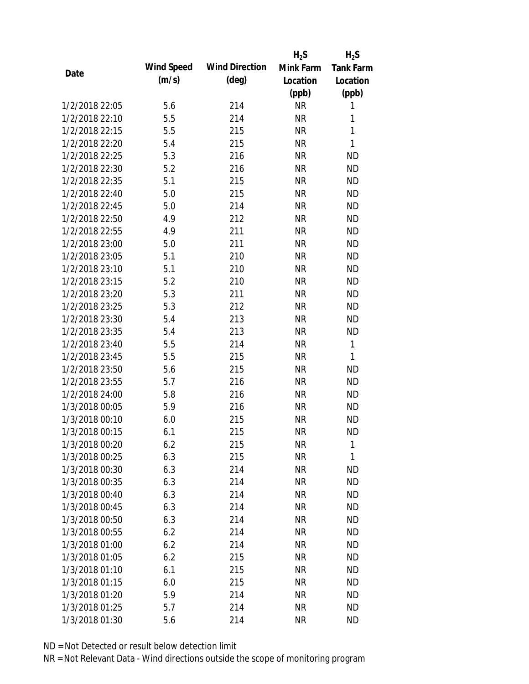|                |            |                       | $H_2S$    | $H_2S$           |
|----------------|------------|-----------------------|-----------|------------------|
| Date           | Wind Speed | <b>Wind Direction</b> | Mink Farm | <b>Tank Farm</b> |
|                | (m/s)      | $(\text{deg})$        | Location  | Location         |
|                |            |                       | (ppb)     | (ppb)            |
| 1/2/2018 22:05 | 5.6        | 214                   | <b>NR</b> | 1                |
| 1/2/2018 22:10 | 5.5        | 214                   | <b>NR</b> | 1                |
| 1/2/2018 22:15 | 5.5        | 215                   | <b>NR</b> | $\mathbf{1}$     |
| 1/2/2018 22:20 | 5.4        | 215                   | <b>NR</b> | 1                |
| 1/2/2018 22:25 | 5.3        | 216                   | <b>NR</b> | <b>ND</b>        |
| 1/2/2018 22:30 | 5.2        | 216                   | <b>NR</b> | <b>ND</b>        |
| 1/2/2018 22:35 | 5.1        | 215                   | <b>NR</b> | <b>ND</b>        |
| 1/2/2018 22:40 | 5.0        | 215                   | <b>NR</b> | <b>ND</b>        |
| 1/2/2018 22:45 | 5.0        | 214                   | <b>NR</b> | <b>ND</b>        |
| 1/2/2018 22:50 | 4.9        | 212                   | <b>NR</b> | <b>ND</b>        |
| 1/2/2018 22:55 | 4.9        | 211                   | <b>NR</b> | <b>ND</b>        |
| 1/2/2018 23:00 | 5.0        | 211                   | <b>NR</b> | <b>ND</b>        |
| 1/2/2018 23:05 | 5.1        | 210                   | <b>NR</b> | <b>ND</b>        |
| 1/2/2018 23:10 | 5.1        | 210                   | <b>NR</b> | <b>ND</b>        |
| 1/2/2018 23:15 | 5.2        | 210                   | <b>NR</b> | <b>ND</b>        |
| 1/2/2018 23:20 | 5.3        | 211                   | <b>NR</b> | <b>ND</b>        |
| 1/2/2018 23:25 | 5.3        | 212                   | <b>NR</b> | <b>ND</b>        |
| 1/2/2018 23:30 | 5.4        | 213                   | <b>NR</b> | <b>ND</b>        |
| 1/2/2018 23:35 | 5.4        | 213                   | <b>NR</b> | <b>ND</b>        |
| 1/2/2018 23:40 | 5.5        | 214                   | <b>NR</b> | 1                |
| 1/2/2018 23:45 | 5.5        | 215                   | <b>NR</b> | 1                |
| 1/2/2018 23:50 | 5.6        | 215                   | <b>NR</b> | <b>ND</b>        |
| 1/2/2018 23:55 | 5.7        | 216                   | <b>NR</b> | <b>ND</b>        |
| 1/2/2018 24:00 | 5.8        | 216                   | <b>NR</b> | <b>ND</b>        |
| 1/3/2018 00:05 | 5.9        | 216                   | <b>NR</b> | <b>ND</b>        |
| 1/3/2018 00:10 | 6.0        | 215                   | <b>NR</b> | <b>ND</b>        |
| 1/3/2018 00:15 | 6.1        | 215                   | <b>NR</b> | <b>ND</b>        |
| 1/3/2018 00:20 | 6.2        | 215                   | <b>NR</b> | 1                |
| 1/3/2018 00:25 | 6.3        | 215                   | <b>NR</b> | 1                |
| 1/3/2018 00:30 | 6.3        | 214                   | <b>NR</b> | <b>ND</b>        |
| 1/3/2018 00:35 | 6.3        | 214                   | <b>NR</b> | <b>ND</b>        |
| 1/3/2018 00:40 | 6.3        | 214                   | <b>NR</b> | <b>ND</b>        |
| 1/3/2018 00:45 | 6.3        | 214                   | <b>NR</b> | <b>ND</b>        |
| 1/3/2018 00:50 | 6.3        | 214                   | <b>NR</b> | <b>ND</b>        |
| 1/3/2018 00:55 | 6.2        | 214                   | <b>NR</b> | <b>ND</b>        |
| 1/3/2018 01:00 | 6.2        | 214                   | <b>NR</b> | <b>ND</b>        |
| 1/3/2018 01:05 | 6.2        | 215                   | <b>NR</b> | <b>ND</b>        |
| 1/3/2018 01:10 | 6.1        | 215                   | <b>NR</b> | <b>ND</b>        |
| 1/3/2018 01:15 | 6.0        | 215                   | <b>NR</b> | <b>ND</b>        |
| 1/3/2018 01:20 | 5.9        | 214                   | NR        | <b>ND</b>        |
| 1/3/2018 01:25 | 5.7        | 214                   | <b>NR</b> | <b>ND</b>        |
| 1/3/2018 01:30 | 5.6        | 214                   | <b>NR</b> | <b>ND</b>        |
|                |            |                       |           |                  |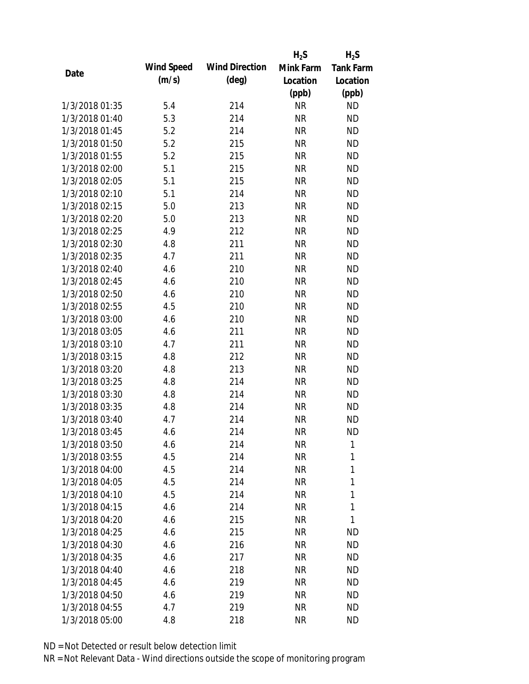|                |            |                       | $H_2S$    | $H_2S$           |
|----------------|------------|-----------------------|-----------|------------------|
|                | Wind Speed | <b>Wind Direction</b> | Mink Farm | <b>Tank Farm</b> |
| Date           | (m/s)      | $(\text{deg})$        | Location  | Location         |
|                |            |                       | (ppb)     | (ppb)            |
| 1/3/2018 01:35 | 5.4        | 214                   | <b>NR</b> | <b>ND</b>        |
| 1/3/2018 01:40 | 5.3        | 214                   | <b>NR</b> | <b>ND</b>        |
| 1/3/2018 01:45 | 5.2        | 214                   | <b>NR</b> | <b>ND</b>        |
| 1/3/2018 01:50 | 5.2        | 215                   | <b>NR</b> | <b>ND</b>        |
| 1/3/2018 01:55 | 5.2        | 215                   | <b>NR</b> | <b>ND</b>        |
| 1/3/2018 02:00 | 5.1        | 215                   | <b>NR</b> | <b>ND</b>        |
| 1/3/2018 02:05 | 5.1        | 215                   | <b>NR</b> | <b>ND</b>        |
| 1/3/2018 02:10 | 5.1        | 214                   | <b>NR</b> | <b>ND</b>        |
| 1/3/2018 02:15 | 5.0        | 213                   | <b>NR</b> | <b>ND</b>        |
| 1/3/2018 02:20 | 5.0        | 213                   | <b>NR</b> | <b>ND</b>        |
| 1/3/2018 02:25 | 4.9        | 212                   | <b>NR</b> | <b>ND</b>        |
| 1/3/2018 02:30 | 4.8        | 211                   | <b>NR</b> | <b>ND</b>        |
| 1/3/2018 02:35 | 4.7        | 211                   | <b>NR</b> | <b>ND</b>        |
| 1/3/2018 02:40 | 4.6        | 210                   | <b>NR</b> | <b>ND</b>        |
| 1/3/2018 02:45 | 4.6        | 210                   | <b>NR</b> | <b>ND</b>        |
| 1/3/2018 02:50 | 4.6        | 210                   | <b>NR</b> | <b>ND</b>        |
| 1/3/2018 02:55 | 4.5        | 210                   | <b>NR</b> | <b>ND</b>        |
| 1/3/2018 03:00 | 4.6        | 210                   | <b>NR</b> | <b>ND</b>        |
| 1/3/2018 03:05 | 4.6        | 211                   | <b>NR</b> | <b>ND</b>        |
| 1/3/2018 03:10 | 4.7        | 211                   | <b>NR</b> | <b>ND</b>        |
| 1/3/2018 03:15 | 4.8        | 212                   | <b>NR</b> | <b>ND</b>        |
| 1/3/2018 03:20 | 4.8        | 213                   | <b>NR</b> | <b>ND</b>        |
| 1/3/2018 03:25 | 4.8        | 214                   | <b>NR</b> | <b>ND</b>        |
| 1/3/2018 03:30 | 4.8        | 214                   | <b>NR</b> | <b>ND</b>        |
| 1/3/2018 03:35 | 4.8        | 214                   | <b>NR</b> | <b>ND</b>        |
| 1/3/2018 03:40 | 4.7        | 214                   | <b>NR</b> | <b>ND</b>        |
| 1/3/2018 03:45 | 4.6        | 214                   | <b>NR</b> | <b>ND</b>        |
| 1/3/2018 03:50 | 4.6        | 214                   | NR        | 1                |
| 1/3/2018 03:55 | 4.5        | 214                   | <b>NR</b> | 1                |
| 1/3/2018 04:00 | 4.5        | 214                   | <b>NR</b> | 1                |
| 1/3/2018 04:05 | 4.5        | 214                   | <b>NR</b> | 1                |
| 1/3/2018 04:10 | 4.5        | 214                   | <b>NR</b> | 1                |
| 1/3/2018 04:15 | 4.6        | 214                   | <b>NR</b> | 1                |
| 1/3/2018 04:20 | 4.6        | 215                   | <b>NR</b> | 1                |
| 1/3/2018 04:25 | 4.6        | 215                   | NR        | ND               |
| 1/3/2018 04:30 | 4.6        | 216                   | NR        | ND               |
| 1/3/2018 04:35 | 4.6        | 217                   | <b>NR</b> | <b>ND</b>        |
| 1/3/2018 04:40 | 4.6        | 218                   | NR        | <b>ND</b>        |
| 1/3/2018 04:45 | 4.6        | 219                   | <b>NR</b> | <b>ND</b>        |
| 1/3/2018 04:50 | 4.6        | 219                   | <b>NR</b> | ND               |
| 1/3/2018 04:55 | 4.7        | 219                   | <b>NR</b> | <b>ND</b>        |
| 1/3/2018 05:00 | 4.8        | 218                   | <b>NR</b> | <b>ND</b>        |
|                |            |                       |           |                  |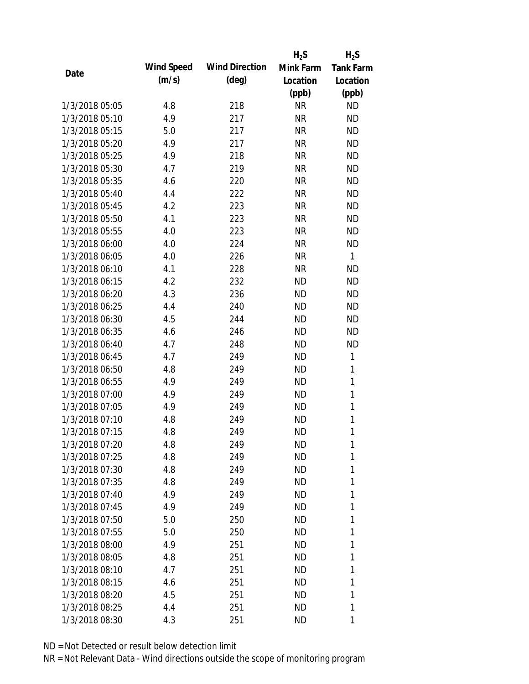|                |            |                       | $H_2S$    | $H_2S$           |
|----------------|------------|-----------------------|-----------|------------------|
|                | Wind Speed | <b>Wind Direction</b> | Mink Farm | <b>Tank Farm</b> |
| Date           | (m/s)      | $(\text{deg})$        | Location  | Location         |
|                |            |                       | (ppb)     | (ppb)            |
| 1/3/2018 05:05 | 4.8        | 218                   | <b>NR</b> | <b>ND</b>        |
| 1/3/2018 05:10 | 4.9        | 217                   | <b>NR</b> | <b>ND</b>        |
| 1/3/2018 05:15 | 5.0        | 217                   | <b>NR</b> | <b>ND</b>        |
| 1/3/2018 05:20 | 4.9        | 217                   | <b>NR</b> | <b>ND</b>        |
| 1/3/2018 05:25 | 4.9        | 218                   | <b>NR</b> | <b>ND</b>        |
| 1/3/2018 05:30 | 4.7        | 219                   | <b>NR</b> | <b>ND</b>        |
| 1/3/2018 05:35 | 4.6        | 220                   | <b>NR</b> | <b>ND</b>        |
| 1/3/2018 05:40 | 4.4        | 222                   | <b>NR</b> | <b>ND</b>        |
| 1/3/2018 05:45 | 4.2        | 223                   | <b>NR</b> | <b>ND</b>        |
| 1/3/2018 05:50 | 4.1        | 223                   | <b>NR</b> | <b>ND</b>        |
| 1/3/2018 05:55 | 4.0        | 223                   | <b>NR</b> | <b>ND</b>        |
| 1/3/2018 06:00 | 4.0        | 224                   | <b>NR</b> | <b>ND</b>        |
| 1/3/2018 06:05 | 4.0        | 226                   | <b>NR</b> | $\mathbf{1}$     |
| 1/3/2018 06:10 | 4.1        | 228                   | <b>NR</b> | <b>ND</b>        |
| 1/3/2018 06:15 | 4.2        | 232                   | <b>ND</b> | <b>ND</b>        |
| 1/3/2018 06:20 | 4.3        | 236                   | <b>ND</b> | <b>ND</b>        |
| 1/3/2018 06:25 | 4.4        | 240                   | <b>ND</b> | <b>ND</b>        |
| 1/3/2018 06:30 | 4.5        | 244                   | <b>ND</b> | <b>ND</b>        |
| 1/3/2018 06:35 | 4.6        | 246                   | <b>ND</b> | <b>ND</b>        |
| 1/3/2018 06:40 | 4.7        | 248                   | <b>ND</b> | <b>ND</b>        |
| 1/3/2018 06:45 | 4.7        | 249                   | <b>ND</b> | $\mathbf{1}$     |
| 1/3/2018 06:50 | 4.8        | 249                   | <b>ND</b> | 1                |
| 1/3/2018 06:55 | 4.9        | 249                   | <b>ND</b> | $\mathbf{1}$     |
| 1/3/2018 07:00 | 4.9        | 249                   | <b>ND</b> | $\mathbf{1}$     |
| 1/3/2018 07:05 | 4.9        | 249                   | <b>ND</b> | 1                |
| 1/3/2018 07:10 | 4.8        | 249                   | <b>ND</b> | $\mathbf{1}$     |
| 1/3/2018 07:15 | 4.8        | 249                   | <b>ND</b> | 1                |
| 1/3/2018 07:20 | 4.8        | 249                   | <b>ND</b> | 1                |
| 1/3/2018 07:25 | 4.8        | 249                   | <b>ND</b> | 1                |
| 1/3/2018 07:30 | 4.8        | 249                   | ND        | 1                |
| 1/3/2018 07:35 | 4.8        | 249                   | ND        | 1                |
| 1/3/2018 07:40 | 4.9        | 249                   | <b>ND</b> | 1                |
| 1/3/2018 07:45 | 4.9        | 249                   | <b>ND</b> | 1                |
| 1/3/2018 07:50 | 5.0        | 250                   | <b>ND</b> | 1                |
| 1/3/2018 07:55 | 5.0        | 250                   | <b>ND</b> | 1                |
| 1/3/2018 08:00 | 4.9        | 251                   | ND        | 1                |
| 1/3/2018 08:05 | 4.8        | 251                   | ND        | 1                |
| 1/3/2018 08:10 | 4.7        | 251                   | ND        | 1                |
| 1/3/2018 08:15 | 4.6        | 251                   | <b>ND</b> | 1                |
| 1/3/2018 08:20 | 4.5        | 251                   | ND        | 1                |
| 1/3/2018 08:25 | 4.4        | 251                   | ND        | 1                |
| 1/3/2018 08:30 | 4.3        | 251                   | ND        | 1                |
|                |            |                       |           |                  |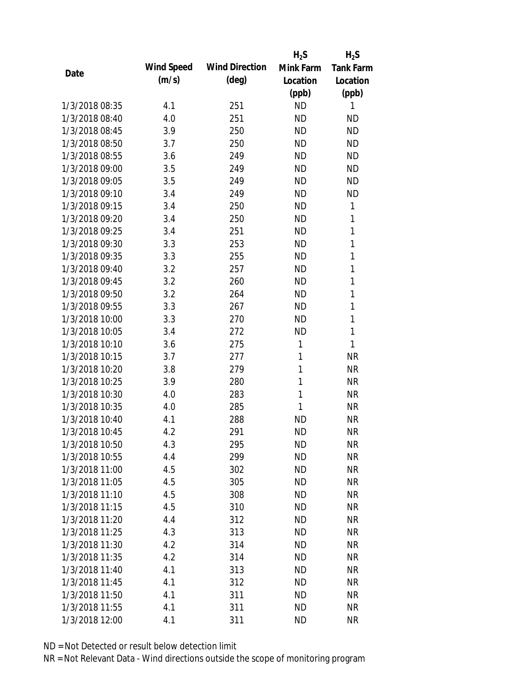|                |            |                       | $H_2S$       | $H_2S$           |
|----------------|------------|-----------------------|--------------|------------------|
|                | Wind Speed | <b>Wind Direction</b> | Mink Farm    | <b>Tank Farm</b> |
| Date           | (m/s)      | $(\text{deg})$        | Location     | Location         |
|                |            |                       | (ppb)        | (ppb)            |
| 1/3/2018 08:35 | 4.1        | 251                   | <b>ND</b>    | 1                |
| 1/3/2018 08:40 | 4.0        | 251                   | <b>ND</b>    | ND               |
| 1/3/2018 08:45 | 3.9        | 250                   | <b>ND</b>    | <b>ND</b>        |
| 1/3/2018 08:50 | 3.7        | 250                   | <b>ND</b>    | <b>ND</b>        |
| 1/3/2018 08:55 | 3.6        | 249                   | <b>ND</b>    | <b>ND</b>        |
| 1/3/2018 09:00 | 3.5        | 249                   | <b>ND</b>    | <b>ND</b>        |
| 1/3/2018 09:05 | 3.5        | 249                   | <b>ND</b>    | <b>ND</b>        |
| 1/3/2018 09:10 | 3.4        | 249                   | <b>ND</b>    | <b>ND</b>        |
| 1/3/2018 09:15 | 3.4        | 250                   | <b>ND</b>    | 1                |
| 1/3/2018 09:20 | 3.4        | 250                   | <b>ND</b>    | 1                |
| 1/3/2018 09:25 | 3.4        | 251                   | <b>ND</b>    | 1                |
| 1/3/2018 09:30 | 3.3        | 253                   | <b>ND</b>    | $\mathbf{1}$     |
| 1/3/2018 09:35 | 3.3        | 255                   | <b>ND</b>    | 1                |
| 1/3/2018 09:40 | 3.2        | 257                   | <b>ND</b>    | $\mathbf{1}$     |
| 1/3/2018 09:45 | 3.2        | 260                   | <b>ND</b>    | $\mathbf{1}$     |
| 1/3/2018 09:50 | 3.2        | 264                   | <b>ND</b>    | 1                |
| 1/3/2018 09:55 | 3.3        | 267                   | <b>ND</b>    | 1                |
| 1/3/2018 10:00 | 3.3        | 270                   | <b>ND</b>    | 1                |
| 1/3/2018 10:05 | 3.4        | 272                   | <b>ND</b>    | $\mathbf{1}$     |
| 1/3/2018 10:10 | 3.6        | 275                   | 1            | $\mathbf{1}$     |
| 1/3/2018 10:15 | 3.7        | 277                   | 1            | <b>NR</b>        |
| 1/3/2018 10:20 | 3.8        | 279                   | 1            | <b>NR</b>        |
| 1/3/2018 10:25 | 3.9        | 280                   | $\mathbf{1}$ | <b>NR</b>        |
| 1/3/2018 10:30 | 4.0        | 283                   | $\mathbf{1}$ | <b>NR</b>        |
| 1/3/2018 10:35 | 4.0        | 285                   | 1            | <b>NR</b>        |
| 1/3/2018 10:40 | 4.1        | 288                   | <b>ND</b>    | <b>NR</b>        |
| 1/3/2018 10:45 | 4.2        | 291                   | <b>ND</b>    | <b>NR</b>        |
| 1/3/2018 10:50 | 4.3        | 295                   | <b>ND</b>    | <b>NR</b>        |
| 1/3/2018 10:55 | 4.4        | 299                   | <b>ND</b>    | <b>NR</b>        |
| 1/3/2018 11:00 | 4.5        | 302                   | <b>ND</b>    | <b>NR</b>        |
| 1/3/2018 11:05 | 4.5        | 305                   | <b>ND</b>    | <b>NR</b>        |
| 1/3/2018 11:10 | 4.5        | 308                   | <b>ND</b>    | <b>NR</b>        |
| 1/3/2018 11:15 | 4.5        | 310                   | <b>ND</b>    | <b>NR</b>        |
| 1/3/2018 11:20 | 4.4        | 312                   | <b>ND</b>    | <b>NR</b>        |
| 1/3/2018 11:25 | 4.3        | 313                   | <b>ND</b>    | <b>NR</b>        |
| 1/3/2018 11:30 | 4.2        | 314                   | <b>ND</b>    | <b>NR</b>        |
| 1/3/2018 11:35 | 4.2        | 314                   | <b>ND</b>    | <b>NR</b>        |
| 1/3/2018 11:40 | 4.1        | 313                   | <b>ND</b>    | <b>NR</b>        |
| 1/3/2018 11:45 | 4.1        | 312                   | <b>ND</b>    | <b>NR</b>        |
| 1/3/2018 11:50 | 4.1        | 311                   | <b>ND</b>    | <b>NR</b>        |
| 1/3/2018 11:55 | 4.1        | 311                   | <b>ND</b>    | <b>NR</b>        |
| 1/3/2018 12:00 | 4.1        | 311                   | <b>ND</b>    | <b>NR</b>        |
|                |            |                       |              |                  |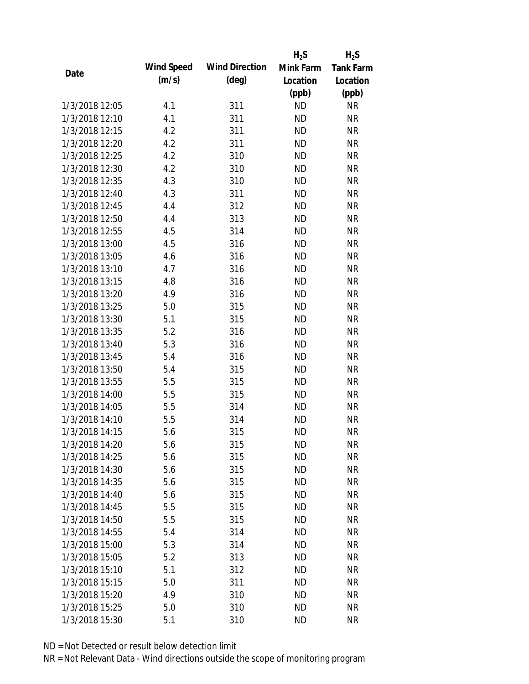|                |            |                       | $H_2S$    | $H_2S$           |
|----------------|------------|-----------------------|-----------|------------------|
|                | Wind Speed | <b>Wind Direction</b> | Mink Farm | <b>Tank Farm</b> |
| Date           | (m/s)      | $(\text{deg})$        | Location  | Location         |
|                |            |                       | (ppb)     | (ppb)            |
| 1/3/2018 12:05 | 4.1        | 311                   | <b>ND</b> | <b>NR</b>        |
| 1/3/2018 12:10 | 4.1        | 311                   | <b>ND</b> | <b>NR</b>        |
| 1/3/2018 12:15 | 4.2        | 311                   | <b>ND</b> | <b>NR</b>        |
| 1/3/2018 12:20 | 4.2        | 311                   | <b>ND</b> | <b>NR</b>        |
| 1/3/2018 12:25 | 4.2        | 310                   | <b>ND</b> | <b>NR</b>        |
| 1/3/2018 12:30 | 4.2        | 310                   | <b>ND</b> | <b>NR</b>        |
| 1/3/2018 12:35 | 4.3        | 310                   | <b>ND</b> | <b>NR</b>        |
| 1/3/2018 12:40 | 4.3        | 311                   | <b>ND</b> | <b>NR</b>        |
| 1/3/2018 12:45 | 4.4        | 312                   | <b>ND</b> | <b>NR</b>        |
| 1/3/2018 12:50 | 4.4        | 313                   | <b>ND</b> | <b>NR</b>        |
| 1/3/2018 12:55 | 4.5        | 314                   | <b>ND</b> | <b>NR</b>        |
| 1/3/2018 13:00 | 4.5        | 316                   | <b>ND</b> | <b>NR</b>        |
| 1/3/2018 13:05 | 4.6        | 316                   | <b>ND</b> | <b>NR</b>        |
| 1/3/2018 13:10 | 4.7        | 316                   | <b>ND</b> | <b>NR</b>        |
| 1/3/2018 13:15 | 4.8        | 316                   | <b>ND</b> | <b>NR</b>        |
| 1/3/2018 13:20 | 4.9        | 316                   | <b>ND</b> | <b>NR</b>        |
| 1/3/2018 13:25 | 5.0        | 315                   | <b>ND</b> | <b>NR</b>        |
| 1/3/2018 13:30 | 5.1        | 315                   | <b>ND</b> | <b>NR</b>        |
| 1/3/2018 13:35 | 5.2        | 316                   | <b>ND</b> | <b>NR</b>        |
| 1/3/2018 13:40 | 5.3        | 316                   | <b>ND</b> | <b>NR</b>        |
| 1/3/2018 13:45 | 5.4        | 316                   | <b>ND</b> | <b>NR</b>        |
| 1/3/2018 13:50 | 5.4        | 315                   | <b>ND</b> | <b>NR</b>        |
| 1/3/2018 13:55 | 5.5        | 315                   | <b>ND</b> | <b>NR</b>        |
| 1/3/2018 14:00 | 5.5        | 315                   | <b>ND</b> | <b>NR</b>        |
| 1/3/2018 14:05 | 5.5        | 314                   | <b>ND</b> | <b>NR</b>        |
| 1/3/2018 14:10 | 5.5        | 314                   | <b>ND</b> | <b>NR</b>        |
| 1/3/2018 14:15 | 5.6        | 315                   | <b>ND</b> | <b>NR</b>        |
| 1/3/2018 14:20 | 5.6        | 315                   | <b>ND</b> | <b>NR</b>        |
| 1/3/2018 14:25 | 5.6        | 315                   | <b>ND</b> | <b>NR</b>        |
| 1/3/2018 14:30 | 5.6        | 315                   | <b>ND</b> | <b>NR</b>        |
| 1/3/2018 14:35 | 5.6        | 315                   | <b>ND</b> | <b>NR</b>        |
| 1/3/2018 14:40 | 5.6        | 315                   | <b>ND</b> | <b>NR</b>        |
| 1/3/2018 14:45 | 5.5        | 315                   | <b>ND</b> | <b>NR</b>        |
| 1/3/2018 14:50 | 5.5        | 315                   | <b>ND</b> | <b>NR</b>        |
| 1/3/2018 14:55 | 5.4        | 314                   | <b>ND</b> | <b>NR</b>        |
| 1/3/2018 15:00 | 5.3        | 314                   | <b>ND</b> | <b>NR</b>        |
| 1/3/2018 15:05 | 5.2        | 313                   | <b>ND</b> | <b>NR</b>        |
| 1/3/2018 15:10 | 5.1        | 312                   | <b>ND</b> | <b>NR</b>        |
| 1/3/2018 15:15 | 5.0        | 311                   | <b>ND</b> | <b>NR</b>        |
| 1/3/2018 15:20 | 4.9        | 310                   | <b>ND</b> | NR               |
| 1/3/2018 15:25 | 5.0        | 310                   | <b>ND</b> | <b>NR</b>        |
| 1/3/2018 15:30 | 5.1        | 310                   | <b>ND</b> | <b>NR</b>        |
|                |            |                       |           |                  |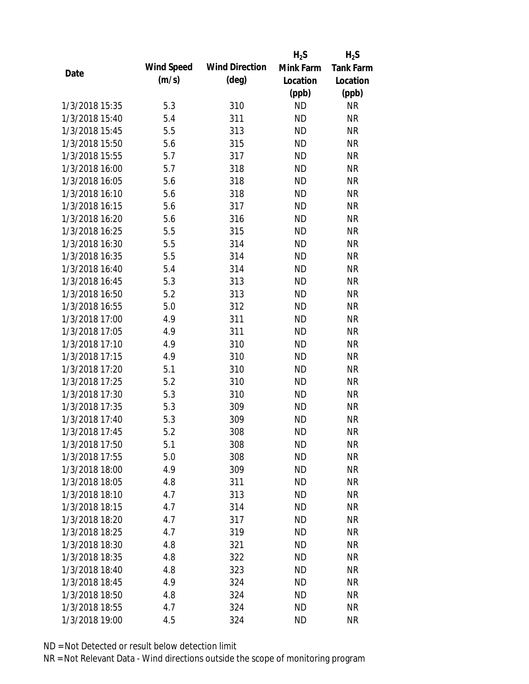|                |            |                       | $H_2S$    | $H_2S$           |
|----------------|------------|-----------------------|-----------|------------------|
|                | Wind Speed | <b>Wind Direction</b> | Mink Farm | <b>Tank Farm</b> |
| Date           | (m/s)      | $(\text{deg})$        | Location  | Location         |
|                |            |                       | (ppb)     | (ppb)            |
| 1/3/2018 15:35 | 5.3        | 310                   | <b>ND</b> | <b>NR</b>        |
| 1/3/2018 15:40 | 5.4        | 311                   | <b>ND</b> | <b>NR</b>        |
| 1/3/2018 15:45 | 5.5        | 313                   | <b>ND</b> | <b>NR</b>        |
| 1/3/2018 15:50 | 5.6        | 315                   | <b>ND</b> | <b>NR</b>        |
| 1/3/2018 15:55 | 5.7        | 317                   | <b>ND</b> | <b>NR</b>        |
| 1/3/2018 16:00 | 5.7        | 318                   | <b>ND</b> | <b>NR</b>        |
| 1/3/2018 16:05 | 5.6        | 318                   | <b>ND</b> | <b>NR</b>        |
| 1/3/2018 16:10 | 5.6        | 318                   | <b>ND</b> | <b>NR</b>        |
| 1/3/2018 16:15 | 5.6        | 317                   | <b>ND</b> | <b>NR</b>        |
| 1/3/2018 16:20 | 5.6        | 316                   | <b>ND</b> | <b>NR</b>        |
| 1/3/2018 16:25 | 5.5        | 315                   | <b>ND</b> | <b>NR</b>        |
| 1/3/2018 16:30 | 5.5        | 314                   | <b>ND</b> | <b>NR</b>        |
| 1/3/2018 16:35 | 5.5        | 314                   | <b>ND</b> | <b>NR</b>        |
| 1/3/2018 16:40 | 5.4        | 314                   | <b>ND</b> | <b>NR</b>        |
| 1/3/2018 16:45 | 5.3        | 313                   | <b>ND</b> | <b>NR</b>        |
| 1/3/2018 16:50 | 5.2        | 313                   | <b>ND</b> | <b>NR</b>        |
| 1/3/2018 16:55 | 5.0        | 312                   | <b>ND</b> | <b>NR</b>        |
| 1/3/2018 17:00 | 4.9        | 311                   | <b>ND</b> | <b>NR</b>        |
| 1/3/2018 17:05 | 4.9        | 311                   | <b>ND</b> | <b>NR</b>        |
| 1/3/2018 17:10 | 4.9        | 310                   | <b>ND</b> | <b>NR</b>        |
| 1/3/2018 17:15 | 4.9        | 310                   | <b>ND</b> | <b>NR</b>        |
| 1/3/2018 17:20 | 5.1        | 310                   | <b>ND</b> | <b>NR</b>        |
| 1/3/2018 17:25 | 5.2        | 310                   | <b>ND</b> | <b>NR</b>        |
| 1/3/2018 17:30 | 5.3        | 310                   | <b>ND</b> | <b>NR</b>        |
| 1/3/2018 17:35 | 5.3        | 309                   | <b>ND</b> | <b>NR</b>        |
| 1/3/2018 17:40 | 5.3        | 309                   | <b>ND</b> | <b>NR</b>        |
| 1/3/2018 17:45 | 5.2        | 308                   | <b>ND</b> | <b>NR</b>        |
| 1/3/2018 17:50 | 5.1        | 308                   | <b>ND</b> | <b>NR</b>        |
| 1/3/2018 17:55 | 5.0        | 308                   | <b>ND</b> | <b>NR</b>        |
| 1/3/2018 18:00 | 4.9        | 309                   | <b>ND</b> | <b>NR</b>        |
| 1/3/2018 18:05 | 4.8        | 311                   | <b>ND</b> | <b>NR</b>        |
| 1/3/2018 18:10 | 4.7        | 313                   | <b>ND</b> | <b>NR</b>        |
| 1/3/2018 18:15 | 4.7        | 314                   | <b>ND</b> | <b>NR</b>        |
| 1/3/2018 18:20 | 4.7        | 317                   | <b>ND</b> | <b>NR</b>        |
| 1/3/2018 18:25 | 4.7        | 319                   | <b>ND</b> | <b>NR</b>        |
| 1/3/2018 18:30 | 4.8        | 321                   | <b>ND</b> | <b>NR</b>        |
| 1/3/2018 18:35 | 4.8        | 322                   | <b>ND</b> | <b>NR</b>        |
| 1/3/2018 18:40 | 4.8        | 323                   | <b>ND</b> | <b>NR</b>        |
| 1/3/2018 18:45 | 4.9        | 324                   | <b>ND</b> | <b>NR</b>        |
| 1/3/2018 18:50 | 4.8        | 324                   | <b>ND</b> | NR               |
| 1/3/2018 18:55 | 4.7        | 324                   | <b>ND</b> | <b>NR</b>        |
| 1/3/2018 19:00 | 4.5        | 324                   | <b>ND</b> | <b>NR</b>        |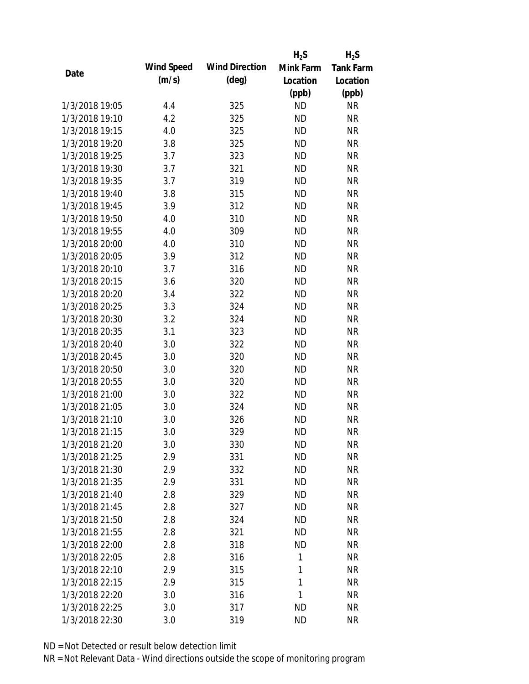|                |            |                       | $H_2S$    | $H_2S$           |
|----------------|------------|-----------------------|-----------|------------------|
|                | Wind Speed | <b>Wind Direction</b> | Mink Farm | <b>Tank Farm</b> |
| Date           | (m/s)      | $(\text{deg})$        | Location  | Location         |
|                |            |                       | (ppb)     | (ppb)            |
| 1/3/2018 19:05 | 4.4        | 325                   | <b>ND</b> | <b>NR</b>        |
| 1/3/2018 19:10 | 4.2        | 325                   | <b>ND</b> | <b>NR</b>        |
| 1/3/2018 19:15 | 4.0        | 325                   | <b>ND</b> | <b>NR</b>        |
| 1/3/2018 19:20 | 3.8        | 325                   | <b>ND</b> | <b>NR</b>        |
| 1/3/2018 19:25 | 3.7        | 323                   | <b>ND</b> | <b>NR</b>        |
| 1/3/2018 19:30 | 3.7        | 321                   | <b>ND</b> | <b>NR</b>        |
| 1/3/2018 19:35 | 3.7        | 319                   | <b>ND</b> | <b>NR</b>        |
| 1/3/2018 19:40 | 3.8        | 315                   | <b>ND</b> | <b>NR</b>        |
| 1/3/2018 19:45 | 3.9        | 312                   | <b>ND</b> | <b>NR</b>        |
| 1/3/2018 19:50 | 4.0        | 310                   | <b>ND</b> | <b>NR</b>        |
| 1/3/2018 19:55 | 4.0        | 309                   | <b>ND</b> | <b>NR</b>        |
| 1/3/2018 20:00 | 4.0        | 310                   | <b>ND</b> | <b>NR</b>        |
| 1/3/2018 20:05 | 3.9        | 312                   | <b>ND</b> | <b>NR</b>        |
| 1/3/2018 20:10 | 3.7        | 316                   | <b>ND</b> | <b>NR</b>        |
| 1/3/2018 20:15 | 3.6        | 320                   | <b>ND</b> | <b>NR</b>        |
| 1/3/2018 20:20 | 3.4        | 322                   | <b>ND</b> | <b>NR</b>        |
| 1/3/2018 20:25 | 3.3        | 324                   | <b>ND</b> | <b>NR</b>        |
| 1/3/2018 20:30 | 3.2        | 324                   | <b>ND</b> | <b>NR</b>        |
| 1/3/2018 20:35 | 3.1        | 323                   | <b>ND</b> | <b>NR</b>        |
| 1/3/2018 20:40 | 3.0        | 322                   | <b>ND</b> | <b>NR</b>        |
| 1/3/2018 20:45 | 3.0        | 320                   | <b>ND</b> | <b>NR</b>        |
| 1/3/2018 20:50 | 3.0        | 320                   | <b>ND</b> | <b>NR</b>        |
| 1/3/2018 20:55 | 3.0        | 320                   | <b>ND</b> | <b>NR</b>        |
| 1/3/2018 21:00 | 3.0        | 322                   | <b>ND</b> | <b>NR</b>        |
| 1/3/2018 21:05 | 3.0        | 324                   | <b>ND</b> | <b>NR</b>        |
| 1/3/2018 21:10 | 3.0        | 326                   | <b>ND</b> | <b>NR</b>        |
| 1/3/2018 21:15 | 3.0        | 329                   | <b>ND</b> | <b>NR</b>        |
| 1/3/2018 21:20 | 3.0        | 330                   | <b>ND</b> | <b>NR</b>        |
| 1/3/2018 21:25 | 2.9        | 331                   | <b>ND</b> | <b>NR</b>        |
| 1/3/2018 21:30 | 2.9        | 332                   | <b>ND</b> | <b>NR</b>        |
| 1/3/2018 21:35 | 2.9        | 331                   | <b>ND</b> | <b>NR</b>        |
| 1/3/2018 21:40 | 2.8        | 329                   | <b>ND</b> | <b>NR</b>        |
| 1/3/2018 21:45 | 2.8        | 327                   | <b>ND</b> | <b>NR</b>        |
| 1/3/2018 21:50 | 2.8        | 324                   | <b>ND</b> | <b>NR</b>        |
| 1/3/2018 21:55 | 2.8        | 321                   | <b>ND</b> | <b>NR</b>        |
| 1/3/2018 22:00 | 2.8        | 318                   | <b>ND</b> | <b>NR</b>        |
| 1/3/2018 22:05 | 2.8        | 316                   | 1         | <b>NR</b>        |
| 1/3/2018 22:10 | 2.9        | 315                   | 1         | <b>NR</b>        |
| 1/3/2018 22:15 | 2.9        | 315                   | 1         | <b>NR</b>        |
| 1/3/2018 22:20 | 3.0        | 316                   | 1         | <b>NR</b>        |
| 1/3/2018 22:25 | 3.0        | 317                   | <b>ND</b> | <b>NR</b>        |
| 1/3/2018 22:30 | 3.0        | 319                   | <b>ND</b> | <b>NR</b>        |
|                |            |                       |           |                  |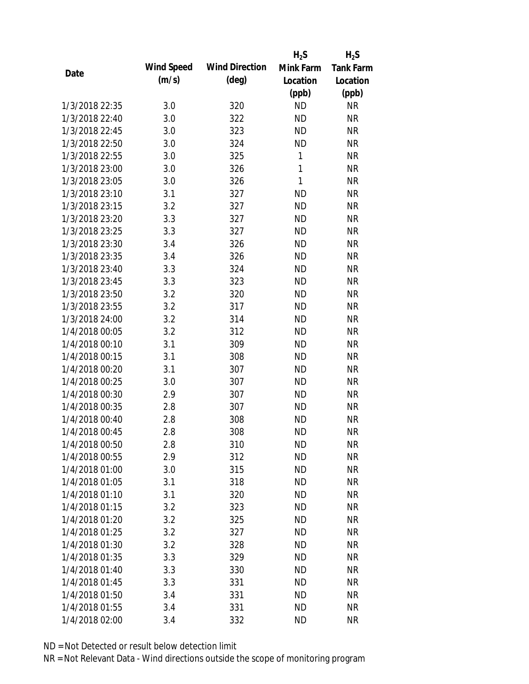|                |            |                       | $H_2S$       | $H_2S$           |
|----------------|------------|-----------------------|--------------|------------------|
|                | Wind Speed | <b>Wind Direction</b> | Mink Farm    | <b>Tank Farm</b> |
| Date           | (m/s)      | $(\text{deg})$        | Location     | Location         |
|                |            |                       | (ppb)        | (ppb)            |
| 1/3/2018 22:35 | 3.0        | 320                   | <b>ND</b>    | <b>NR</b>        |
| 1/3/2018 22:40 | 3.0        | 322                   | <b>ND</b>    | <b>NR</b>        |
| 1/3/2018 22:45 | 3.0        | 323                   | <b>ND</b>    | <b>NR</b>        |
| 1/3/2018 22:50 | 3.0        | 324                   | <b>ND</b>    | <b>NR</b>        |
| 1/3/2018 22:55 | 3.0        | 325                   | 1            | <b>NR</b>        |
| 1/3/2018 23:00 | 3.0        | 326                   | $\mathbf{1}$ | <b>NR</b>        |
| 1/3/2018 23:05 | 3.0        | 326                   | 1            | <b>NR</b>        |
| 1/3/2018 23:10 | 3.1        | 327                   | <b>ND</b>    | <b>NR</b>        |
| 1/3/2018 23:15 | 3.2        | 327                   | <b>ND</b>    | <b>NR</b>        |
| 1/3/2018 23:20 | 3.3        | 327                   | <b>ND</b>    | <b>NR</b>        |
| 1/3/2018 23:25 | 3.3        | 327                   | <b>ND</b>    | <b>NR</b>        |
| 1/3/2018 23:30 | 3.4        | 326                   | <b>ND</b>    | <b>NR</b>        |
| 1/3/2018 23:35 | 3.4        | 326                   | <b>ND</b>    | <b>NR</b>        |
| 1/3/2018 23:40 | 3.3        | 324                   | <b>ND</b>    | <b>NR</b>        |
| 1/3/2018 23:45 | 3.3        | 323                   | <b>ND</b>    | <b>NR</b>        |
| 1/3/2018 23:50 | 3.2        | 320                   | <b>ND</b>    | <b>NR</b>        |
| 1/3/2018 23:55 | 3.2        | 317                   | <b>ND</b>    | <b>NR</b>        |
| 1/3/2018 24:00 | 3.2        | 314                   | <b>ND</b>    | <b>NR</b>        |
| 1/4/2018 00:05 | 3.2        | 312                   | <b>ND</b>    | <b>NR</b>        |
| 1/4/2018 00:10 | 3.1        | 309                   | <b>ND</b>    | <b>NR</b>        |
| 1/4/2018 00:15 | 3.1        | 308                   | <b>ND</b>    | <b>NR</b>        |
| 1/4/2018 00:20 | 3.1        | 307                   | <b>ND</b>    | <b>NR</b>        |
| 1/4/2018 00:25 | 3.0        | 307                   | <b>ND</b>    | <b>NR</b>        |
| 1/4/2018 00:30 | 2.9        | 307                   | <b>ND</b>    | <b>NR</b>        |
| 1/4/2018 00:35 | 2.8        | 307                   | <b>ND</b>    | <b>NR</b>        |
| 1/4/2018 00:40 | 2.8        | 308                   | <b>ND</b>    | <b>NR</b>        |
| 1/4/2018 00:45 | 2.8        | 308                   | <b>ND</b>    | <b>NR</b>        |
| 1/4/2018 00:50 | 2.8        | 310                   | <b>ND</b>    | <b>NR</b>        |
| 1/4/2018 00:55 | 2.9        | 312                   | <b>ND</b>    | <b>NR</b>        |
| 1/4/2018 01:00 | 3.0        | 315                   | <b>ND</b>    | <b>NR</b>        |
| 1/4/2018 01:05 | 3.1        | 318                   | <b>ND</b>    | <b>NR</b>        |
| 1/4/2018 01:10 | 3.1        | 320                   | <b>ND</b>    | <b>NR</b>        |
| 1/4/2018 01:15 | 3.2        | 323                   | <b>ND</b>    | <b>NR</b>        |
| 1/4/2018 01:20 | 3.2        | 325                   | <b>ND</b>    | <b>NR</b>        |
| 1/4/2018 01:25 | 3.2        | 327                   | <b>ND</b>    | <b>NR</b>        |
| 1/4/2018 01:30 | 3.2        | 328                   | <b>ND</b>    | <b>NR</b>        |
| 1/4/2018 01:35 | 3.3        | 329                   | <b>ND</b>    | <b>NR</b>        |
| 1/4/2018 01:40 | 3.3        | 330                   | <b>ND</b>    | <b>NR</b>        |
| 1/4/2018 01:45 | 3.3        | 331                   | <b>ND</b>    | <b>NR</b>        |
| 1/4/2018 01:50 | 3.4        | 331                   | <b>ND</b>    | <b>NR</b>        |
| 1/4/2018 01:55 | 3.4        | 331                   | <b>ND</b>    | <b>NR</b>        |
| 1/4/2018 02:00 | 3.4        | 332                   | <b>ND</b>    | <b>NR</b>        |
|                |            |                       |              |                  |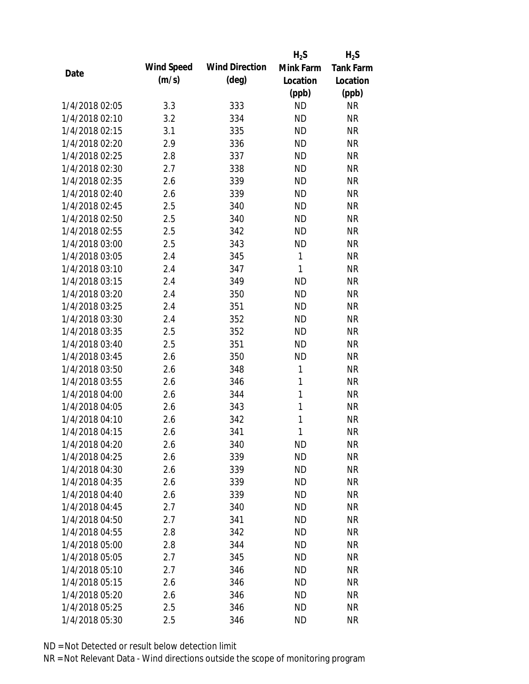|                |            |                       | $H_2S$       | $H_2S$           |
|----------------|------------|-----------------------|--------------|------------------|
|                | Wind Speed | <b>Wind Direction</b> | Mink Farm    | <b>Tank Farm</b> |
| Date           | (m/s)      | $(\text{deg})$        | Location     | Location         |
|                |            |                       | (ppb)        | (ppb)            |
| 1/4/2018 02:05 | 3.3        | 333                   | <b>ND</b>    | <b>NR</b>        |
| 1/4/2018 02:10 | 3.2        | 334                   | <b>ND</b>    | <b>NR</b>        |
| 1/4/2018 02:15 | 3.1        | 335                   | <b>ND</b>    | <b>NR</b>        |
| 1/4/2018 02:20 | 2.9        | 336                   | <b>ND</b>    | <b>NR</b>        |
| 1/4/2018 02:25 | 2.8        | 337                   | <b>ND</b>    | <b>NR</b>        |
| 1/4/2018 02:30 | 2.7        | 338                   | <b>ND</b>    | <b>NR</b>        |
| 1/4/2018 02:35 | 2.6        | 339                   | <b>ND</b>    | <b>NR</b>        |
| 1/4/2018 02:40 | 2.6        | 339                   | <b>ND</b>    | <b>NR</b>        |
| 1/4/2018 02:45 | 2.5        | 340                   | <b>ND</b>    | <b>NR</b>        |
| 1/4/2018 02:50 | 2.5        | 340                   | <b>ND</b>    | <b>NR</b>        |
| 1/4/2018 02:55 | 2.5        | 342                   | <b>ND</b>    | <b>NR</b>        |
| 1/4/2018 03:00 | 2.5        | 343                   | <b>ND</b>    | <b>NR</b>        |
| 1/4/2018 03:05 | 2.4        | 345                   | 1            | <b>NR</b>        |
| 1/4/2018 03:10 | 2.4        | 347                   | 1            | <b>NR</b>        |
| 1/4/2018 03:15 | 2.4        | 349                   | <b>ND</b>    | <b>NR</b>        |
| 1/4/2018 03:20 | 2.4        | 350                   | <b>ND</b>    | <b>NR</b>        |
| 1/4/2018 03:25 | 2.4        | 351                   | <b>ND</b>    | <b>NR</b>        |
| 1/4/2018 03:30 | 2.4        | 352                   | <b>ND</b>    | <b>NR</b>        |
| 1/4/2018 03:35 | 2.5        | 352                   | <b>ND</b>    | <b>NR</b>        |
| 1/4/2018 03:40 | 2.5        | 351                   | <b>ND</b>    | <b>NR</b>        |
| 1/4/2018 03:45 | 2.6        | 350                   | <b>ND</b>    | <b>NR</b>        |
| 1/4/2018 03:50 | 2.6        | 348                   | 1            | <b>NR</b>        |
| 1/4/2018 03:55 | 2.6        | 346                   | $\mathbf{1}$ | <b>NR</b>        |
| 1/4/2018 04:00 | 2.6        | 344                   | $\mathbf{1}$ | <b>NR</b>        |
| 1/4/2018 04:05 | 2.6        | 343                   | 1            | <b>NR</b>        |
| 1/4/2018 04:10 | 2.6        | 342                   | 1            | <b>NR</b>        |
| 1/4/2018 04:15 | 2.6        | 341                   | 1            | <b>NR</b>        |
| 1/4/2018 04:20 | 2.6        | 340                   | <b>ND</b>    | <b>NR</b>        |
| 1/4/2018 04:25 | 2.6        | 339                   | <b>ND</b>    | <b>NR</b>        |
| 1/4/2018 04:30 | 2.6        | 339                   | <b>ND</b>    | <b>NR</b>        |
| 1/4/2018 04:35 | 2.6        | 339                   | <b>ND</b>    | <b>NR</b>        |
| 1/4/2018 04:40 | 2.6        | 339                   | <b>ND</b>    | <b>NR</b>        |
| 1/4/2018 04:45 | 2.7        | 340                   | <b>ND</b>    | <b>NR</b>        |
| 1/4/2018 04:50 | 2.7        | 341                   | <b>ND</b>    | <b>NR</b>        |
| 1/4/2018 04:55 | 2.8        | 342                   | <b>ND</b>    | <b>NR</b>        |
| 1/4/2018 05:00 | 2.8        | 344                   | <b>ND</b>    | <b>NR</b>        |
| 1/4/2018 05:05 | 2.7        | 345                   | <b>ND</b>    | <b>NR</b>        |
| 1/4/2018 05:10 | 2.7        | 346                   | <b>ND</b>    | <b>NR</b>        |
| 1/4/2018 05:15 | 2.6        | 346                   | <b>ND</b>    | <b>NR</b>        |
| 1/4/2018 05:20 | 2.6        | 346                   | <b>ND</b>    | NR               |
| 1/4/2018 05:25 | 2.5        | 346                   | <b>ND</b>    | <b>NR</b>        |
| 1/4/2018 05:30 | 2.5        | 346                   | <b>ND</b>    | <b>NR</b>        |
|                |            |                       |              |                  |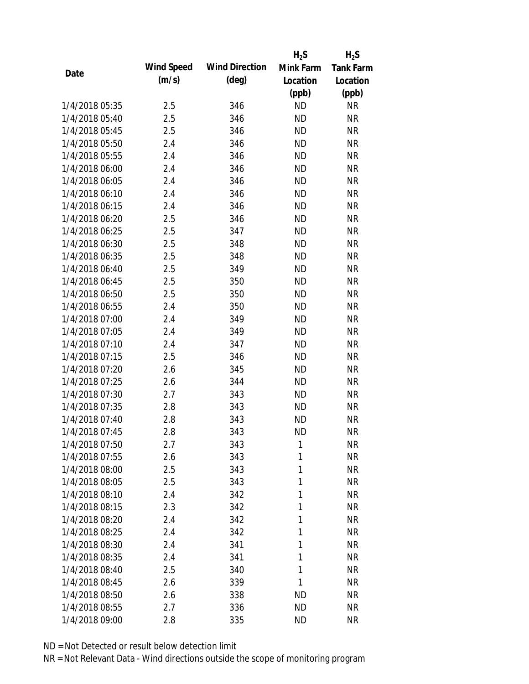|                |            |                       | $H_2S$    | $H_2S$           |
|----------------|------------|-----------------------|-----------|------------------|
|                | Wind Speed | <b>Wind Direction</b> | Mink Farm | <b>Tank Farm</b> |
| Date           | (m/s)      | $(\text{deg})$        | Location  | Location         |
|                |            |                       | (ppb)     | (ppb)            |
| 1/4/2018 05:35 | 2.5        | 346                   | <b>ND</b> | <b>NR</b>        |
| 1/4/2018 05:40 | 2.5        | 346                   | <b>ND</b> | <b>NR</b>        |
| 1/4/2018 05:45 | 2.5        | 346                   | <b>ND</b> | <b>NR</b>        |
| 1/4/2018 05:50 | 2.4        | 346                   | <b>ND</b> | <b>NR</b>        |
| 1/4/2018 05:55 | 2.4        | 346                   | <b>ND</b> | <b>NR</b>        |
| 1/4/2018 06:00 | 2.4        | 346                   | <b>ND</b> | <b>NR</b>        |
| 1/4/2018 06:05 | 2.4        | 346                   | <b>ND</b> | <b>NR</b>        |
| 1/4/2018 06:10 | 2.4        | 346                   | <b>ND</b> | <b>NR</b>        |
| 1/4/2018 06:15 | 2.4        | 346                   | <b>ND</b> | <b>NR</b>        |
| 1/4/2018 06:20 | 2.5        | 346                   | <b>ND</b> | <b>NR</b>        |
| 1/4/2018 06:25 | 2.5        | 347                   | <b>ND</b> | <b>NR</b>        |
| 1/4/2018 06:30 | 2.5        | 348                   | <b>ND</b> | <b>NR</b>        |
| 1/4/2018 06:35 | 2.5        | 348                   | <b>ND</b> | <b>NR</b>        |
| 1/4/2018 06:40 | 2.5        | 349                   | <b>ND</b> | <b>NR</b>        |
| 1/4/2018 06:45 | 2.5        | 350                   | <b>ND</b> | <b>NR</b>        |
| 1/4/2018 06:50 | 2.5        | 350                   | <b>ND</b> | <b>NR</b>        |
| 1/4/2018 06:55 | 2.4        | 350                   | <b>ND</b> | <b>NR</b>        |
| 1/4/2018 07:00 | 2.4        | 349                   | <b>ND</b> | <b>NR</b>        |
| 1/4/2018 07:05 | 2.4        | 349                   | <b>ND</b> | <b>NR</b>        |
| 1/4/2018 07:10 | 2.4        | 347                   | <b>ND</b> | <b>NR</b>        |
| 1/4/2018 07:15 | 2.5        | 346                   | <b>ND</b> | <b>NR</b>        |
| 1/4/2018 07:20 | 2.6        | 345                   | <b>ND</b> | <b>NR</b>        |
| 1/4/2018 07:25 | 2.6        | 344                   | <b>ND</b> | <b>NR</b>        |
| 1/4/2018 07:30 | 2.7        | 343                   | <b>ND</b> | <b>NR</b>        |
| 1/4/2018 07:35 | 2.8        | 343                   | <b>ND</b> | <b>NR</b>        |
| 1/4/2018 07:40 | 2.8        | 343                   | <b>ND</b> | <b>NR</b>        |
| 1/4/2018 07:45 | 2.8        | 343                   | <b>ND</b> | <b>NR</b>        |
| 1/4/2018 07:50 | 2.7        | 343                   | 1         | <b>NR</b>        |
| 1/4/2018 07:55 | 2.6        | 343                   | 1         | <b>NR</b>        |
| 1/4/2018 08:00 | 2.5        | 343                   | 1         | <b>NR</b>        |
| 1/4/2018 08:05 | 2.5        | 343                   | 1         | <b>NR</b>        |
| 1/4/2018 08:10 | 2.4        | 342                   | 1         | <b>NR</b>        |
| 1/4/2018 08:15 | 2.3        | 342                   | 1         | <b>NR</b>        |
| 1/4/2018 08:20 | 2.4        | 342                   | 1         | <b>NR</b>        |
| 1/4/2018 08:25 | 2.4        | 342                   | 1         | <b>NR</b>        |
| 1/4/2018 08:30 | 2.4        | 341                   | 1         | <b>NR</b>        |
| 1/4/2018 08:35 | 2.4        | 341                   | 1         | <b>NR</b>        |
| 1/4/2018 08:40 | 2.5        | 340                   | 1         | <b>NR</b>        |
| 1/4/2018 08:45 | 2.6        | 339                   | 1         | <b>NR</b>        |
| 1/4/2018 08:50 | 2.6        | 338                   | <b>ND</b> | NR               |
| 1/4/2018 08:55 | 2.7        | 336                   | <b>ND</b> | <b>NR</b>        |
| 1/4/2018 09:00 | 2.8        | 335                   | <b>ND</b> | <b>NR</b>        |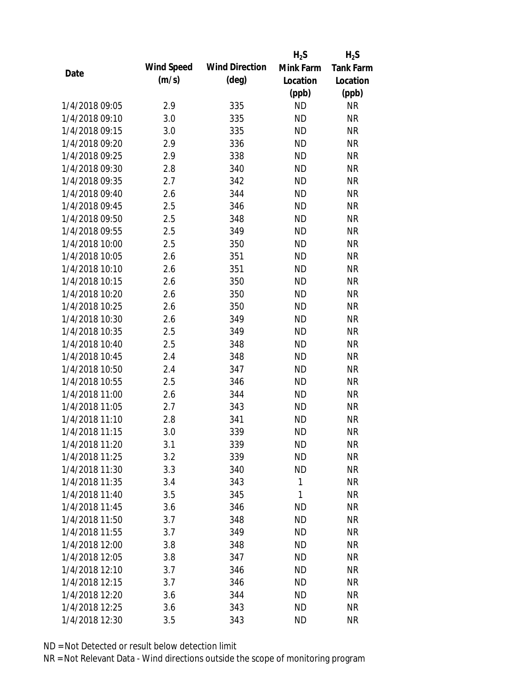|                |            |                       | $H_2S$    | $H_2S$           |
|----------------|------------|-----------------------|-----------|------------------|
|                | Wind Speed | <b>Wind Direction</b> | Mink Farm | <b>Tank Farm</b> |
| Date           | (m/s)      | $(\text{deg})$        | Location  | Location         |
|                |            |                       | (ppb)     | (ppb)            |
| 1/4/2018 09:05 | 2.9        | 335                   | <b>ND</b> | <b>NR</b>        |
| 1/4/2018 09:10 | 3.0        | 335                   | <b>ND</b> | <b>NR</b>        |
| 1/4/2018 09:15 | 3.0        | 335                   | <b>ND</b> | <b>NR</b>        |
| 1/4/2018 09:20 | 2.9        | 336                   | <b>ND</b> | <b>NR</b>        |
| 1/4/2018 09:25 | 2.9        | 338                   | <b>ND</b> | <b>NR</b>        |
| 1/4/2018 09:30 | 2.8        | 340                   | <b>ND</b> | <b>NR</b>        |
| 1/4/2018 09:35 | 2.7        | 342                   | <b>ND</b> | <b>NR</b>        |
| 1/4/2018 09:40 | 2.6        | 344                   | <b>ND</b> | <b>NR</b>        |
| 1/4/2018 09:45 | 2.5        | 346                   | <b>ND</b> | <b>NR</b>        |
| 1/4/2018 09:50 | 2.5        | 348                   | <b>ND</b> | <b>NR</b>        |
| 1/4/2018 09:55 | 2.5        | 349                   | <b>ND</b> | <b>NR</b>        |
| 1/4/2018 10:00 | 2.5        | 350                   | <b>ND</b> | <b>NR</b>        |
| 1/4/2018 10:05 | 2.6        | 351                   | <b>ND</b> | <b>NR</b>        |
| 1/4/2018 10:10 | 2.6        | 351                   | <b>ND</b> | <b>NR</b>        |
| 1/4/2018 10:15 | 2.6        | 350                   | <b>ND</b> | <b>NR</b>        |
| 1/4/2018 10:20 | 2.6        | 350                   | <b>ND</b> | <b>NR</b>        |
| 1/4/2018 10:25 | 2.6        | 350                   | <b>ND</b> | <b>NR</b>        |
| 1/4/2018 10:30 | 2.6        | 349                   | <b>ND</b> | <b>NR</b>        |
| 1/4/2018 10:35 | 2.5        | 349                   | <b>ND</b> | <b>NR</b>        |
| 1/4/2018 10:40 | 2.5        | 348                   | <b>ND</b> | <b>NR</b>        |
| 1/4/2018 10:45 | 2.4        | 348                   | <b>ND</b> | <b>NR</b>        |
| 1/4/2018 10:50 | 2.4        | 347                   | <b>ND</b> | <b>NR</b>        |
| 1/4/2018 10:55 | 2.5        | 346                   | <b>ND</b> | <b>NR</b>        |
| 1/4/2018 11:00 | 2.6        | 344                   | <b>ND</b> | <b>NR</b>        |
| 1/4/2018 11:05 | 2.7        | 343                   | <b>ND</b> | <b>NR</b>        |
| 1/4/2018 11:10 | 2.8        | 341                   | <b>ND</b> | <b>NR</b>        |
| 1/4/2018 11:15 | 3.0        | 339                   | <b>ND</b> | <b>NR</b>        |
| 1/4/2018 11:20 | 3.1        | 339                   | <b>ND</b> | <b>NR</b>        |
| 1/4/2018 11:25 | 3.2        | 339                   | <b>ND</b> | <b>NR</b>        |
| 1/4/2018 11:30 | 3.3        | 340                   | <b>ND</b> | <b>NR</b>        |
| 1/4/2018 11:35 | 3.4        | 343                   | 1         | <b>NR</b>        |
| 1/4/2018 11:40 | 3.5        | 345                   | 1         | <b>NR</b>        |
| 1/4/2018 11:45 | 3.6        | 346                   | <b>ND</b> | <b>NR</b>        |
| 1/4/2018 11:50 | 3.7        | 348                   | <b>ND</b> | <b>NR</b>        |
| 1/4/2018 11:55 | 3.7        | 349                   | <b>ND</b> | <b>NR</b>        |
| 1/4/2018 12:00 | 3.8        | 348                   | <b>ND</b> | <b>NR</b>        |
| 1/4/2018 12:05 | 3.8        | 347                   | <b>ND</b> | <b>NR</b>        |
| 1/4/2018 12:10 | 3.7        | 346                   | <b>ND</b> | <b>NR</b>        |
| 1/4/2018 12:15 | 3.7        | 346                   | <b>ND</b> | <b>NR</b>        |
| 1/4/2018 12:20 | 3.6        | 344                   | <b>ND</b> | NR               |
| 1/4/2018 12:25 | 3.6        | 343                   | <b>ND</b> | <b>NR</b>        |
| 1/4/2018 12:30 | 3.5        | 343                   | <b>ND</b> | <b>NR</b>        |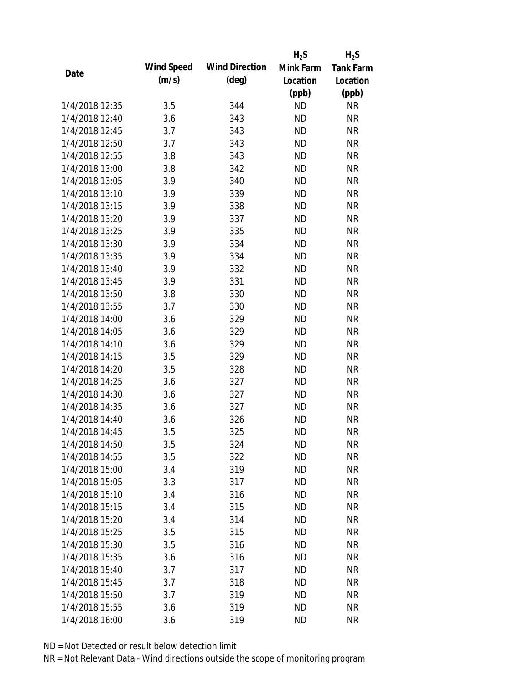|                |            |                       | $H_2S$    | $H_2S$           |
|----------------|------------|-----------------------|-----------|------------------|
| Date           | Wind Speed | <b>Wind Direction</b> | Mink Farm | <b>Tank Farm</b> |
|                | (m/s)      | $(\text{deg})$        | Location  | Location         |
|                |            |                       | (ppb)     | (ppb)            |
| 1/4/2018 12:35 | 3.5        | 344                   | <b>ND</b> | <b>NR</b>        |
| 1/4/2018 12:40 | 3.6        | 343                   | <b>ND</b> | <b>NR</b>        |
| 1/4/2018 12:45 | 3.7        | 343                   | <b>ND</b> | <b>NR</b>        |
| 1/4/2018 12:50 | 3.7        | 343                   | <b>ND</b> | <b>NR</b>        |
| 1/4/2018 12:55 | 3.8        | 343                   | <b>ND</b> | <b>NR</b>        |
| 1/4/2018 13:00 | 3.8        | 342                   | <b>ND</b> | <b>NR</b>        |
| 1/4/2018 13:05 | 3.9        | 340                   | <b>ND</b> | <b>NR</b>        |
| 1/4/2018 13:10 | 3.9        | 339                   | <b>ND</b> | <b>NR</b>        |
| 1/4/2018 13:15 | 3.9        | 338                   | <b>ND</b> | <b>NR</b>        |
| 1/4/2018 13:20 | 3.9        | 337                   | <b>ND</b> | <b>NR</b>        |
| 1/4/2018 13:25 | 3.9        | 335                   | <b>ND</b> | <b>NR</b>        |
| 1/4/2018 13:30 | 3.9        | 334                   | <b>ND</b> | <b>NR</b>        |
| 1/4/2018 13:35 | 3.9        | 334                   | <b>ND</b> | <b>NR</b>        |
| 1/4/2018 13:40 | 3.9        | 332                   | <b>ND</b> | <b>NR</b>        |
| 1/4/2018 13:45 | 3.9        | 331                   | <b>ND</b> | <b>NR</b>        |
| 1/4/2018 13:50 | 3.8        | 330                   | <b>ND</b> | <b>NR</b>        |
| 1/4/2018 13:55 | 3.7        | 330                   | <b>ND</b> | <b>NR</b>        |
| 1/4/2018 14:00 | 3.6        | 329                   | <b>ND</b> | <b>NR</b>        |
| 1/4/2018 14:05 | 3.6        | 329                   | <b>ND</b> | <b>NR</b>        |
| 1/4/2018 14:10 | 3.6        | 329                   | <b>ND</b> | <b>NR</b>        |
| 1/4/2018 14:15 | 3.5        | 329                   | <b>ND</b> | <b>NR</b>        |
| 1/4/2018 14:20 | 3.5        | 328                   | <b>ND</b> | <b>NR</b>        |
| 1/4/2018 14:25 | 3.6        | 327                   | <b>ND</b> | <b>NR</b>        |
| 1/4/2018 14:30 | 3.6        | 327                   | <b>ND</b> | <b>NR</b>        |
| 1/4/2018 14:35 | 3.6        | 327                   | <b>ND</b> | <b>NR</b>        |
| 1/4/2018 14:40 | 3.6        | 326                   | <b>ND</b> | <b>NR</b>        |
| 1/4/2018 14:45 | 3.5        | 325                   | <b>ND</b> | <b>NR</b>        |
| 1/4/2018 14:50 | 3.5        | 324                   | ND        | <b>NR</b>        |
| 1/4/2018 14:55 | 3.5        | 322                   | <b>ND</b> | <b>NR</b>        |
| 1/4/2018 15:00 | 3.4        | 319                   | <b>ND</b> | <b>NR</b>        |
| 1/4/2018 15:05 | 3.3        | 317                   | <b>ND</b> | <b>NR</b>        |
| 1/4/2018 15:10 | 3.4        | 316                   | <b>ND</b> | <b>NR</b>        |
| 1/4/2018 15:15 | 3.4        | 315                   | <b>ND</b> | <b>NR</b>        |
| 1/4/2018 15:20 | 3.4        | 314                   | <b>ND</b> | <b>NR</b>        |
| 1/4/2018 15:25 | 3.5        | 315                   | <b>ND</b> | <b>NR</b>        |
| 1/4/2018 15:30 | 3.5        | 316                   | <b>ND</b> | <b>NR</b>        |
| 1/4/2018 15:35 | 3.6        | 316                   | <b>ND</b> | <b>NR</b>        |
| 1/4/2018 15:40 | 3.7        | 317                   | <b>ND</b> | <b>NR</b>        |
| 1/4/2018 15:45 | 3.7        | 318                   | <b>ND</b> | <b>NR</b>        |
| 1/4/2018 15:50 | 3.7        | 319                   | <b>ND</b> | <b>NR</b>        |
| 1/4/2018 15:55 | 3.6        | 319                   | <b>ND</b> | <b>NR</b>        |
| 1/4/2018 16:00 | 3.6        | 319                   | <b>ND</b> | <b>NR</b>        |
|                |            |                       |           |                  |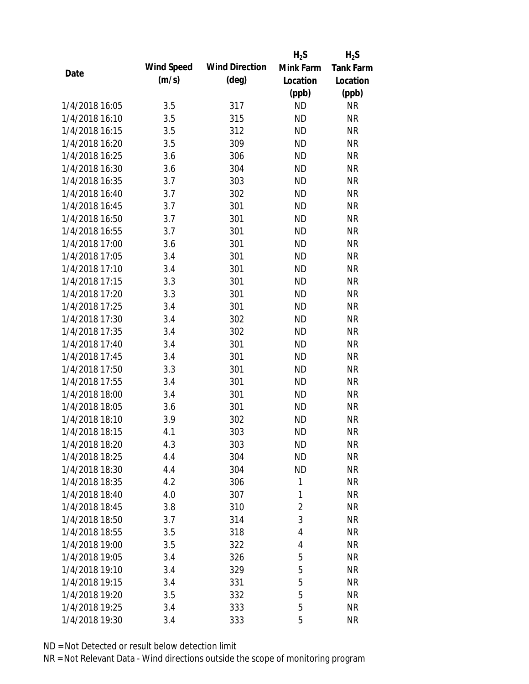|                |            |                       | $H_2S$         | $H_2S$           |
|----------------|------------|-----------------------|----------------|------------------|
| Date           | Wind Speed | <b>Wind Direction</b> | Mink Farm      | <b>Tank Farm</b> |
|                | (m/s)      | $(\text{deg})$        | Location       | Location         |
|                |            |                       | (ppb)          | (ppb)            |
| 1/4/2018 16:05 | 3.5        | 317                   | <b>ND</b>      | <b>NR</b>        |
| 1/4/2018 16:10 | 3.5        | 315                   | <b>ND</b>      | <b>NR</b>        |
| 1/4/2018 16:15 | 3.5        | 312                   | <b>ND</b>      | <b>NR</b>        |
| 1/4/2018 16:20 | 3.5        | 309                   | <b>ND</b>      | <b>NR</b>        |
| 1/4/2018 16:25 | 3.6        | 306                   | <b>ND</b>      | <b>NR</b>        |
| 1/4/2018 16:30 | 3.6        | 304                   | <b>ND</b>      | <b>NR</b>        |
| 1/4/2018 16:35 | 3.7        | 303                   | <b>ND</b>      | <b>NR</b>        |
| 1/4/2018 16:40 | 3.7        | 302                   | <b>ND</b>      | <b>NR</b>        |
| 1/4/2018 16:45 | 3.7        | 301                   | <b>ND</b>      | <b>NR</b>        |
| 1/4/2018 16:50 | 3.7        | 301                   | <b>ND</b>      | <b>NR</b>        |
| 1/4/2018 16:55 | 3.7        | 301                   | <b>ND</b>      | <b>NR</b>        |
| 1/4/2018 17:00 | 3.6        | 301                   | <b>ND</b>      | <b>NR</b>        |
| 1/4/2018 17:05 | 3.4        | 301                   | <b>ND</b>      | <b>NR</b>        |
| 1/4/2018 17:10 | 3.4        | 301                   | <b>ND</b>      | <b>NR</b>        |
| 1/4/2018 17:15 | 3.3        | 301                   | <b>ND</b>      | <b>NR</b>        |
| 1/4/2018 17:20 | 3.3        | 301                   | <b>ND</b>      | <b>NR</b>        |
| 1/4/2018 17:25 | 3.4        | 301                   | <b>ND</b>      | <b>NR</b>        |
| 1/4/2018 17:30 | 3.4        | 302                   | <b>ND</b>      | <b>NR</b>        |
| 1/4/2018 17:35 | 3.4        | 302                   | <b>ND</b>      | <b>NR</b>        |
| 1/4/2018 17:40 | 3.4        | 301                   | <b>ND</b>      | <b>NR</b>        |
| 1/4/2018 17:45 | 3.4        | 301                   | <b>ND</b>      | <b>NR</b>        |
| 1/4/2018 17:50 | 3.3        | 301                   | <b>ND</b>      | <b>NR</b>        |
| 1/4/2018 17:55 | 3.4        | 301                   | <b>ND</b>      | <b>NR</b>        |
| 1/4/2018 18:00 | 3.4        | 301                   | <b>ND</b>      | <b>NR</b>        |
| 1/4/2018 18:05 | 3.6        | 301                   | <b>ND</b>      | <b>NR</b>        |
| 1/4/2018 18:10 | 3.9        | 302                   | <b>ND</b>      | <b>NR</b>        |
| 1/4/2018 18:15 | 4.1        | 303                   | <b>ND</b>      | <b>NR</b>        |
| 1/4/2018 18:20 | 4.3        | 303                   | <b>ND</b>      | <b>NR</b>        |
| 1/4/2018 18:25 | 4.4        | 304                   | <b>ND</b>      | <b>NR</b>        |
| 1/4/2018 18:30 | 4.4        | 304                   | <b>ND</b>      | <b>NR</b>        |
| 1/4/2018 18:35 | 4.2        | 306                   | 1              | <b>NR</b>        |
| 1/4/2018 18:40 | 4.0        | 307                   | 1              | <b>NR</b>        |
| 1/4/2018 18:45 | 3.8        | 310                   | $\overline{2}$ | <b>NR</b>        |
| 1/4/2018 18:50 | 3.7        | 314                   | 3              | <b>NR</b>        |
| 1/4/2018 18:55 | 3.5        | 318                   | 4              | <b>NR</b>        |
| 1/4/2018 19:00 | 3.5        | 322                   | 4              | <b>NR</b>        |
| 1/4/2018 19:05 | 3.4        | 326                   | 5              | <b>NR</b>        |
| 1/4/2018 19:10 | 3.4        | 329                   | 5              | <b>NR</b>        |
| 1/4/2018 19:15 | 3.4        | 331                   | 5              | <b>NR</b>        |
| 1/4/2018 19:20 | 3.5        | 332                   | 5              | <b>NR</b>        |
| 1/4/2018 19:25 | 3.4        | 333                   | 5              | <b>NR</b>        |
| 1/4/2018 19:30 | 3.4        | 333                   | 5              | <b>NR</b>        |
|                |            |                       |                |                  |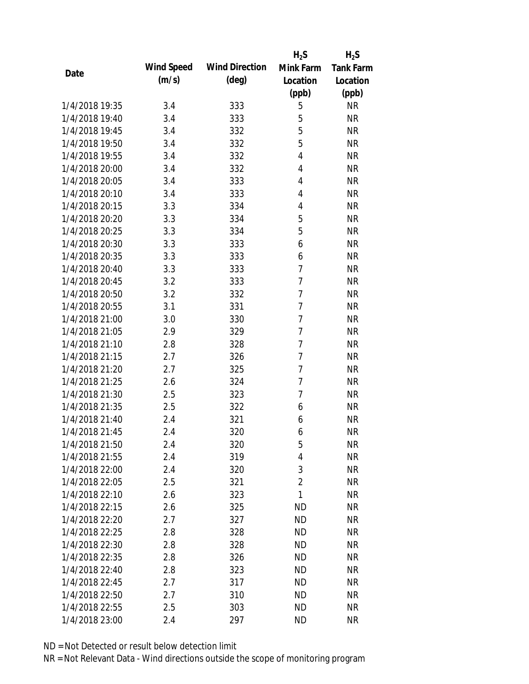|                |            |                       | $H_2S$         | $H_2S$           |
|----------------|------------|-----------------------|----------------|------------------|
|                | Wind Speed | <b>Wind Direction</b> | Mink Farm      | <b>Tank Farm</b> |
| Date           | (m/s)      | $(\text{deg})$        | Location       | Location         |
|                |            |                       | (ppb)          | (ppb)            |
| 1/4/2018 19:35 | 3.4        | 333                   | 5              | <b>NR</b>        |
| 1/4/2018 19:40 | 3.4        | 333                   | 5              | <b>NR</b>        |
| 1/4/2018 19:45 | 3.4        | 332                   | 5              | <b>NR</b>        |
| 1/4/2018 19:50 | 3.4        | 332                   | 5              | <b>NR</b>        |
| 1/4/2018 19:55 | 3.4        | 332                   | 4              | <b>NR</b>        |
| 1/4/2018 20:00 | 3.4        | 332                   | 4              | <b>NR</b>        |
| 1/4/2018 20:05 | 3.4        | 333                   | 4              | <b>NR</b>        |
| 1/4/2018 20:10 | 3.4        | 333                   | 4              | <b>NR</b>        |
| 1/4/2018 20:15 | 3.3        | 334                   | 4              | <b>NR</b>        |
| 1/4/2018 20:20 | 3.3        | 334                   | 5              | <b>NR</b>        |
| 1/4/2018 20:25 | 3.3        | 334                   | 5              | <b>NR</b>        |
| 1/4/2018 20:30 | 3.3        | 333                   | 6              | <b>NR</b>        |
| 1/4/2018 20:35 | 3.3        | 333                   | 6              | <b>NR</b>        |
| 1/4/2018 20:40 | 3.3        | 333                   | $\overline{7}$ | <b>NR</b>        |
| 1/4/2018 20:45 | 3.2        | 333                   | $\overline{7}$ | <b>NR</b>        |
| 1/4/2018 20:50 | 3.2        | 332                   | $\overline{7}$ | <b>NR</b>        |
| 1/4/2018 20:55 | 3.1        | 331                   | $\overline{7}$ | <b>NR</b>        |
| 1/4/2018 21:00 | 3.0        | 330                   | $\overline{7}$ | <b>NR</b>        |
| 1/4/2018 21:05 | 2.9        | 329                   | $\overline{7}$ | <b>NR</b>        |
| 1/4/2018 21:10 | 2.8        | 328                   | $\overline{7}$ | <b>NR</b>        |
| 1/4/2018 21:15 | 2.7        | 326                   | 7              | <b>NR</b>        |
| 1/4/2018 21:20 | 2.7        | 325                   | 7              | <b>NR</b>        |
| 1/4/2018 21:25 | 2.6        | 324                   | $\overline{7}$ | <b>NR</b>        |
| 1/4/2018 21:30 | 2.5        | 323                   | 7              | <b>NR</b>        |
| 1/4/2018 21:35 | 2.5        | 322                   | 6              | <b>NR</b>        |
| 1/4/2018 21:40 | 2.4        | 321                   | 6              | <b>NR</b>        |
| 1/4/2018 21:45 | 2.4        | 320                   | 6              | <b>NR</b>        |
| 1/4/2018 21:50 | 2.4        | 320                   | 5              | <b>NR</b>        |
| 1/4/2018 21:55 | 2.4        | 319                   | 4              | <b>NR</b>        |
| 1/4/2018 22:00 | 2.4        | 320                   | 3              | <b>NR</b>        |
| 1/4/2018 22:05 | 2.5        | 321                   | $\overline{2}$ | <b>NR</b>        |
| 1/4/2018 22:10 | 2.6        | 323                   | 1              | <b>NR</b>        |
| 1/4/2018 22:15 | 2.6        | 325                   | <b>ND</b>      | <b>NR</b>        |
| 1/4/2018 22:20 | 2.7        | 327                   | <b>ND</b>      | <b>NR</b>        |
| 1/4/2018 22:25 | 2.8        | 328                   | <b>ND</b>      | <b>NR</b>        |
| 1/4/2018 22:30 | 2.8        | 328                   | <b>ND</b>      | <b>NR</b>        |
| 1/4/2018 22:35 | 2.8        | 326                   | <b>ND</b>      | <b>NR</b>        |
| 1/4/2018 22:40 | 2.8        | 323                   | <b>ND</b>      | <b>NR</b>        |
| 1/4/2018 22:45 | 2.7        | 317                   | <b>ND</b>      | <b>NR</b>        |
| 1/4/2018 22:50 | 2.7        | 310                   | <b>ND</b>      | NR               |
| 1/4/2018 22:55 | 2.5        | 303                   | <b>ND</b>      | <b>NR</b>        |
| 1/4/2018 23:00 | 2.4        | 297                   | <b>ND</b>      | <b>NR</b>        |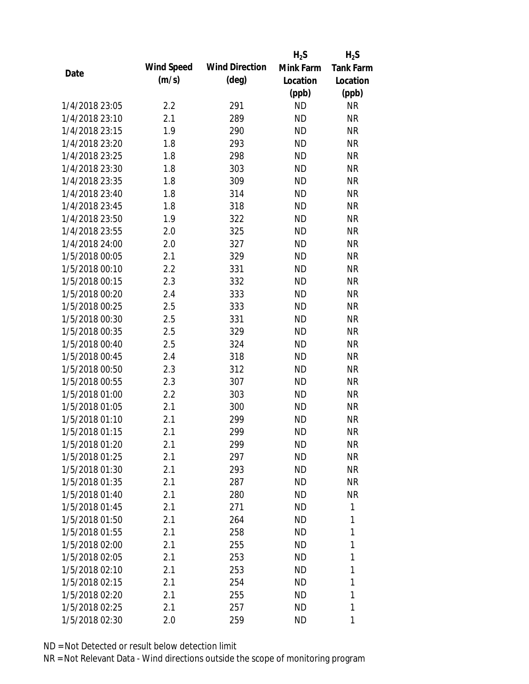|                |            |                       | $H_2S$    | $H_2S$           |
|----------------|------------|-----------------------|-----------|------------------|
|                | Wind Speed | <b>Wind Direction</b> | Mink Farm | <b>Tank Farm</b> |
| Date           | (m/s)      | $(\text{deg})$        | Location  | Location         |
|                |            |                       | (ppb)     | (ppb)            |
| 1/4/2018 23:05 | 2.2        | 291                   | <b>ND</b> | <b>NR</b>        |
| 1/4/2018 23:10 | 2.1        | 289                   | <b>ND</b> | <b>NR</b>        |
| 1/4/2018 23:15 | 1.9        | 290                   | <b>ND</b> | <b>NR</b>        |
| 1/4/2018 23:20 | 1.8        | 293                   | <b>ND</b> | <b>NR</b>        |
| 1/4/2018 23:25 | 1.8        | 298                   | <b>ND</b> | <b>NR</b>        |
| 1/4/2018 23:30 | 1.8        | 303                   | <b>ND</b> | <b>NR</b>        |
| 1/4/2018 23:35 | 1.8        | 309                   | <b>ND</b> | <b>NR</b>        |
| 1/4/2018 23:40 | 1.8        | 314                   | <b>ND</b> | <b>NR</b>        |
| 1/4/2018 23:45 | 1.8        | 318                   | <b>ND</b> | <b>NR</b>        |
| 1/4/2018 23:50 | 1.9        | 322                   | <b>ND</b> | <b>NR</b>        |
| 1/4/2018 23:55 | 2.0        | 325                   | <b>ND</b> | <b>NR</b>        |
| 1/4/2018 24:00 | 2.0        | 327                   | <b>ND</b> | <b>NR</b>        |
| 1/5/2018 00:05 | 2.1        | 329                   | <b>ND</b> | <b>NR</b>        |
| 1/5/2018 00:10 | 2.2        | 331                   | <b>ND</b> | <b>NR</b>        |
| 1/5/2018 00:15 | 2.3        | 332                   | <b>ND</b> | <b>NR</b>        |
| 1/5/2018 00:20 | 2.4        | 333                   | <b>ND</b> | <b>NR</b>        |
| 1/5/2018 00:25 | 2.5        | 333                   | <b>ND</b> | <b>NR</b>        |
| 1/5/2018 00:30 | 2.5        | 331                   | <b>ND</b> | <b>NR</b>        |
| 1/5/2018 00:35 | 2.5        | 329                   | <b>ND</b> | <b>NR</b>        |
| 1/5/2018 00:40 | 2.5        | 324                   | <b>ND</b> | <b>NR</b>        |
| 1/5/2018 00:45 | 2.4        | 318                   | <b>ND</b> | <b>NR</b>        |
| 1/5/2018 00:50 | 2.3        | 312                   | <b>ND</b> | <b>NR</b>        |
| 1/5/2018 00:55 | 2.3        | 307                   | <b>ND</b> | <b>NR</b>        |
| 1/5/2018 01:00 | 2.2        | 303                   | <b>ND</b> | <b>NR</b>        |
| 1/5/2018 01:05 | 2.1        | 300                   | <b>ND</b> | <b>NR</b>        |
| 1/5/2018 01:10 | 2.1        | 299                   | <b>ND</b> | <b>NR</b>        |
| 1/5/2018 01:15 | 2.1        | 299                   | <b>ND</b> | <b>NR</b>        |
| 1/5/2018 01:20 | 2.1        | 299                   | <b>ND</b> | <b>NR</b>        |
| 1/5/2018 01:25 | 2.1        | 297                   | <b>ND</b> | <b>NR</b>        |
| 1/5/2018 01:30 | 2.1        | 293                   | <b>ND</b> | <b>NR</b>        |
| 1/5/2018 01:35 | 2.1        | 287                   | <b>ND</b> | <b>NR</b>        |
| 1/5/2018 01:40 | 2.1        | 280                   | <b>ND</b> | <b>NR</b>        |
| 1/5/2018 01:45 | 2.1        | 271                   | <b>ND</b> | 1                |
| 1/5/2018 01:50 | 2.1        | 264                   | <b>ND</b> | 1                |
| 1/5/2018 01:55 | 2.1        | 258                   | <b>ND</b> | 1                |
| 1/5/2018 02:00 | 2.1        | 255                   | ΝD        | 1                |
| 1/5/2018 02:05 | 2.1        | 253                   | <b>ND</b> | 1                |
| 1/5/2018 02:10 | 2.1        | 253                   | ΝD        | 1                |
| 1/5/2018 02:15 | 2.1        | 254                   | <b>ND</b> | 1                |
| 1/5/2018 02:20 | 2.1        | 255                   | ND        | 1                |
| 1/5/2018 02:25 | 2.1        | 257                   | <b>ND</b> | 1                |
| 1/5/2018 02:30 | 2.0        | 259                   | <b>ND</b> | 1                |
|                |            |                       |           |                  |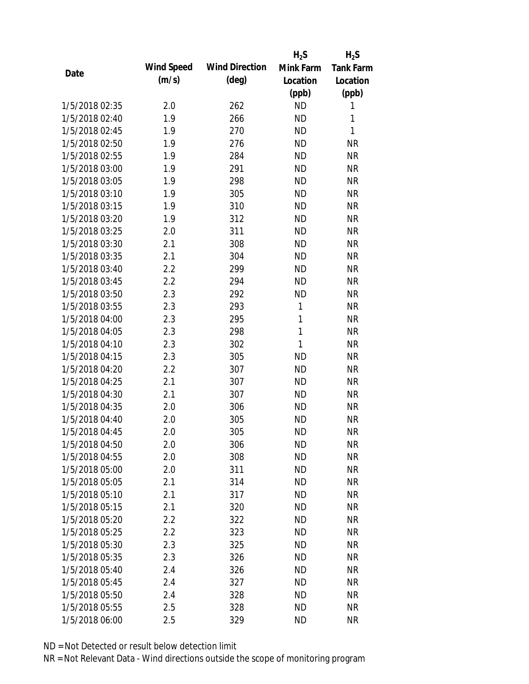|                |            |                       | $H_2S$    | $H_2S$           |
|----------------|------------|-----------------------|-----------|------------------|
| Date           | Wind Speed | <b>Wind Direction</b> | Mink Farm | <b>Tank Farm</b> |
|                | (m/s)      | $(\text{deg})$        | Location  | Location         |
|                |            |                       | (ppb)     | (ppb)            |
| 1/5/2018 02:35 | 2.0        | 262                   | <b>ND</b> | 1                |
| 1/5/2018 02:40 | 1.9        | 266                   | <b>ND</b> | 1                |
| 1/5/2018 02:45 | 1.9        | 270                   | <b>ND</b> | 1                |
| 1/5/2018 02:50 | 1.9        | 276                   | <b>ND</b> | <b>NR</b>        |
| 1/5/2018 02:55 | 1.9        | 284                   | <b>ND</b> | <b>NR</b>        |
| 1/5/2018 03:00 | 1.9        | 291                   | <b>ND</b> | <b>NR</b>        |
| 1/5/2018 03:05 | 1.9        | 298                   | <b>ND</b> | <b>NR</b>        |
| 1/5/2018 03:10 | 1.9        | 305                   | <b>ND</b> | <b>NR</b>        |
| 1/5/2018 03:15 | 1.9        | 310                   | <b>ND</b> | <b>NR</b>        |
| 1/5/2018 03:20 | 1.9        | 312                   | <b>ND</b> | <b>NR</b>        |
| 1/5/2018 03:25 | 2.0        | 311                   | <b>ND</b> | <b>NR</b>        |
| 1/5/2018 03:30 | 2.1        | 308                   | <b>ND</b> | <b>NR</b>        |
| 1/5/2018 03:35 | 2.1        | 304                   | <b>ND</b> | <b>NR</b>        |
| 1/5/2018 03:40 | 2.2        | 299                   | <b>ND</b> | <b>NR</b>        |
| 1/5/2018 03:45 | 2.2        | 294                   | <b>ND</b> | <b>NR</b>        |
| 1/5/2018 03:50 | 2.3        | 292                   | <b>ND</b> | <b>NR</b>        |
| 1/5/2018 03:55 | 2.3        | 293                   | 1         | <b>NR</b>        |
| 1/5/2018 04:00 | 2.3        | 295                   | 1         | <b>NR</b>        |
| 1/5/2018 04:05 | 2.3        | 298                   | 1         | <b>NR</b>        |
| 1/5/2018 04:10 | 2.3        | 302                   | 1         | <b>NR</b>        |
| 1/5/2018 04:15 | 2.3        | 305                   | <b>ND</b> | <b>NR</b>        |
| 1/5/2018 04:20 | 2.2        | 307                   | <b>ND</b> | <b>NR</b>        |
| 1/5/2018 04:25 | 2.1        | 307                   | <b>ND</b> | <b>NR</b>        |
| 1/5/2018 04:30 | 2.1        | 307                   | <b>ND</b> | <b>NR</b>        |
| 1/5/2018 04:35 | 2.0        | 306                   | <b>ND</b> | <b>NR</b>        |
| 1/5/2018 04:40 | 2.0        | 305                   | <b>ND</b> | <b>NR</b>        |
| 1/5/2018 04:45 | 2.0        | 305                   | <b>ND</b> | <b>NR</b>        |
| 1/5/2018 04:50 | 2.0        | 306                   | ND        | <b>NR</b>        |
| 1/5/2018 04:55 | 2.0        | 308                   | <b>ND</b> | <b>NR</b>        |
| 1/5/2018 05:00 | 2.0        | 311                   | <b>ND</b> | <b>NR</b>        |
| 1/5/2018 05:05 | 2.1        | 314                   | <b>ND</b> | <b>NR</b>        |
| 1/5/2018 05:10 | 2.1        | 317                   | <b>ND</b> | <b>NR</b>        |
| 1/5/2018 05:15 | 2.1        | 320                   | <b>ND</b> | <b>NR</b>        |
| 1/5/2018 05:20 | 2.2        | 322                   | <b>ND</b> | <b>NR</b>        |
| 1/5/2018 05:25 | 2.2        | 323                   | <b>ND</b> | <b>NR</b>        |
| 1/5/2018 05:30 | 2.3        | 325                   | <b>ND</b> | <b>NR</b>        |
| 1/5/2018 05:35 | 2.3        | 326                   | <b>ND</b> | <b>NR</b>        |
| 1/5/2018 05:40 | 2.4        | 326                   | <b>ND</b> | <b>NR</b>        |
| 1/5/2018 05:45 | 2.4        | 327                   | <b>ND</b> | <b>NR</b>        |
| 1/5/2018 05:50 | 2.4        | 328                   | <b>ND</b> | <b>NR</b>        |
| 1/5/2018 05:55 | 2.5        | 328                   | <b>ND</b> | <b>NR</b>        |
| 1/5/2018 06:00 | 2.5        | 329                   | <b>ND</b> | <b>NR</b>        |
|                |            |                       |           |                  |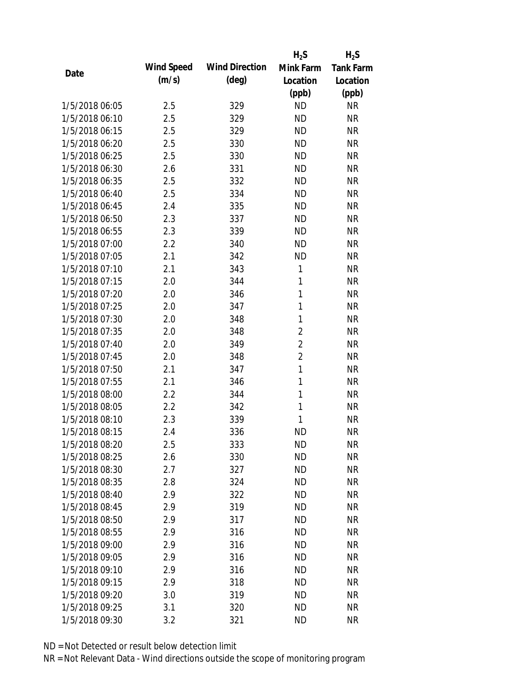|                |            |                       | $H_2S$         | $H_2S$           |
|----------------|------------|-----------------------|----------------|------------------|
|                | Wind Speed | <b>Wind Direction</b> | Mink Farm      | <b>Tank Farm</b> |
| Date           | (m/s)      | $(\text{deg})$        | Location       | Location         |
|                |            |                       | (ppb)          | (ppb)            |
| 1/5/2018 06:05 | 2.5        | 329                   | <b>ND</b>      | <b>NR</b>        |
| 1/5/2018 06:10 | 2.5        | 329                   | <b>ND</b>      | <b>NR</b>        |
| 1/5/2018 06:15 | 2.5        | 329                   | <b>ND</b>      | <b>NR</b>        |
| 1/5/2018 06:20 | 2.5        | 330                   | <b>ND</b>      | <b>NR</b>        |
| 1/5/2018 06:25 | 2.5        | 330                   | <b>ND</b>      | <b>NR</b>        |
| 1/5/2018 06:30 | 2.6        | 331                   | <b>ND</b>      | <b>NR</b>        |
| 1/5/2018 06:35 | 2.5        | 332                   | <b>ND</b>      | <b>NR</b>        |
| 1/5/2018 06:40 | 2.5        | 334                   | <b>ND</b>      | <b>NR</b>        |
| 1/5/2018 06:45 | 2.4        | 335                   | <b>ND</b>      | <b>NR</b>        |
| 1/5/2018 06:50 | 2.3        | 337                   | <b>ND</b>      | <b>NR</b>        |
| 1/5/2018 06:55 | 2.3        | 339                   | <b>ND</b>      | <b>NR</b>        |
| 1/5/2018 07:00 | 2.2        | 340                   | <b>ND</b>      | <b>NR</b>        |
| 1/5/2018 07:05 | 2.1        | 342                   | <b>ND</b>      | <b>NR</b>        |
| 1/5/2018 07:10 | 2.1        | 343                   | 1              | <b>NR</b>        |
| 1/5/2018 07:15 | 2.0        | 344                   | 1              | <b>NR</b>        |
| 1/5/2018 07:20 | 2.0        | 346                   | 1              | <b>NR</b>        |
| 1/5/2018 07:25 | 2.0        | 347                   | 1              | <b>NR</b>        |
| 1/5/2018 07:30 | 2.0        | 348                   | 1              | <b>NR</b>        |
| 1/5/2018 07:35 | 2.0        | 348                   | $\overline{c}$ | <b>NR</b>        |
| 1/5/2018 07:40 | 2.0        | 349                   | $\overline{2}$ | <b>NR</b>        |
| 1/5/2018 07:45 | 2.0        | 348                   | $\overline{2}$ | <b>NR</b>        |
| 1/5/2018 07:50 | 2.1        | 347                   | 1              | <b>NR</b>        |
| 1/5/2018 07:55 | 2.1        | 346                   | $\mathbf{1}$   | <b>NR</b>        |
| 1/5/2018 08:00 | 2.2        | 344                   | 1              | <b>NR</b>        |
| 1/5/2018 08:05 | 2.2        | 342                   | 1              | <b>NR</b>        |
| 1/5/2018 08:10 | 2.3        | 339                   | 1              | <b>NR</b>        |
| 1/5/2018 08:15 | 2.4        | 336                   | <b>ND</b>      | <b>NR</b>        |
| 1/5/2018 08:20 | 2.5        | 333                   | <b>ND</b>      | <b>NR</b>        |
| 1/5/2018 08:25 | 2.6        | 330                   | <b>ND</b>      | <b>NR</b>        |
| 1/5/2018 08:30 | 2.7        | 327                   | <b>ND</b>      | <b>NR</b>        |
| 1/5/2018 08:35 | 2.8        | 324                   | <b>ND</b>      | <b>NR</b>        |
| 1/5/2018 08:40 | 2.9        | 322                   | <b>ND</b>      | <b>NR</b>        |
| 1/5/2018 08:45 | 2.9        | 319                   | <b>ND</b>      | <b>NR</b>        |
| 1/5/2018 08:50 | 2.9        | 317                   | <b>ND</b>      | <b>NR</b>        |
| 1/5/2018 08:55 | 2.9        | 316                   | <b>ND</b>      | <b>NR</b>        |
| 1/5/2018 09:00 | 2.9        | 316                   | <b>ND</b>      | <b>NR</b>        |
| 1/5/2018 09:05 | 2.9        | 316                   | <b>ND</b>      | <b>NR</b>        |
| 1/5/2018 09:10 | 2.9        | 316                   | <b>ND</b>      | <b>NR</b>        |
| 1/5/2018 09:15 | 2.9        | 318                   | <b>ND</b>      | <b>NR</b>        |
| 1/5/2018 09:20 | 3.0        | 319                   | <b>ND</b>      | <b>NR</b>        |
| 1/5/2018 09:25 | 3.1        | 320                   | <b>ND</b>      | <b>NR</b>        |
| 1/5/2018 09:30 | 3.2        | 321                   | <b>ND</b>      | <b>NR</b>        |
|                |            |                       |                |                  |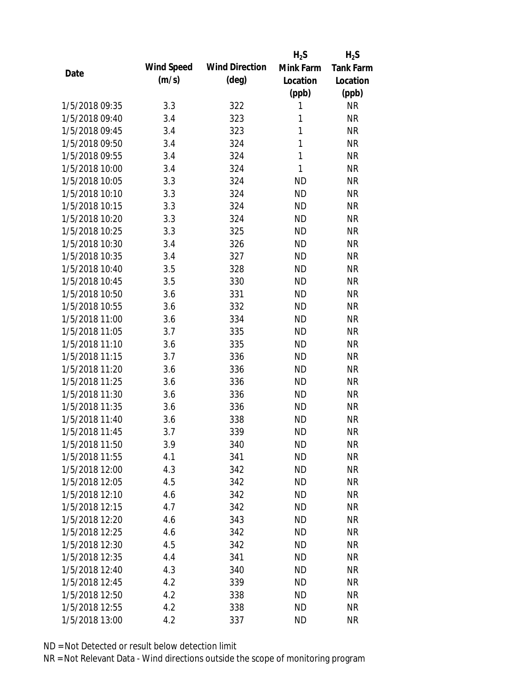|                |            |                       | $H_2S$       | $H_2S$           |
|----------------|------------|-----------------------|--------------|------------------|
|                | Wind Speed | <b>Wind Direction</b> | Mink Farm    | <b>Tank Farm</b> |
| Date           | (m/s)      | $(\text{deg})$        | Location     | Location         |
|                |            |                       | (ppb)        | (ppb)            |
| 1/5/2018 09:35 | 3.3        | 322                   | 1            | <b>NR</b>        |
| 1/5/2018 09:40 | 3.4        | 323                   | 1            | <b>NR</b>        |
| 1/5/2018 09:45 | 3.4        | 323                   | 1            | <b>NR</b>        |
| 1/5/2018 09:50 | 3.4        | 324                   | $\mathbf{1}$ | <b>NR</b>        |
| 1/5/2018 09:55 | 3.4        | 324                   | 1            | <b>NR</b>        |
| 1/5/2018 10:00 | 3.4        | 324                   | 1            | <b>NR</b>        |
| 1/5/2018 10:05 | 3.3        | 324                   | <b>ND</b>    | <b>NR</b>        |
| 1/5/2018 10:10 | 3.3        | 324                   | <b>ND</b>    | <b>NR</b>        |
| 1/5/2018 10:15 | 3.3        | 324                   | <b>ND</b>    | <b>NR</b>        |
| 1/5/2018 10:20 | 3.3        | 324                   | <b>ND</b>    | <b>NR</b>        |
| 1/5/2018 10:25 | 3.3        | 325                   | <b>ND</b>    | <b>NR</b>        |
| 1/5/2018 10:30 | 3.4        | 326                   | <b>ND</b>    | <b>NR</b>        |
| 1/5/2018 10:35 | 3.4        | 327                   | <b>ND</b>    | <b>NR</b>        |
| 1/5/2018 10:40 | 3.5        | 328                   | <b>ND</b>    | <b>NR</b>        |
| 1/5/2018 10:45 | 3.5        | 330                   | <b>ND</b>    | <b>NR</b>        |
| 1/5/2018 10:50 | 3.6        | 331                   | <b>ND</b>    | <b>NR</b>        |
| 1/5/2018 10:55 | 3.6        | 332                   | <b>ND</b>    | <b>NR</b>        |
| 1/5/2018 11:00 | 3.6        | 334                   | <b>ND</b>    | <b>NR</b>        |
| 1/5/2018 11:05 | 3.7        | 335                   | <b>ND</b>    | <b>NR</b>        |
| 1/5/2018 11:10 | 3.6        | 335                   | <b>ND</b>    | <b>NR</b>        |
| 1/5/2018 11:15 | 3.7        | 336                   | <b>ND</b>    | <b>NR</b>        |
| 1/5/2018 11:20 | 3.6        | 336                   | <b>ND</b>    | <b>NR</b>        |
| 1/5/2018 11:25 | 3.6        | 336                   | <b>ND</b>    | <b>NR</b>        |
| 1/5/2018 11:30 | 3.6        | 336                   | <b>ND</b>    | <b>NR</b>        |
| 1/5/2018 11:35 | 3.6        | 336                   | <b>ND</b>    | <b>NR</b>        |
| 1/5/2018 11:40 | 3.6        | 338                   | <b>ND</b>    | <b>NR</b>        |
| 1/5/2018 11:45 | 3.7        | 339                   | <b>ND</b>    | <b>NR</b>        |
| 1/5/2018 11:50 | 3.9        | 340                   | <b>ND</b>    | <b>NR</b>        |
| 1/5/2018 11:55 | 4.1        | 341                   | <b>ND</b>    | <b>NR</b>        |
| 1/5/2018 12:00 | 4.3        | 342                   | <b>ND</b>    | <b>NR</b>        |
| 1/5/2018 12:05 | 4.5        | 342                   | <b>ND</b>    | <b>NR</b>        |
| 1/5/2018 12:10 | 4.6        | 342                   | <b>ND</b>    | <b>NR</b>        |
| 1/5/2018 12:15 | 4.7        | 342                   | <b>ND</b>    | <b>NR</b>        |
| 1/5/2018 12:20 | 4.6        | 343                   | <b>ND</b>    | <b>NR</b>        |
| 1/5/2018 12:25 | 4.6        | 342                   | <b>ND</b>    | <b>NR</b>        |
| 1/5/2018 12:30 | 4.5        | 342                   | <b>ND</b>    | <b>NR</b>        |
| 1/5/2018 12:35 | 4.4        | 341                   | <b>ND</b>    | <b>NR</b>        |
| 1/5/2018 12:40 | 4.3        | 340                   | <b>ND</b>    | <b>NR</b>        |
| 1/5/2018 12:45 | 4.2        | 339                   | <b>ND</b>    | <b>NR</b>        |
| 1/5/2018 12:50 | 4.2        | 338                   | <b>ND</b>    | <b>NR</b>        |
| 1/5/2018 12:55 | 4.2        | 338                   | <b>ND</b>    | <b>NR</b>        |
| 1/5/2018 13:00 | 4.2        | 337                   | <b>ND</b>    | <b>NR</b>        |
|                |            |                       |              |                  |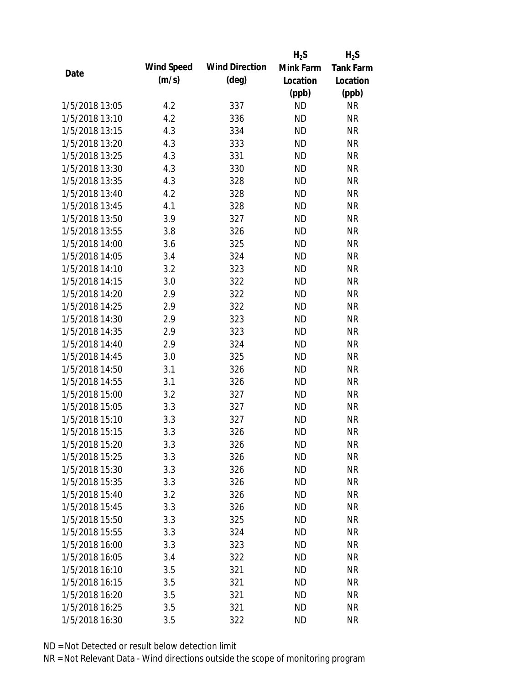|                |            |                       | $H_2S$    | $H_2S$           |
|----------------|------------|-----------------------|-----------|------------------|
|                | Wind Speed | <b>Wind Direction</b> | Mink Farm | <b>Tank Farm</b> |
| Date           | (m/s)      | $(\text{deg})$        | Location  | Location         |
|                |            |                       | (ppb)     | (ppb)            |
| 1/5/2018 13:05 | 4.2        | 337                   | <b>ND</b> | <b>NR</b>        |
| 1/5/2018 13:10 | 4.2        | 336                   | <b>ND</b> | <b>NR</b>        |
| 1/5/2018 13:15 | 4.3        | 334                   | <b>ND</b> | <b>NR</b>        |
| 1/5/2018 13:20 | 4.3        | 333                   | <b>ND</b> | <b>NR</b>        |
| 1/5/2018 13:25 | 4.3        | 331                   | <b>ND</b> | <b>NR</b>        |
| 1/5/2018 13:30 | 4.3        | 330                   | <b>ND</b> | <b>NR</b>        |
| 1/5/2018 13:35 | 4.3        | 328                   | <b>ND</b> | <b>NR</b>        |
| 1/5/2018 13:40 | 4.2        | 328                   | <b>ND</b> | <b>NR</b>        |
| 1/5/2018 13:45 | 4.1        | 328                   | <b>ND</b> | <b>NR</b>        |
| 1/5/2018 13:50 | 3.9        | 327                   | <b>ND</b> | <b>NR</b>        |
| 1/5/2018 13:55 | 3.8        | 326                   | <b>ND</b> | <b>NR</b>        |
| 1/5/2018 14:00 | 3.6        | 325                   | <b>ND</b> | <b>NR</b>        |
| 1/5/2018 14:05 | 3.4        | 324                   | <b>ND</b> | <b>NR</b>        |
| 1/5/2018 14:10 | 3.2        | 323                   | <b>ND</b> | <b>NR</b>        |
| 1/5/2018 14:15 | 3.0        | 322                   | <b>ND</b> | <b>NR</b>        |
| 1/5/2018 14:20 | 2.9        | 322                   | <b>ND</b> | <b>NR</b>        |
| 1/5/2018 14:25 | 2.9        | 322                   | <b>ND</b> | <b>NR</b>        |
| 1/5/2018 14:30 | 2.9        | 323                   | <b>ND</b> | <b>NR</b>        |
| 1/5/2018 14:35 | 2.9        | 323                   | <b>ND</b> | <b>NR</b>        |
| 1/5/2018 14:40 | 2.9        | 324                   | <b>ND</b> | <b>NR</b>        |
| 1/5/2018 14:45 | 3.0        | 325                   | <b>ND</b> | <b>NR</b>        |
| 1/5/2018 14:50 | 3.1        | 326                   | <b>ND</b> | <b>NR</b>        |
| 1/5/2018 14:55 | 3.1        | 326                   | <b>ND</b> | <b>NR</b>        |
| 1/5/2018 15:00 | 3.2        | 327                   | <b>ND</b> | <b>NR</b>        |
| 1/5/2018 15:05 | 3.3        | 327                   | <b>ND</b> | <b>NR</b>        |
| 1/5/2018 15:10 | 3.3        | 327                   | <b>ND</b> | <b>NR</b>        |
| 1/5/2018 15:15 | 3.3        | 326                   | <b>ND</b> | <b>NR</b>        |
| 1/5/2018 15:20 | 3.3        | 326                   | <b>ND</b> | <b>NR</b>        |
| 1/5/2018 15:25 | 3.3        | 326                   | <b>ND</b> | <b>NR</b>        |
| 1/5/2018 15:30 | 3.3        | 326                   | <b>ND</b> | <b>NR</b>        |
| 1/5/2018 15:35 | 3.3        | 326                   | <b>ND</b> | <b>NR</b>        |
| 1/5/2018 15:40 | 3.2        | 326                   | <b>ND</b> | <b>NR</b>        |
| 1/5/2018 15:45 | 3.3        | 326                   | <b>ND</b> | <b>NR</b>        |
| 1/5/2018 15:50 | 3.3        | 325                   | <b>ND</b> | <b>NR</b>        |
| 1/5/2018 15:55 | 3.3        | 324                   | <b>ND</b> | <b>NR</b>        |
| 1/5/2018 16:00 | 3.3        | 323                   | <b>ND</b> | <b>NR</b>        |
| 1/5/2018 16:05 | 3.4        | 322                   | <b>ND</b> | <b>NR</b>        |
| 1/5/2018 16:10 | 3.5        | 321                   | <b>ND</b> | <b>NR</b>        |
| 1/5/2018 16:15 | 3.5        | 321                   | <b>ND</b> | <b>NR</b>        |
| 1/5/2018 16:20 | 3.5        | 321                   | <b>ND</b> | NR               |
| 1/5/2018 16:25 | 3.5        | 321                   | <b>ND</b> | <b>NR</b>        |
| 1/5/2018 16:30 | 3.5        | 322                   | <b>ND</b> | <b>NR</b>        |
|                |            |                       |           |                  |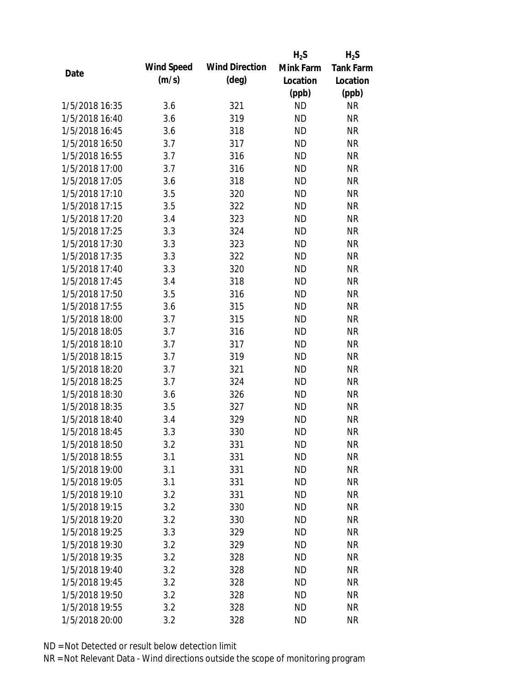|                |            |                       | $H_2S$    | $H_2S$           |
|----------------|------------|-----------------------|-----------|------------------|
|                | Wind Speed | <b>Wind Direction</b> | Mink Farm | <b>Tank Farm</b> |
| Date           | (m/s)      | $(\text{deg})$        | Location  | Location         |
|                |            |                       | (ppb)     | (ppb)            |
| 1/5/2018 16:35 | 3.6        | 321                   | <b>ND</b> | <b>NR</b>        |
| 1/5/2018 16:40 | 3.6        | 319                   | <b>ND</b> | <b>NR</b>        |
| 1/5/2018 16:45 | 3.6        | 318                   | <b>ND</b> | <b>NR</b>        |
| 1/5/2018 16:50 | 3.7        | 317                   | <b>ND</b> | <b>NR</b>        |
| 1/5/2018 16:55 | 3.7        | 316                   | <b>ND</b> | <b>NR</b>        |
| 1/5/2018 17:00 | 3.7        | 316                   | <b>ND</b> | <b>NR</b>        |
| 1/5/2018 17:05 | 3.6        | 318                   | <b>ND</b> | <b>NR</b>        |
| 1/5/2018 17:10 | 3.5        | 320                   | <b>ND</b> | <b>NR</b>        |
| 1/5/2018 17:15 | 3.5        | 322                   | <b>ND</b> | <b>NR</b>        |
| 1/5/2018 17:20 | 3.4        | 323                   | <b>ND</b> | <b>NR</b>        |
| 1/5/2018 17:25 | 3.3        | 324                   | <b>ND</b> | <b>NR</b>        |
| 1/5/2018 17:30 | 3.3        | 323                   | <b>ND</b> | <b>NR</b>        |
| 1/5/2018 17:35 | 3.3        | 322                   | <b>ND</b> | <b>NR</b>        |
| 1/5/2018 17:40 | 3.3        | 320                   | <b>ND</b> | <b>NR</b>        |
| 1/5/2018 17:45 | 3.4        | 318                   | <b>ND</b> | <b>NR</b>        |
| 1/5/2018 17:50 | 3.5        | 316                   | <b>ND</b> | <b>NR</b>        |
| 1/5/2018 17:55 | 3.6        | 315                   | <b>ND</b> | <b>NR</b>        |
| 1/5/2018 18:00 | 3.7        | 315                   | <b>ND</b> | <b>NR</b>        |
| 1/5/2018 18:05 | 3.7        | 316                   | <b>ND</b> | <b>NR</b>        |
| 1/5/2018 18:10 | 3.7        | 317                   | <b>ND</b> | <b>NR</b>        |
| 1/5/2018 18:15 | 3.7        | 319                   | <b>ND</b> | <b>NR</b>        |
| 1/5/2018 18:20 | 3.7        | 321                   | <b>ND</b> | <b>NR</b>        |
| 1/5/2018 18:25 | 3.7        | 324                   | <b>ND</b> | <b>NR</b>        |
| 1/5/2018 18:30 | 3.6        | 326                   | <b>ND</b> | <b>NR</b>        |
| 1/5/2018 18:35 | 3.5        | 327                   | <b>ND</b> | <b>NR</b>        |
| 1/5/2018 18:40 | 3.4        | 329                   | <b>ND</b> | <b>NR</b>        |
| 1/5/2018 18:45 | 3.3        | 330                   | <b>ND</b> | <b>NR</b>        |
| 1/5/2018 18:50 | 3.2        | 331                   | <b>ND</b> | <b>NR</b>        |
| 1/5/2018 18:55 | 3.1        | 331                   | <b>ND</b> | <b>NR</b>        |
| 1/5/2018 19:00 | 3.1        | 331                   | <b>ND</b> | <b>NR</b>        |
| 1/5/2018 19:05 | 3.1        | 331                   | <b>ND</b> | <b>NR</b>        |
| 1/5/2018 19:10 | 3.2        | 331                   | <b>ND</b> | <b>NR</b>        |
| 1/5/2018 19:15 | 3.2        | 330                   | <b>ND</b> | <b>NR</b>        |
| 1/5/2018 19:20 | 3.2        | 330                   | <b>ND</b> | <b>NR</b>        |
| 1/5/2018 19:25 | 3.3        | 329                   | <b>ND</b> | <b>NR</b>        |
| 1/5/2018 19:30 | 3.2        | 329                   | <b>ND</b> | <b>NR</b>        |
| 1/5/2018 19:35 | 3.2        | 328                   | <b>ND</b> | <b>NR</b>        |
| 1/5/2018 19:40 | 3.2        | 328                   | <b>ND</b> | <b>NR</b>        |
| 1/5/2018 19:45 | 3.2        | 328                   | <b>ND</b> | <b>NR</b>        |
| 1/5/2018 19:50 | 3.2        | 328                   | <b>ND</b> | <b>NR</b>        |
| 1/5/2018 19:55 | 3.2        | 328                   | <b>ND</b> | <b>NR</b>        |
| 1/5/2018 20:00 | 3.2        | 328                   | <b>ND</b> | <b>NR</b>        |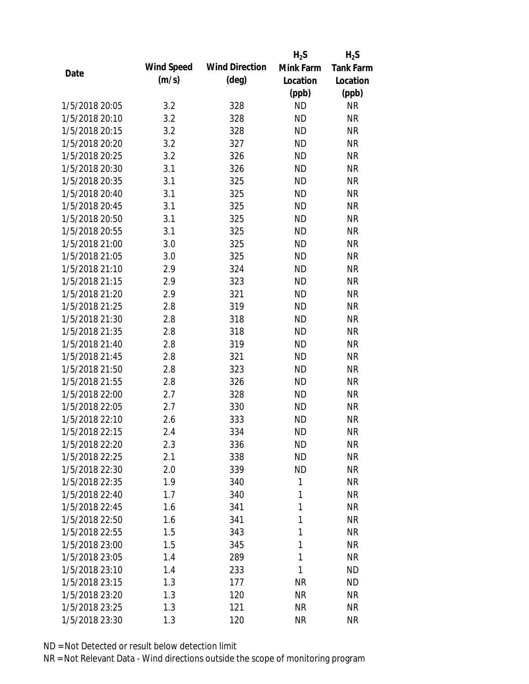|                |            |                       | $H_2S$    | $H_2S$           |
|----------------|------------|-----------------------|-----------|------------------|
|                | Wind Speed | <b>Wind Direction</b> | Mink Farm | <b>Tank Farm</b> |
| Date           | (m/s)      | $(\text{deg})$        | Location  | Location         |
|                |            |                       | (ppb)     | (ppb)            |
| 1/5/2018 20:05 | 3.2        | 328                   | <b>ND</b> | <b>NR</b>        |
| 1/5/2018 20:10 | 3.2        | 328                   | <b>ND</b> | <b>NR</b>        |
| 1/5/2018 20:15 | 3.2        | 328                   | <b>ND</b> | <b>NR</b>        |
| 1/5/2018 20:20 | 3.2        | 327                   | <b>ND</b> | <b>NR</b>        |
| 1/5/2018 20:25 | 3.2        | 326                   | <b>ND</b> | <b>NR</b>        |
| 1/5/2018 20:30 | 3.1        | 326                   | <b>ND</b> | <b>NR</b>        |
| 1/5/2018 20:35 | 3.1        | 325                   | <b>ND</b> | <b>NR</b>        |
| 1/5/2018 20:40 | 3.1        | 325                   | <b>ND</b> | <b>NR</b>        |
| 1/5/2018 20:45 | 3.1        | 325                   | <b>ND</b> | <b>NR</b>        |
| 1/5/2018 20:50 | 3.1        | 325                   | <b>ND</b> | <b>NR</b>        |
| 1/5/2018 20:55 | 3.1        | 325                   | <b>ND</b> | <b>NR</b>        |
| 1/5/2018 21:00 | 3.0        | 325                   | <b>ND</b> | <b>NR</b>        |
| 1/5/2018 21:05 | 3.0        | 325                   | <b>ND</b> | <b>NR</b>        |
| 1/5/2018 21:10 | 2.9        | 324                   | <b>ND</b> | <b>NR</b>        |
| 1/5/2018 21:15 | 2.9        | 323                   | <b>ND</b> | <b>NR</b>        |
| 1/5/2018 21:20 | 2.9        | 321                   | <b>ND</b> | <b>NR</b>        |
| 1/5/2018 21:25 | 2.8        | 319                   | <b>ND</b> | <b>NR</b>        |
| 1/5/2018 21:30 | 2.8        | 318                   | <b>ND</b> | <b>NR</b>        |
| 1/5/2018 21:35 | 2.8        | 318                   | <b>ND</b> | <b>NR</b>        |
| 1/5/2018 21:40 | 2.8        | 319                   | <b>ND</b> | <b>NR</b>        |
| 1/5/2018 21:45 | 2.8        | 321                   | <b>ND</b> | <b>NR</b>        |
| 1/5/2018 21:50 | 2.8        | 323                   | <b>ND</b> | <b>NR</b>        |
| 1/5/2018 21:55 | 2.8        | 326                   | <b>ND</b> | <b>NR</b>        |
| 1/5/2018 22:00 | 2.7        | 328                   | <b>ND</b> | <b>NR</b>        |
| 1/5/2018 22:05 | 2.7        | 330                   | <b>ND</b> | <b>NR</b>        |
| 1/5/2018 22:10 | 2.6        | 333                   | <b>ND</b> | <b>NR</b>        |
| 1/5/2018 22:15 | 2.4        | 334                   | <b>ND</b> | <b>NR</b>        |
| 1/5/2018 22:20 | 2.3        | 336                   | <b>ND</b> | <b>NR</b>        |
| 1/5/2018 22:25 | 2.1        | 338                   | <b>ND</b> | <b>NR</b>        |
| 1/5/2018 22:30 | 2.0        | 339                   | <b>ND</b> | <b>NR</b>        |
| 1/5/2018 22:35 | 1.9        | 340                   | 1         | <b>NR</b>        |
| 1/5/2018 22:40 | 1.7        | 340                   | 1         | <b>NR</b>        |
| 1/5/2018 22:45 | 1.6        | 341                   | 1         | <b>NR</b>        |
| 1/5/2018 22:50 | 1.6        | 341                   | 1         | <b>NR</b>        |
| 1/5/2018 22:55 | 1.5        | 343                   | 1         | <b>NR</b>        |
| 1/5/2018 23:00 | 1.5        | 345                   | 1         | <b>NR</b>        |
| 1/5/2018 23:05 | 1.4        | 289                   | 1         | <b>NR</b>        |
| 1/5/2018 23:10 | 1.4        | 233                   | 1         | <b>ND</b>        |
| 1/5/2018 23:15 | 1.3        | 177                   | <b>NR</b> | <b>ND</b>        |
| 1/5/2018 23:20 | 1.3        | 120                   | <b>NR</b> | <b>NR</b>        |
| 1/5/2018 23:25 | 1.3        | 121                   | <b>NR</b> | <b>NR</b>        |
| 1/5/2018 23:30 | 1.3        | 120                   | <b>NR</b> | <b>NR</b>        |
|                |            |                       |           |                  |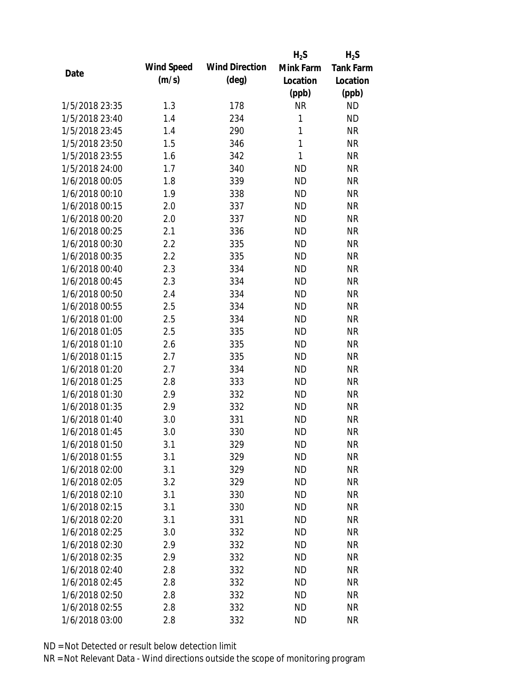|      |                |            |                       | $H_2S$    | $H_2S$           |
|------|----------------|------------|-----------------------|-----------|------------------|
|      |                | Wind Speed | <b>Wind Direction</b> | Mink Farm | <b>Tank Farm</b> |
| Date |                | (m/s)      | $(\text{deg})$        | Location  | Location         |
|      |                |            |                       | (ppb)     | (ppb)            |
|      | 1/5/2018 23:35 | 1.3        | 178                   | <b>NR</b> | <b>ND</b>        |
|      | 1/5/2018 23:40 | 1.4        | 234                   | 1         | <b>ND</b>        |
|      | 1/5/2018 23:45 | 1.4        | 290                   | 1         | <b>NR</b>        |
|      | 1/5/2018 23:50 | 1.5        | 346                   | 1         | <b>NR</b>        |
|      | 1/5/2018 23:55 | 1.6        | 342                   | 1         | <b>NR</b>        |
|      | 1/5/2018 24:00 | 1.7        | 340                   | <b>ND</b> | <b>NR</b>        |
|      | 1/6/2018 00:05 | 1.8        | 339                   | <b>ND</b> | <b>NR</b>        |
|      | 1/6/2018 00:10 | 1.9        | 338                   | <b>ND</b> | <b>NR</b>        |
|      | 1/6/2018 00:15 | 2.0        | 337                   | <b>ND</b> | <b>NR</b>        |
|      | 1/6/2018 00:20 | 2.0        | 337                   | <b>ND</b> | <b>NR</b>        |
|      | 1/6/2018 00:25 | 2.1        | 336                   | <b>ND</b> | <b>NR</b>        |
|      | 1/6/2018 00:30 | 2.2        | 335                   | <b>ND</b> | <b>NR</b>        |
|      | 1/6/2018 00:35 | 2.2        | 335                   | <b>ND</b> | <b>NR</b>        |
|      | 1/6/2018 00:40 | 2.3        | 334                   | <b>ND</b> | <b>NR</b>        |
|      | 1/6/2018 00:45 | 2.3        | 334                   | <b>ND</b> | <b>NR</b>        |
|      | 1/6/2018 00:50 | 2.4        | 334                   | <b>ND</b> | <b>NR</b>        |
|      | 1/6/2018 00:55 | 2.5        | 334                   | <b>ND</b> | <b>NR</b>        |
|      | 1/6/2018 01:00 | 2.5        | 334                   | <b>ND</b> | <b>NR</b>        |
|      | 1/6/2018 01:05 | 2.5        | 335                   | <b>ND</b> | <b>NR</b>        |
|      | 1/6/2018 01:10 | 2.6        | 335                   | <b>ND</b> | <b>NR</b>        |
|      | 1/6/2018 01:15 | 2.7        | 335                   | <b>ND</b> | <b>NR</b>        |
|      | 1/6/2018 01:20 | 2.7        | 334                   | <b>ND</b> | <b>NR</b>        |
|      | 1/6/2018 01:25 | 2.8        | 333                   | <b>ND</b> | <b>NR</b>        |
|      | 1/6/2018 01:30 | 2.9        | 332                   | <b>ND</b> | <b>NR</b>        |
|      | 1/6/2018 01:35 | 2.9        | 332                   | <b>ND</b> | <b>NR</b>        |
|      | 1/6/2018 01:40 | 3.0        | 331                   | <b>ND</b> | <b>NR</b>        |
|      | 1/6/2018 01:45 | 3.0        | 330                   | <b>ND</b> | <b>NR</b>        |
|      | 1/6/2018 01:50 | 3.1        | 329                   | <b>ND</b> | <b>NR</b>        |
|      | 1/6/2018 01:55 | 3.1        | 329                   | <b>ND</b> | <b>NR</b>        |
|      | 1/6/2018 02:00 | 3.1        | 329                   | <b>ND</b> | <b>NR</b>        |
|      | 1/6/2018 02:05 | 3.2        | 329                   | <b>ND</b> | <b>NR</b>        |
|      | 1/6/2018 02:10 | 3.1        | 330                   | <b>ND</b> | <b>NR</b>        |
|      | 1/6/2018 02:15 | 3.1        | 330                   | <b>ND</b> | <b>NR</b>        |
|      | 1/6/2018 02:20 | 3.1        | 331                   | <b>ND</b> | <b>NR</b>        |
|      | 1/6/2018 02:25 | 3.0        | 332                   | <b>ND</b> | <b>NR</b>        |
|      | 1/6/2018 02:30 | 2.9        | 332                   | <b>ND</b> | <b>NR</b>        |
|      | 1/6/2018 02:35 | 2.9        | 332                   | <b>ND</b> | <b>NR</b>        |
|      | 1/6/2018 02:40 | 2.8        | 332                   | <b>ND</b> | <b>NR</b>        |
|      | 1/6/2018 02:45 | 2.8        | 332                   | <b>ND</b> | <b>NR</b>        |
|      | 1/6/2018 02:50 | 2.8        | 332                   | <b>ND</b> | NR               |
|      | 1/6/2018 02:55 | 2.8        | 332                   | <b>ND</b> | <b>NR</b>        |
|      | 1/6/2018 03:00 | 2.8        | 332                   | <b>ND</b> | <b>NR</b>        |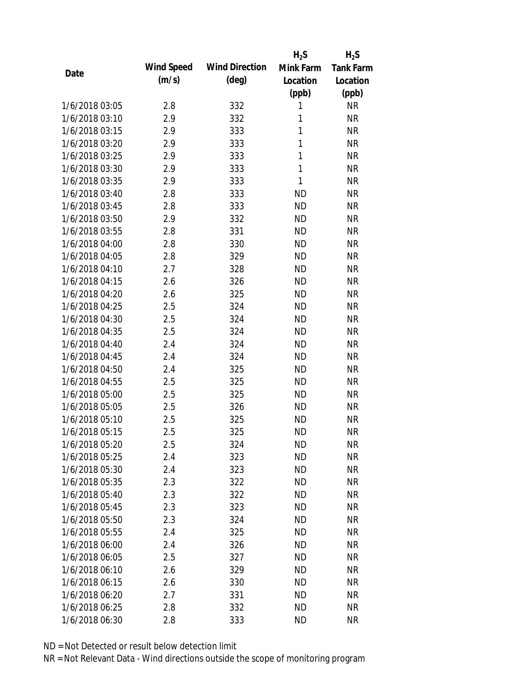|                |            |                       | $H_2S$    | $H_2S$           |
|----------------|------------|-----------------------|-----------|------------------|
|                | Wind Speed | <b>Wind Direction</b> | Mink Farm | <b>Tank Farm</b> |
| Date           | (m/s)      | $(\text{deg})$        | Location  | Location         |
|                |            |                       | (ppb)     | (ppb)            |
| 1/6/2018 03:05 | 2.8        | 332                   | 1         | <b>NR</b>        |
| 1/6/2018 03:10 | 2.9        | 332                   | 1         | <b>NR</b>        |
| 1/6/2018 03:15 | 2.9        | 333                   | 1         | <b>NR</b>        |
| 1/6/2018 03:20 | 2.9        | 333                   | 1         | <b>NR</b>        |
| 1/6/2018 03:25 | 2.9        | 333                   | 1         | <b>NR</b>        |
| 1/6/2018 03:30 | 2.9        | 333                   | 1         | <b>NR</b>        |
| 1/6/2018 03:35 | 2.9        | 333                   | 1         | <b>NR</b>        |
| 1/6/2018 03:40 | 2.8        | 333                   | <b>ND</b> | <b>NR</b>        |
| 1/6/2018 03:45 | 2.8        | 333                   | <b>ND</b> | <b>NR</b>        |
| 1/6/2018 03:50 | 2.9        | 332                   | <b>ND</b> | <b>NR</b>        |
| 1/6/2018 03:55 | 2.8        | 331                   | <b>ND</b> | <b>NR</b>        |
| 1/6/2018 04:00 | 2.8        | 330                   | <b>ND</b> | <b>NR</b>        |
| 1/6/2018 04:05 | 2.8        | 329                   | <b>ND</b> | <b>NR</b>        |
| 1/6/2018 04:10 | 2.7        | 328                   | <b>ND</b> | <b>NR</b>        |
| 1/6/2018 04:15 | 2.6        | 326                   | <b>ND</b> | <b>NR</b>        |
| 1/6/2018 04:20 | 2.6        | 325                   | <b>ND</b> | <b>NR</b>        |
| 1/6/2018 04:25 | 2.5        | 324                   | <b>ND</b> | <b>NR</b>        |
| 1/6/2018 04:30 | 2.5        | 324                   | <b>ND</b> | <b>NR</b>        |
| 1/6/2018 04:35 | 2.5        | 324                   | <b>ND</b> | <b>NR</b>        |
| 1/6/2018 04:40 | 2.4        | 324                   | <b>ND</b> | <b>NR</b>        |
| 1/6/2018 04:45 | 2.4        | 324                   | <b>ND</b> | <b>NR</b>        |
| 1/6/2018 04:50 | 2.4        | 325                   | <b>ND</b> | <b>NR</b>        |
| 1/6/2018 04:55 | 2.5        | 325                   | <b>ND</b> | <b>NR</b>        |
| 1/6/2018 05:00 | 2.5        | 325                   | <b>ND</b> | <b>NR</b>        |
| 1/6/2018 05:05 | 2.5        | 326                   | <b>ND</b> | <b>NR</b>        |
| 1/6/2018 05:10 | 2.5        | 325                   | <b>ND</b> | <b>NR</b>        |
| 1/6/2018 05:15 | 2.5        | 325                   | <b>ND</b> | <b>NR</b>        |
| 1/6/2018 05:20 | 2.5        | 324                   | <b>ND</b> | <b>NR</b>        |
| 1/6/2018 05:25 | 2.4        | 323                   | <b>ND</b> | <b>NR</b>        |
| 1/6/2018 05:30 | 2.4        | 323                   | <b>ND</b> | <b>NR</b>        |
| 1/6/2018 05:35 | 2.3        | 322                   | <b>ND</b> | <b>NR</b>        |
| 1/6/2018 05:40 | 2.3        | 322                   | <b>ND</b> | <b>NR</b>        |
| 1/6/2018 05:45 | 2.3        | 323                   | ND        | <b>NR</b>        |
| 1/6/2018 05:50 | 2.3        | 324                   | <b>ND</b> | <b>NR</b>        |
| 1/6/2018 05:55 | 2.4        | 325                   | ND        | <b>NR</b>        |
| 1/6/2018 06:00 | 2.4        | 326                   | <b>ND</b> | <b>NR</b>        |
| 1/6/2018 06:05 | 2.5        | 327                   | <b>ND</b> | <b>NR</b>        |
| 1/6/2018 06:10 | 2.6        | 329                   | <b>ND</b> | <b>NR</b>        |
| 1/6/2018 06:15 | 2.6        | 330                   | <b>ND</b> | <b>NR</b>        |
| 1/6/2018 06:20 | 2.7        | 331                   | <b>ND</b> | NR               |
| 1/6/2018 06:25 | 2.8        | 332                   | <b>ND</b> | <b>NR</b>        |
| 1/6/2018 06:30 | 2.8        | 333                   | <b>ND</b> | <b>NR</b>        |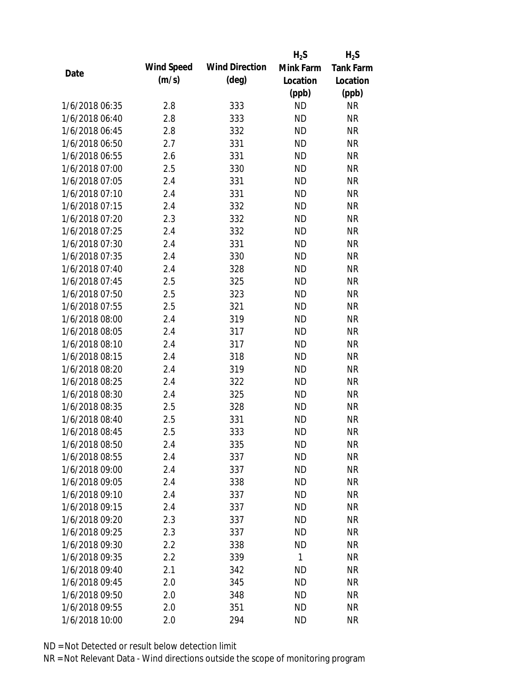|                |            |                       | $H_2S$    | $H_2S$           |
|----------------|------------|-----------------------|-----------|------------------|
|                | Wind Speed | <b>Wind Direction</b> | Mink Farm | <b>Tank Farm</b> |
| Date           | (m/s)      | $(\text{deg})$        | Location  | Location         |
|                |            |                       | (ppb)     | (ppb)            |
| 1/6/2018 06:35 | 2.8        | 333                   | <b>ND</b> | <b>NR</b>        |
| 1/6/2018 06:40 | 2.8        | 333                   | <b>ND</b> | <b>NR</b>        |
| 1/6/2018 06:45 | 2.8        | 332                   | <b>ND</b> | <b>NR</b>        |
| 1/6/2018 06:50 | 2.7        | 331                   | <b>ND</b> | <b>NR</b>        |
| 1/6/2018 06:55 | 2.6        | 331                   | <b>ND</b> | <b>NR</b>        |
| 1/6/2018 07:00 | 2.5        | 330                   | <b>ND</b> | <b>NR</b>        |
| 1/6/2018 07:05 | 2.4        | 331                   | <b>ND</b> | <b>NR</b>        |
| 1/6/2018 07:10 | 2.4        | 331                   | <b>ND</b> | <b>NR</b>        |
| 1/6/2018 07:15 | 2.4        | 332                   | <b>ND</b> | <b>NR</b>        |
| 1/6/2018 07:20 | 2.3        | 332                   | <b>ND</b> | <b>NR</b>        |
| 1/6/2018 07:25 | 2.4        | 332                   | <b>ND</b> | <b>NR</b>        |
| 1/6/2018 07:30 | 2.4        | 331                   | <b>ND</b> | <b>NR</b>        |
| 1/6/2018 07:35 | 2.4        | 330                   | <b>ND</b> | <b>NR</b>        |
| 1/6/2018 07:40 | 2.4        | 328                   | <b>ND</b> | <b>NR</b>        |
| 1/6/2018 07:45 | 2.5        | 325                   | <b>ND</b> | <b>NR</b>        |
| 1/6/2018 07:50 | 2.5        | 323                   | <b>ND</b> | <b>NR</b>        |
| 1/6/2018 07:55 | 2.5        | 321                   | <b>ND</b> | <b>NR</b>        |
| 1/6/2018 08:00 | 2.4        | 319                   | <b>ND</b> | <b>NR</b>        |
| 1/6/2018 08:05 | 2.4        | 317                   | <b>ND</b> | <b>NR</b>        |
| 1/6/2018 08:10 | 2.4        | 317                   | <b>ND</b> | <b>NR</b>        |
| 1/6/2018 08:15 | 2.4        | 318                   | <b>ND</b> | <b>NR</b>        |
| 1/6/2018 08:20 | 2.4        | 319                   | <b>ND</b> | <b>NR</b>        |
| 1/6/2018 08:25 | 2.4        | 322                   | <b>ND</b> | <b>NR</b>        |
| 1/6/2018 08:30 | 2.4        | 325                   | <b>ND</b> | <b>NR</b>        |
| 1/6/2018 08:35 | 2.5        | 328                   | <b>ND</b> | <b>NR</b>        |
| 1/6/2018 08:40 | 2.5        | 331                   | <b>ND</b> | <b>NR</b>        |
| 1/6/2018 08:45 | 2.5        | 333                   | <b>ND</b> | <b>NR</b>        |
| 1/6/2018 08:50 | 2.4        | 335                   | <b>ND</b> | <b>NR</b>        |
| 1/6/2018 08:55 | 2.4        | 337                   | <b>ND</b> | <b>NR</b>        |
| 1/6/2018 09:00 | 2.4        | 337                   | <b>ND</b> | <b>NR</b>        |
| 1/6/2018 09:05 | 2.4        | 338                   | <b>ND</b> | <b>NR</b>        |
| 1/6/2018 09:10 | 2.4        | 337                   | <b>ND</b> | <b>NR</b>        |
| 1/6/2018 09:15 | 2.4        | 337                   | <b>ND</b> | <b>NR</b>        |
| 1/6/2018 09:20 | 2.3        | 337                   | <b>ND</b> | <b>NR</b>        |
| 1/6/2018 09:25 | 2.3        | 337                   | <b>ND</b> | <b>NR</b>        |
| 1/6/2018 09:30 | 2.2        | 338                   | <b>ND</b> | <b>NR</b>        |
| 1/6/2018 09:35 | 2.2        | 339                   | 1         | <b>NR</b>        |
| 1/6/2018 09:40 | 2.1        | 342                   | <b>ND</b> | <b>NR</b>        |
| 1/6/2018 09:45 | 2.0        | 345                   | <b>ND</b> | <b>NR</b>        |
| 1/6/2018 09:50 | 2.0        | 348                   | <b>ND</b> | NR               |
| 1/6/2018 09:55 | 2.0        | 351                   | <b>ND</b> | <b>NR</b>        |
| 1/6/2018 10:00 | 2.0        | 294                   | <b>ND</b> | <b>NR</b>        |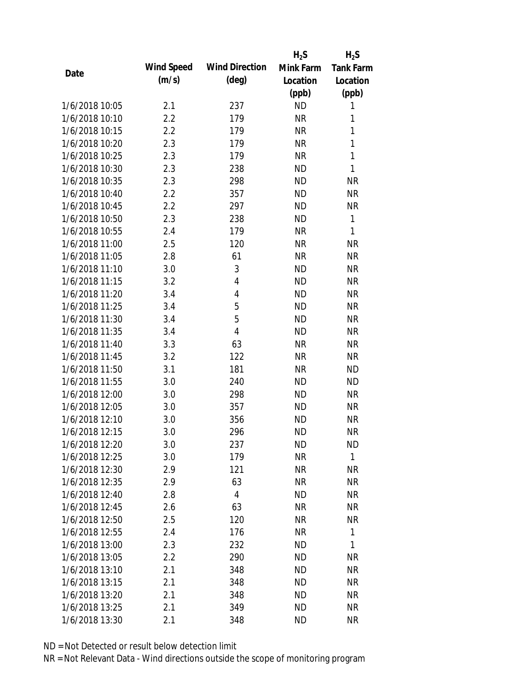|                |            |                       | $H_2S$    | $H_2S$           |
|----------------|------------|-----------------------|-----------|------------------|
| Date           | Wind Speed | <b>Wind Direction</b> | Mink Farm | <b>Tank Farm</b> |
|                | (m/s)      | $(\text{deg})$        | Location  | Location         |
|                |            |                       | (ppb)     | (ppb)            |
| 1/6/2018 10:05 | 2.1        | 237                   | <b>ND</b> | 1                |
| 1/6/2018 10:10 | 2.2        | 179                   | <b>NR</b> | 1                |
| 1/6/2018 10:15 | 2.2        | 179                   | <b>NR</b> | $\mathbf{1}$     |
| 1/6/2018 10:20 | 2.3        | 179                   | <b>NR</b> | $\mathbf{1}$     |
| 1/6/2018 10:25 | 2.3        | 179                   | <b>NR</b> | $\mathbf{1}$     |
| 1/6/2018 10:30 | 2.3        | 238                   | <b>ND</b> | 1                |
| 1/6/2018 10:35 | 2.3        | 298                   | <b>ND</b> | <b>NR</b>        |
| 1/6/2018 10:40 | 2.2        | 357                   | <b>ND</b> | <b>NR</b>        |
| 1/6/2018 10:45 | 2.2        | 297                   | <b>ND</b> | <b>NR</b>        |
| 1/6/2018 10:50 | 2.3        | 238                   | <b>ND</b> | 1                |
| 1/6/2018 10:55 | 2.4        | 179                   | <b>NR</b> | 1                |
| 1/6/2018 11:00 | 2.5        | 120                   | <b>NR</b> | <b>NR</b>        |
| 1/6/2018 11:05 | 2.8        | 61                    | <b>NR</b> | <b>NR</b>        |
| 1/6/2018 11:10 | 3.0        | 3                     | <b>ND</b> | <b>NR</b>        |
| 1/6/2018 11:15 | 3.2        | 4                     | <b>ND</b> | <b>NR</b>        |
| 1/6/2018 11:20 | 3.4        | 4                     | <b>ND</b> | <b>NR</b>        |
| 1/6/2018 11:25 | 3.4        | 5                     | <b>ND</b> | <b>NR</b>        |
| 1/6/2018 11:30 | 3.4        | 5                     | <b>ND</b> | <b>NR</b>        |
| 1/6/2018 11:35 | 3.4        | $\overline{4}$        | <b>ND</b> | <b>NR</b>        |
| 1/6/2018 11:40 | 3.3        | 63                    | <b>NR</b> | <b>NR</b>        |
| 1/6/2018 11:45 | 3.2        | 122                   | <b>NR</b> | <b>NR</b>        |
| 1/6/2018 11:50 | 3.1        | 181                   | <b>NR</b> | <b>ND</b>        |
| 1/6/2018 11:55 | 3.0        | 240                   | <b>ND</b> | <b>ND</b>        |
| 1/6/2018 12:00 | 3.0        | 298                   | <b>ND</b> | <b>NR</b>        |
| 1/6/2018 12:05 | 3.0        | 357                   | <b>ND</b> | <b>NR</b>        |
| 1/6/2018 12:10 | 3.0        | 356                   | <b>ND</b> | <b>NR</b>        |
| 1/6/2018 12:15 | 3.0        | 296                   | <b>ND</b> | <b>NR</b>        |
| 1/6/2018 12:20 | 3.0        | 237                   | <b>ND</b> | <b>ND</b>        |
| 1/6/2018 12:25 | 3.0        | 179                   | <b>NR</b> | 1                |
| 1/6/2018 12:30 | 2.9        | 121                   | NR        | <b>NR</b>        |
| 1/6/2018 12:35 | 2.9        | 63                    | <b>NR</b> | <b>NR</b>        |
| 1/6/2018 12:40 | 2.8        | 4                     | <b>ND</b> | NR               |
| 1/6/2018 12:45 | 2.6        | 63                    | <b>NR</b> | <b>NR</b>        |
| 1/6/2018 12:50 | 2.5        | 120                   | <b>NR</b> | <b>NR</b>        |
| 1/6/2018 12:55 | 2.4        | 176                   | <b>NR</b> | 1                |
| 1/6/2018 13:00 | 2.3        | 232                   | ND        | 1                |
| 1/6/2018 13:05 | 2.2        | 290                   | <b>ND</b> | <b>NR</b>        |
| 1/6/2018 13:10 | 2.1        | 348                   | <b>ND</b> | <b>NR</b>        |
| 1/6/2018 13:15 | 2.1        | 348                   | <b>ND</b> | <b>NR</b>        |
| 1/6/2018 13:20 | 2.1        | 348                   | ND        | NR               |
| 1/6/2018 13:25 | 2.1        | 349                   | <b>ND</b> | <b>NR</b>        |
| 1/6/2018 13:30 | 2.1        | 348                   | <b>ND</b> | <b>NR</b>        |
|                |            |                       |           |                  |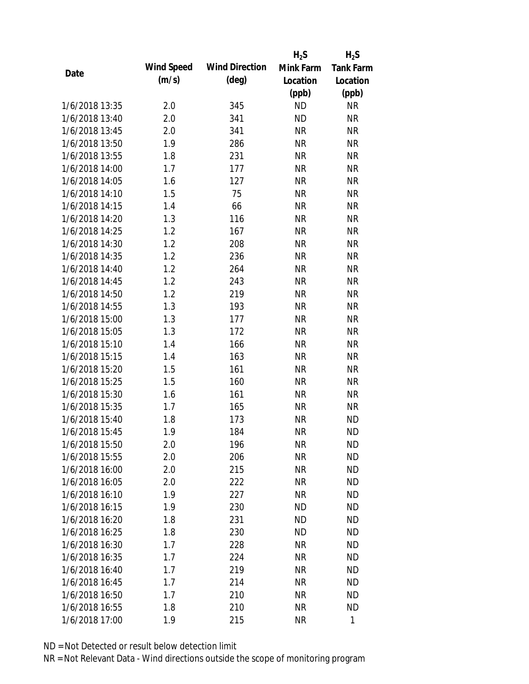|                |            |                       | $H_2S$    | $H_2S$           |
|----------------|------------|-----------------------|-----------|------------------|
| Date           | Wind Speed | <b>Wind Direction</b> | Mink Farm | <b>Tank Farm</b> |
|                | (m/s)      | $(\text{deg})$        | Location  | Location         |
|                |            |                       | (ppb)     | (ppb)            |
| 1/6/2018 13:35 | 2.0        | 345                   | <b>ND</b> | NR               |
| 1/6/2018 13:40 | 2.0        | 341                   | <b>ND</b> | <b>NR</b>        |
| 1/6/2018 13:45 | 2.0        | 341                   | <b>NR</b> | <b>NR</b>        |
| 1/6/2018 13:50 | 1.9        | 286                   | <b>NR</b> | <b>NR</b>        |
| 1/6/2018 13:55 | 1.8        | 231                   | <b>NR</b> | <b>NR</b>        |
| 1/6/2018 14:00 | 1.7        | 177                   | <b>NR</b> | <b>NR</b>        |
| 1/6/2018 14:05 | 1.6        | 127                   | <b>NR</b> | <b>NR</b>        |
| 1/6/2018 14:10 | 1.5        | 75                    | <b>NR</b> | <b>NR</b>        |
| 1/6/2018 14:15 | 1.4        | 66                    | <b>NR</b> | <b>NR</b>        |
| 1/6/2018 14:20 | 1.3        | 116                   | <b>NR</b> | <b>NR</b>        |
| 1/6/2018 14:25 | 1.2        | 167                   | <b>NR</b> | <b>NR</b>        |
| 1/6/2018 14:30 | 1.2        | 208                   | <b>NR</b> | <b>NR</b>        |
| 1/6/2018 14:35 | 1.2        | 236                   | <b>NR</b> | <b>NR</b>        |
| 1/6/2018 14:40 | 1.2        | 264                   | <b>NR</b> | <b>NR</b>        |
| 1/6/2018 14:45 | 1.2        | 243                   | <b>NR</b> | <b>NR</b>        |
| 1/6/2018 14:50 | 1.2        | 219                   | <b>NR</b> | <b>NR</b>        |
| 1/6/2018 14:55 | 1.3        | 193                   | <b>NR</b> | <b>NR</b>        |
| 1/6/2018 15:00 | 1.3        | 177                   | <b>NR</b> | <b>NR</b>        |
| 1/6/2018 15:05 | 1.3        | 172                   | <b>NR</b> | <b>NR</b>        |
| 1/6/2018 15:10 | 1.4        | 166                   | <b>NR</b> | <b>NR</b>        |
| 1/6/2018 15:15 | 1.4        | 163                   | <b>NR</b> | <b>NR</b>        |
| 1/6/2018 15:20 | 1.5        | 161                   | <b>NR</b> | <b>NR</b>        |
| 1/6/2018 15:25 | 1.5        | 160                   | <b>NR</b> | <b>NR</b>        |
| 1/6/2018 15:30 | 1.6        | 161                   | <b>NR</b> | <b>NR</b>        |
| 1/6/2018 15:35 | 1.7        | 165                   | <b>NR</b> | <b>NR</b>        |
| 1/6/2018 15:40 | 1.8        | 173                   | <b>NR</b> | <b>ND</b>        |
| 1/6/2018 15:45 | 1.9        | 184                   | <b>NR</b> | <b>ND</b>        |
| 1/6/2018 15:50 | 2.0        | 196                   | NR        | <b>ND</b>        |
| 1/6/2018 15:55 | 2.0        | 206                   | <b>NR</b> | <b>ND</b>        |
| 1/6/2018 16:00 | 2.0        | 215                   | NR        | <b>ND</b>        |
| 1/6/2018 16:05 | 2.0        | 222                   | <b>NR</b> | <b>ND</b>        |
| 1/6/2018 16:10 | 1.9        | 227                   | <b>NR</b> | <b>ND</b>        |
| 1/6/2018 16:15 | 1.9        | 230                   | <b>ND</b> | <b>ND</b>        |
| 1/6/2018 16:20 | 1.8        | 231                   | <b>ND</b> | <b>ND</b>        |
| 1/6/2018 16:25 | 1.8        | 230                   | ND        | <b>ND</b>        |
| 1/6/2018 16:30 | 1.7        | 228                   | <b>NR</b> | <b>ND</b>        |
| 1/6/2018 16:35 | 1.7        | 224                   | <b>NR</b> | <b>ND</b>        |
| 1/6/2018 16:40 | 1.7        | 219                   | NR        | <b>ND</b>        |
| 1/6/2018 16:45 | 1.7        | 214                   | <b>NR</b> | <b>ND</b>        |
| 1/6/2018 16:50 | 1.7        | 210                   | <b>NR</b> | <b>ND</b>        |
| 1/6/2018 16:55 | 1.8        | 210                   | <b>NR</b> | <b>ND</b>        |
| 1/6/2018 17:00 | 1.9        | 215                   | <b>NR</b> | 1                |
|                |            |                       |           |                  |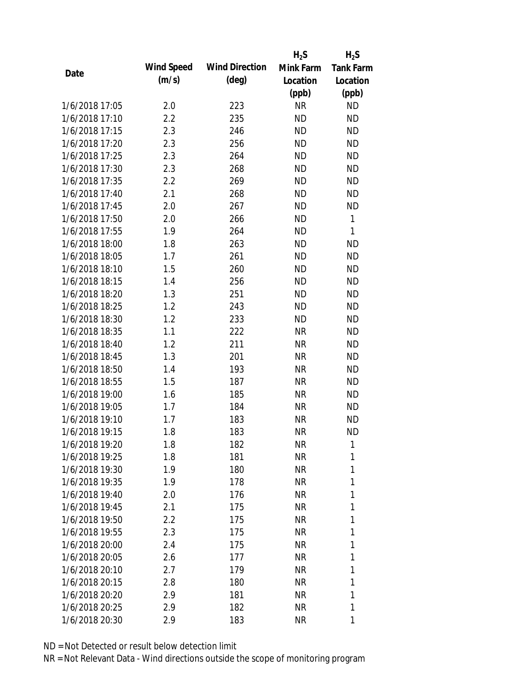|                |                   |                       | $H_2S$    | $H_2S$           |
|----------------|-------------------|-----------------------|-----------|------------------|
| Date           | <b>Wind Speed</b> | <b>Wind Direction</b> | Mink Farm | <b>Tank Farm</b> |
|                | (m/s)             | $(\text{deg})$        | Location  | Location         |
|                |                   |                       | (ppb)     | (ppb)            |
| 1/6/2018 17:05 | 2.0               | 223                   | <b>NR</b> | <b>ND</b>        |
| 1/6/2018 17:10 | 2.2               | 235                   | <b>ND</b> | <b>ND</b>        |
| 1/6/2018 17:15 | 2.3               | 246                   | <b>ND</b> | <b>ND</b>        |
| 1/6/2018 17:20 | 2.3               | 256                   | <b>ND</b> | <b>ND</b>        |
| 1/6/2018 17:25 | 2.3               | 264                   | <b>ND</b> | <b>ND</b>        |
| 1/6/2018 17:30 | 2.3               | 268                   | <b>ND</b> | <b>ND</b>        |
| 1/6/2018 17:35 | 2.2               | 269                   | <b>ND</b> | <b>ND</b>        |
| 1/6/2018 17:40 | 2.1               | 268                   | <b>ND</b> | <b>ND</b>        |
| 1/6/2018 17:45 | 2.0               | 267                   | <b>ND</b> | <b>ND</b>        |
| 1/6/2018 17:50 | 2.0               | 266                   | <b>ND</b> | $\mathbf{1}$     |
| 1/6/2018 17:55 | 1.9               | 264                   | <b>ND</b> | 1                |
| 1/6/2018 18:00 | 1.8               | 263                   | <b>ND</b> | <b>ND</b>        |
| 1/6/2018 18:05 | 1.7               | 261                   | <b>ND</b> | <b>ND</b>        |
| 1/6/2018 18:10 | 1.5               | 260                   | <b>ND</b> | <b>ND</b>        |
| 1/6/2018 18:15 | 1.4               | 256                   | <b>ND</b> | <b>ND</b>        |
| 1/6/2018 18:20 | 1.3               | 251                   | <b>ND</b> | <b>ND</b>        |
| 1/6/2018 18:25 | 1.2               | 243                   | <b>ND</b> | <b>ND</b>        |
| 1/6/2018 18:30 | 1.2               | 233                   | <b>ND</b> | <b>ND</b>        |
| 1/6/2018 18:35 | 1.1               | 222                   | <b>NR</b> | <b>ND</b>        |
| 1/6/2018 18:40 | 1.2               | 211                   | <b>NR</b> | <b>ND</b>        |
| 1/6/2018 18:45 | 1.3               | 201                   | <b>NR</b> | <b>ND</b>        |
| 1/6/2018 18:50 | 1.4               | 193                   | <b>NR</b> | <b>ND</b>        |
| 1/6/2018 18:55 | 1.5               | 187                   | <b>NR</b> | <b>ND</b>        |
| 1/6/2018 19:00 | 1.6               | 185                   | <b>NR</b> | <b>ND</b>        |
| 1/6/2018 19:05 | 1.7               | 184                   | <b>NR</b> | <b>ND</b>        |
| 1/6/2018 19:10 | 1.7               | 183                   | <b>NR</b> | <b>ND</b>        |
| 1/6/2018 19:15 | 1.8               | 183                   | <b>NR</b> | <b>ND</b>        |
| 1/6/2018 19:20 | 1.8               | 182                   | NR        | 1                |
| 1/6/2018 19:25 | 1.8               | 181                   | <b>NR</b> | 1                |
| 1/6/2018 19:30 | 1.9               | 180                   | NR        | 1                |
| 1/6/2018 19:35 | 1.9               | 178                   | NR        | 1                |
| 1/6/2018 19:40 | 2.0               | 176                   | NR        | 1                |
| 1/6/2018 19:45 | 2.1               | 175                   | NR        | 1                |
| 1/6/2018 19:50 | 2.2               | 175                   | <b>NR</b> | 1                |
| 1/6/2018 19:55 | 2.3               | 175                   | NR        | 1                |
| 1/6/2018 20:00 | 2.4               | 175                   | <b>NR</b> | 1                |
| 1/6/2018 20:05 | 2.6               | 177                   | NR        | 1                |
| 1/6/2018 20:10 | 2.7               | 179                   | NR        | 1                |
| 1/6/2018 20:15 | 2.8               | 180                   | NR        | 1                |
| 1/6/2018 20:20 | 2.9               | 181                   | NR        | 1                |
| 1/6/2018 20:25 | 2.9               | 182                   | <b>NR</b> | 1                |
| 1/6/2018 20:30 | 2.9               | 183                   | <b>NR</b> | 1                |